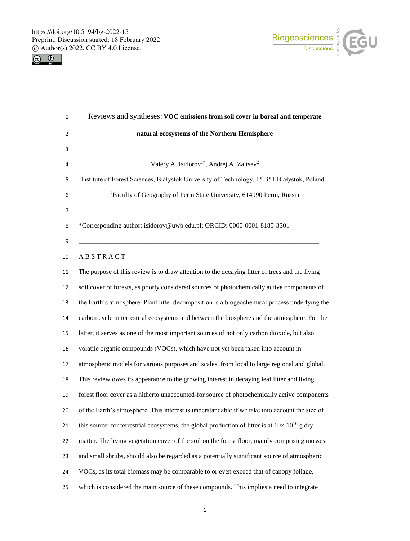



| $\mathbf{1}$ | Reviews and syntheses: VOC emissions from soil cover in boreal and temperate                             |
|--------------|----------------------------------------------------------------------------------------------------------|
| 2            | natural ecosystems of the Northern Hemisphere                                                            |
| 3            |                                                                                                          |
| 4            | Valery A. Isidorov <sup>1*</sup> , Andrej A. Zaitsev <sup>2</sup>                                        |
| 5            | <sup>1</sup> Institute of Forest Sciences, Białystok University of Technology, 15-351 Białystok, Poland  |
| 6            | <sup>2</sup> Faculty of Geography of Perm State University, 614990 Perm, Russia                          |
| 7            |                                                                                                          |
| 8            | *Corresponding author: isidorov@uwb.edu.pl; ORCID: 0000-0001-8185-3301                                   |
| 9            |                                                                                                          |
| 10           | ABSTRACT                                                                                                 |
| 11           | The purpose of this review is to draw attention to the decaying litter of trees and the living           |
| 12           | soil cover of forests, as poorly considered sources of photochemically active components of              |
| 13           | the Earth's atmosphere. Plant litter decomposition is a biogeochemical process underlying the            |
| 14           | carbon cycle in terrestrial ecosystems and between the biosphere and the atmosphere. For the             |
| 15           | latter, it serves as one of the most important sources of not only carbon dioxide, but also              |
| 16           | volatile organic compounds (VOCs), which have not yet been taken into account in                         |
| 17           | atmospheric models for various purposes and scales, from local to large regional and global.             |
| 18           | This review owes its appearance to the growing interest in decaying leaf litter and living               |
| 19           | forest floor cover as a hitherto unaccounted-for source of photochemically active components             |
| 20           | of the Earth's atmosphere. This interest is understandable if we take into account the size of           |
| 21           | this source: for terrestrial ecosystems, the global production of litter is at $10 \times 10^{16}$ g dry |
| 22           | matter. The living vegetation cover of the soil on the forest floor, mainly comprising mosses            |
| 23           | and small shrubs, should also be regarded as a potentially significant source of atmospheric             |
| 24           | VOCs, as its total biomass may be comparable to or even exceed that of canopy foliage,                   |
| 25           | which is considered the main source of these compounds. This implies a need to integrate                 |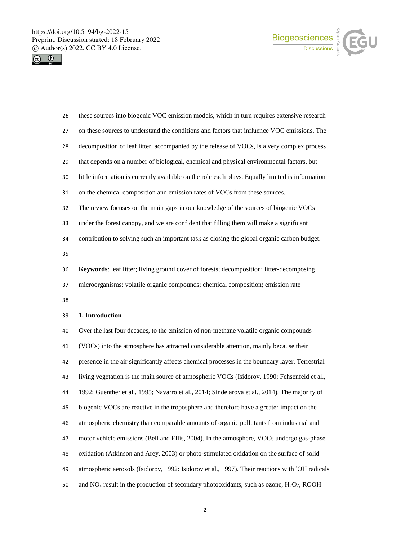



| 26 | these sources into biogenic VOC emission models, which in turn requires extensive research       |
|----|--------------------------------------------------------------------------------------------------|
| 27 | on these sources to understand the conditions and factors that influence VOC emissions. The      |
| 28 | decomposition of leaf litter, accompanied by the release of VOCs, is a very complex process      |
| 29 | that depends on a number of biological, chemical and physical environmental factors, but         |
| 30 | little information is currently available on the role each plays. Equally limited is information |
| 31 | on the chemical composition and emission rates of VOCs from these sources.                       |
| 32 | The review focuses on the main gaps in our knowledge of the sources of biogenic VOCs             |
| 33 | under the forest canopy, and we are confident that filling them will make a significant          |
| 34 | contribution to solving such an important task as closing the global organic carbon budget.      |
| 35 |                                                                                                  |
| 36 | Keywords: leaf litter; living ground cover of forests; decomposition; litter-decomposing         |
| 37 | microorganisms; volatile organic compounds; chemical composition; emission rate                  |
| 38 |                                                                                                  |
| 39 | 1. Introduction                                                                                  |
| 40 | Over the last four decades, to the emission of non-methane volatile organic compounds            |
| 41 | (VOCs) into the atmosphere has attracted considerable attention, mainly because their            |
| 42 | presence in the air significantly affects chemical processes in the boundary layer. Terrestrial  |
| 43 | living vegetation is the main source of atmospheric VOCs (Isidorov, 1990; Fehsenfeld et al.,     |
| 44 | 1992; Guenther et al., 1995; Navarro et al., 2014; Sindelarova et al., 2014). The majority of    |
| 45 | biogenic VOCs are reactive in the troposphere and therefore have a greater impact on the         |

- atmospheric chemistry than comparable amounts of organic pollutants from industrial and
- motor vehicle emissions (Bell and Ellis, 2004). In the atmosphere, VOCs undergo gas-phase
- oxidation (Atkinson and Arey, 2003) or photo-stimulated oxidation on the surface of solid
- atmospheric aerosols (Isidorov, 1992: Isidorov et al., 1997). Their reactions with 'OH radicals
- 50 and  $NO<sub>x</sub>$  result in the production of secondary photooxidants, such as ozone,  $H<sub>2</sub>O<sub>2</sub>$ , ROOH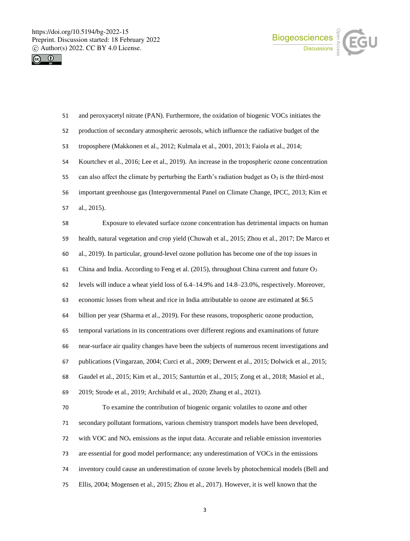



| 51 | and peroxyacetyl nitrate (PAN). Furthermore, the oxidation of biogenic VOCs initiates the            |
|----|------------------------------------------------------------------------------------------------------|
| 52 | production of secondary atmospheric aerosols, which influence the radiative budget of the            |
| 53 | troposphere (Makkonen et al., 2012; Kulmala et al., 2001, 2013; Faiola et al., 2014;                 |
| 54 | Kourtchev et al., 2016; Lee et al., 2019). An increase in the tropospheric ozone concentration       |
| 55 | can also affect the climate by perturbing the Earth's radiation budget as $O_3$ is the third-most    |
| 56 | important greenhouse gas (Intergovernmental Panel on Climate Change, IPCC, 2013; Kim et              |
| 57 | al., 2015).                                                                                          |
| 58 | Exposure to elevated surface ozone concentration has detrimental impacts on human                    |
| 59 | health, natural vegetation and crop yield (Chuwah et al., 2015; Zhou et al., 2017; De Marco et       |
| 60 | al., 2019). In particular, ground-level ozone pollution has become one of the top issues in          |
| 61 | China and India. According to Feng et al. (2015), throughout China current and future O <sub>3</sub> |
| 62 | levels will induce a wheat yield loss of 6.4–14.9% and 14.8–23.0%, respectively. Moreover,           |
| 63 | economic losses from wheat and rice in India attributable to ozone are estimated at \$6.5            |
| 64 | billion per year (Sharma et al., 2019). For these reasons, tropospheric ozone production,            |
| 65 | temporal variations in its concentrations over different regions and examinations of future          |
| 66 | near-surface air quality changes have been the subjects of numerous recent investigations and        |
| 67 | publications (Vingarzan, 2004; Curci et al., 2009; Derwent et al., 2015; Dolwick et al., 2015;       |
| 68 | Gaudel et al., 2015; Kim et al., 2015; Santurtún et al., 2015; Zong et al., 2018; Masiol et al.,     |
| 69 | 2019; Strode et al., 2019; Archibald et al., 2020; Zhang et al., 2021).                              |
| 70 | To examine the contribution of biogenic organic volatiles to ozone and other                         |
| 71 | secondary pollutant formations, various chemistry transport models have been developed,              |
| 72 | with VOC and $NOx$ emissions as the input data. Accurate and reliable emission inventories           |
| 73 | are essential for good model performance; any underestimation of VOCs in the emissions               |
| 74 | inventory could cause an underestimation of ozone levels by photochemical models (Bell and           |
| 75 | Ellis, 2004; Mogensen et al., 2015; Zhou et al., 2017). However, it is well known that the           |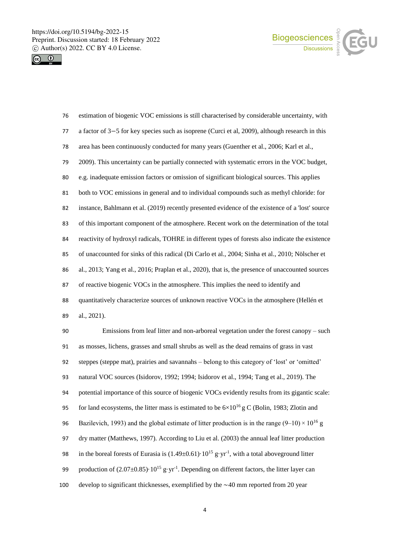



| 76 | estimation of biogenic VOC emissions is still characterised by considerable uncertainty, with     |
|----|---------------------------------------------------------------------------------------------------|
| 77 | a factor of 3–5 for key species such as isoprene (Curci et al, 2009), although research in this   |
| 78 | area has been continuously conducted for many years (Guenther et al., 2006; Karl et al.,          |
| 79 | 2009). This uncertainty can be partially connected with systematic errors in the VOC budget,      |
| 80 | e.g. inadequate emission factors or omission of significant biological sources. This applies      |
| 81 | both to VOC emissions in general and to individual compounds such as methyl chloride: for         |
| 82 | instance, Bahlmann et al. (2019) recently presented evidence of the existence of a 'lost' source  |
| 83 | of this important component of the atmosphere. Recent work on the determination of the total      |
| 84 | reactivity of hydroxyl radicals, TOHRE in different types of forests also indicate the existence  |
| 85 | of unaccounted for sinks of this radical (Di Carlo et al., 2004; Sinha et al., 2010; Nölscher et  |
| 86 | al., 2013; Yang et al., 2016; Praplan et al., 2020), that is, the presence of unaccounted sources |
| 87 | of reactive biogenic VOCs in the atmosphere. This implies the need to identify and                |
| 88 | quantitatively characterize sources of unknown reactive VOCs in the atmosphere (Hellén et         |
| 89 | al., 2021).                                                                                       |

 Emissions from leaf litter and non-arboreal vegetation under the forest canopy – such as mosses, lichens, grasses and small shrubs as well as the dead remains of grass in vast steppes (steppe mat), prairies and savannahs – belong to this category of 'lost' or 'omitted' natural VOC sources (Isidorov, 1992; 1994; Isidorov et al., 1994; Tang et al., 2019). The potential importance of this source of biogenic VOCs evidently results from its gigantic scale: 95 for land ecosystems, the litter mass is estimated to be  $6\times10^{16}$  g C (Bolin, 1983; Zlotin and 96 Bazilevich, 1993) and the global estimate of litter production is in the range (9–10)  $\times$  10<sup>16</sup> g dry matter (Matthews, 1997). According to Liu et al. (2003) the annual leaf litter production 98 in the boreal forests of Eurasia is  $(1.49\pm0.61)\cdot10^{15}$  g·yr<sup>-1</sup>, with a total aboveground litter 99 production of  $(2.07\pm0.85)\cdot10^{15}$  g·yr<sup>-1</sup>. Depending on different factors, the litter layer can develop to significant thicknesses, exemplified by the ∼40 mm reported from 20 year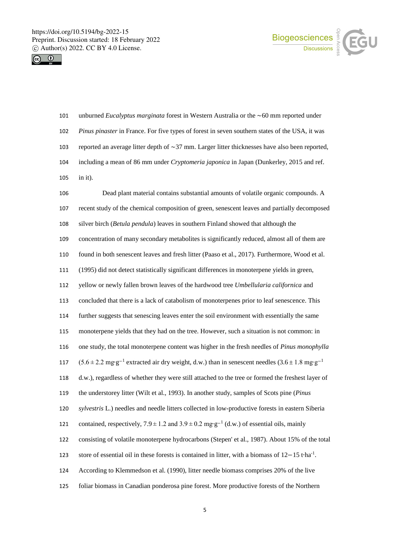



- unburned *Eucalyptus marginata* forest in Western Australia or the ∼60 mm reported under *Pinus pinaster* in France. For five types of forest in seven southern states of the USA, it was reported an average litter depth of ∼37 mm. Larger litter thicknesses have also been reported, including a mean of 86 mm under *Cryptomeria japonica* in Japan (Dunkerley, 2015 and ref. in it).
- Dead plant material contains substantial amounts of volatile organic compounds. A recent study of the chemical composition of green, senescent leaves and partially decomposed silver birch (*Betula pendula*) leaves in southern Finland showed that although the concentration of many secondary metabolites is significantly reduced, almost all of them are found in both senescent leaves and fresh litter (Paaso et al., 2017). Furthermore, Wood et al. (1995) did not detect statistically significant differences in monoterpene yields in green, yellow or newly fallen brown leaves of the hardwood tree *Umbellularia californica* and concluded that there is a lack of catabolism of monoterpenes prior to leaf senescence. This further suggests that senescing leaves enter the soil environment with essentially the same monoterpene yields that they had on the tree. However, such a situation is not common: in one study, the total monoterpene content was higher in the fresh needles of *Pinus monophylla* (5.6 $\pm$ 2.2 mg⋅g<sup>-1</sup> extracted air dry weight, d.w.) than in senescent needles (3.6 $\pm$ 1.8 mg⋅g<sup>-1</sup> d.w.), regardless of whether they were still attached to the tree or formed the freshest layer of the understorey litter (Wilt et al., 1993). In another study, samples of Scots pine (*Pinus sylvestris* L.) needles and needle litters collected in low-productive forests in eastern Siberia contained, respectively,  $7.9 \pm 1.2$  and  $3.9 \pm 0.2$  mg⋅g<sup>-1</sup> (d.w.) of essential oils, mainly consisting of volatile monoterpene hydrocarbons (Stepen' et al., 1987). About 15% of the total store of essential oil in these forests is contained in litter, with a biomass of  $12-15$  t⋅ha<sup>-1</sup>. According to Klemmedson et al. (1990), litter needle biomass comprises 20% of the live foliar biomass in Canadian ponderosa pine forest. More productive forests of the Northern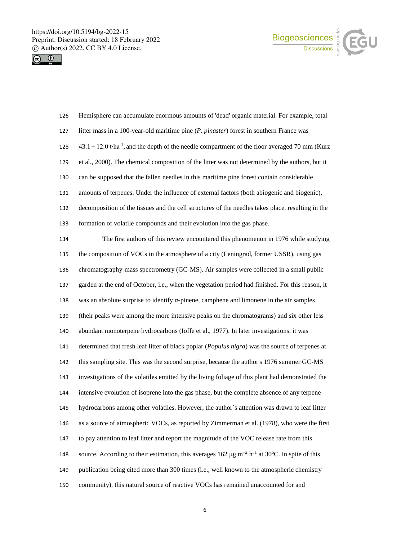



| 126 | Hemisphere can accumulate enormous amounts of 'dead' organic material. For example, total                          |
|-----|--------------------------------------------------------------------------------------------------------------------|
| 127 | litter mass in a 100-year-old maritime pine (P. pinaster) forest in southern France was                            |
| 128 | $43.1 \pm 12.0$ tha <sup>-1</sup> , and the depth of the needle compartment of the floor averaged 70 mm (Kurz      |
| 129 | et al., 2000). The chemical composition of the litter was not determined by the authors, but it                    |
| 130 | can be supposed that the fallen needles in this maritime pine forest contain considerable                          |
| 131 | amounts of terpenes. Under the influence of external factors (both abiogenic and biogenic),                        |
| 132 | decomposition of the tissues and the cell structures of the needles takes place, resulting in the                  |
| 133 | formation of volatile compounds and their evolution into the gas phase.                                            |
| 134 | The first authors of this review encountered this phenomenon in 1976 while studying                                |
| 135 | the composition of VOCs in the atmosphere of a city (Leningrad, former USSR), using gas                            |
| 136 | chromatography-mass spectrometry (GC-MS). Air samples were collected in a small public                             |
| 137 | garden at the end of October, i.e., when the vegetation period had finished. For this reason, it                   |
| 138 | was an absolute surprise to identify $\alpha$ -pinene, camphene and limonene in the air samples                    |
| 139 | (their peaks were among the more intensive peaks on the chromatograms) and six other less                          |
| 140 | abundant monoterpene hydrocarbons (Ioffe et al., 1977). In later investigations, it was                            |
| 141 | determined that fresh leaf litter of black poplar ( <i>Populus nigra</i> ) was the source of terpenes at           |
| 142 | this sampling site. This was the second surprise, because the author's 1976 summer GC-MS                           |
| 143 | investigations of the volatiles emitted by the living foliage of this plant had demonstrated the                   |
| 144 | intensive evolution of isoprene into the gas phase, but the complete absence of any terpene                        |
| 145 | hydrocarbons among other volatiles. However, the author's attention was drawn to leaf litter                       |
| 146 | as a source of atmospheric VOCs, as reported by Zimmerman et al. (1978), who were the first                        |
| 147 | to pay attention to leaf litter and report the magnitude of the VOC release rate from this                         |
| 148 | source. According to their estimation, this averages $162 \mu g m^{-2} h^{-1}$ at $30^{\circ}$ C. In spite of this |
| 149 | publication being cited more than 300 times (i.e., well known to the atmospheric chemistry                         |
| 150 | community), this natural source of reactive VOCs has remained unaccounted for and                                  |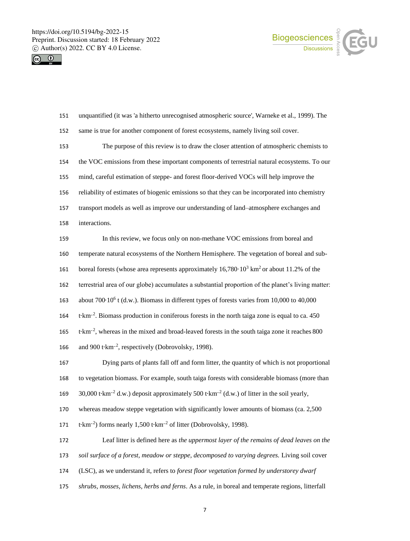



 unquantified (it was 'a hitherto unrecognised atmospheric source', Warneke et al., 1999). The same is true for another component of forest ecosystems, namely living soil cover. The purpose of this review is to draw the closer attention of atmospheric chemists to the VOC emissions from these important components of terrestrial natural ecosystems. To our mind, careful estimation of steppe- and forest floor-derived VOCs will help improve the reliability of estimates of biogenic emissions so that they can be incorporated into chemistry transport models as well as improve our understanding of land–atmosphere exchanges and interactions. In this review, we focus only on non-methane VOC emissions from boreal and temperate natural ecosystems of the Northern Hemisphere. The vegetation of boreal and sub-161 boreal forests (whose area represents approximately  $16,780 \cdot 10^3$  km<sup>2</sup> or about 11.2% of the terrestrial area of our globe) accumulates a substantial proportion of the planet's living matter: about 700∙10<sup>6</sup> t (d.w.). Biomass in different types of forests varies from 10,000 to 40,000 t∙km–<sup>2</sup> . Biomass production in coniferous forests in the north taiga zone is equal to ca. 450 165 t⋅km<sup>-2</sup>, whereas in the mixed and broad-leaved forests in the south taiga zone it reaches 800 166 and 900 t⋅km<sup>-2</sup>, respectively (Dobrovolsky, 1998). Dying parts of plants fall off and form litter, the quantity of which is not proportional to vegetation biomass. For example, south taiga forests with considerable biomass (more than 30,000 t∙km–<sup>2</sup> d.w.) deposit approximately 500 t∙km–<sup>2</sup> (d.w.) of litter in the soil yearly, whereas meadow steppe vegetation with significantly lower amounts of biomass (ca. 2,500 171 t⋅km<sup>-2</sup>) forms nearly 1,500 t⋅km<sup>-2</sup> of litter (Dobrovolsky, 1998). Leaf litter is defined here as *the uppermost layer of the remains of dead leaves on the soil surface of a forest, meadow or steppe, decomposed to varying degrees.* Living soil cover (LSC), as we understand it, refers to *forest floor vegetation formed by understorey dwarf shrubs, mosses, lichens, herbs and ferns*. As a rule, in boreal and temperate regions, litterfall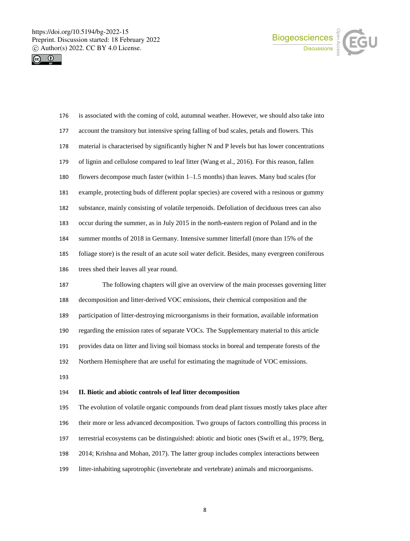



| 176 | is associated with the coming of cold, autumnal weather. However, we should also take into      |
|-----|-------------------------------------------------------------------------------------------------|
| 177 | account the transitory but intensive spring falling of bud scales, petals and flowers. This     |
| 178 | material is characterised by significantly higher N and P levels but has lower concentrations   |
| 179 | of lignin and cellulose compared to leaf litter (Wang et al., 2016). For this reason, fallen    |
| 180 | flowers decompose much faster (within 1–1.5 months) than leaves. Many bud scales (for           |
| 181 | example, protecting buds of different poplar species) are covered with a resinous or gummy      |
| 182 | substance, mainly consisting of volatile terpenoids. Defoliation of deciduous trees can also    |
| 183 | occur during the summer, as in July 2015 in the north-eastern region of Poland and in the       |
| 184 | summer months of 2018 in Germany. Intensive summer litterfall (more than 15% of the             |
| 185 | foliage store) is the result of an acute soil water deficit. Besides, many evergreen coniferous |
| 186 | trees shed their leaves all year round.                                                         |
| 187 | The following chapters will give an overview of the main processes governing litter             |
| 188 | decomposition and litter-derived VOC emissions, their chemical composition and the              |
| 189 | participation of litter-destroying microorganisms in their formation, available information     |
| 190 | regarding the emission rates of separate VOCs. The Supplementary material to this article       |
| 191 | provides data on litter and living soil biomass stocks in boreal and temperate forests of the   |
| 192 | Northern Hemisphere that are useful for estimating the magnitude of VOC emissions.              |

## **II. Biotic and abiotic controls of leaf litter decomposition**

 The evolution of volatile organic compounds from dead plant tissues mostly takes place after their more or less advanced decomposition. Two groups of factors controlling this process in terrestrial ecosystems can be distinguished: abiotic and biotic ones (Swift et al., 1979; Berg, 2014; Krishna and Mohan, 2017). The latter group includes complex interactions between litter-inhabiting saprotrophic (invertebrate and vertebrate) animals and microorganisms.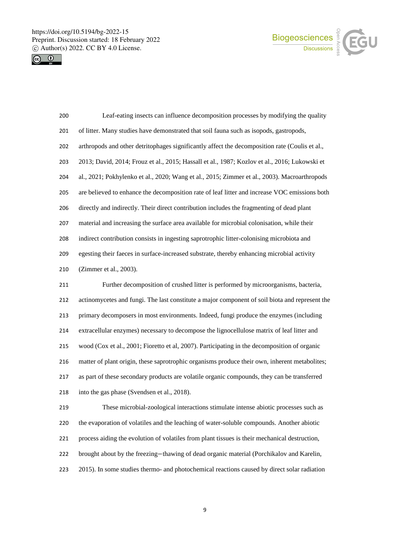



| 200 | Leaf-eating insects can influence decomposition processes by modifying the quality             |
|-----|------------------------------------------------------------------------------------------------|
| 201 | of litter. Many studies have demonstrated that soil fauna such as isopods, gastropods,         |
| 202 | arthropods and other detritophages significantly affect the decomposition rate (Coulis et al., |
| 203 | 2013; David, 2014; Frouz et al., 2015; Hassall et al., 1987; Kozlov et al., 2016; Lukowski et  |
| 204 | al., 2021; Pokhylenko et al., 2020; Wang et al., 2015; Zimmer et al., 2003). Macroarthropods   |
| 205 | are believed to enhance the decomposition rate of leaf litter and increase VOC emissions both  |
| 206 | directly and indirectly. Their direct contribution includes the fragmenting of dead plant      |
| 207 | material and increasing the surface area available for microbial colonisation, while their     |
| 208 | indirect contribution consists in ingesting saprotrophic litter-colonising microbiota and      |
| 209 | egesting their faeces in surface-increased substrate, thereby enhancing microbial activity     |
| 210 | (Zimmer et al., 2003).                                                                         |
| 211 | Further decomposition of crushed litter is performed by microorganisms, bacteria,              |
| 212 | actinomycetes and fungi. The last constitute a major component of soil biota and represent the |
| 213 | primary decomposers in most environments. Indeed, fungi produce the enzymes (including         |
| 214 | extracellular enzymes) necessary to decompose the lignocellulose matrix of leaf litter and     |
| 215 | wood (Cox et al., 2001; Fioretto et al, 2007). Participating in the decomposition of organic   |
| 216 | matter of plant origin, these saprotrophic organisms produce their own, inherent metabolites;  |
| 217 | as part of these secondary products are volatile organic compounds, they can be transferred    |
| 218 | into the gas phase (Svendsen et al., 2018).                                                    |
| 219 | These microbial-zoological interactions stimulate intense abiotic processes such as            |
| 220 | the evaporation of volatiles and the leaching of water-soluble compounds. Another abiotic      |
| 221 | process aiding the evolution of volatiles from plant tissues is their mechanical destruction,  |
| 222 | brought about by the freezing-thawing of dead organic material (Porchikalov and Karelin,       |
| 223 | 2015). In some studies thermo- and photochemical reactions caused by direct solar radiation    |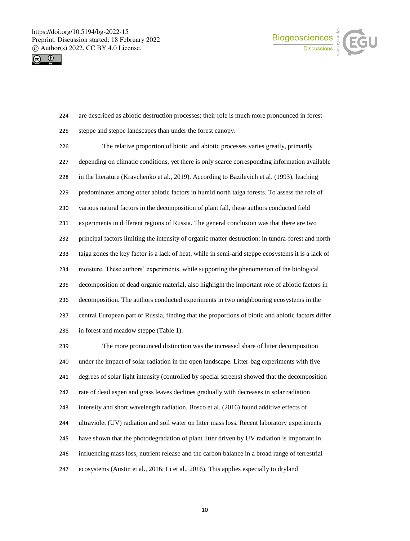



- are described as abiotic destruction processes; their role is much more pronounced in forest-
- steppe and steppe landscapes than under the forest canopy.

 The relative proportion of biotic and abiotic processes varies greatly, primarily depending on climatic conditions, yet there is only scarce corresponding information available in the literature (Kravchenko et al., 2019). According to Bazilevich et al. (1993), leaching predominates among other abiotic factors in humid north taiga forests. To assess the role of various natural factors in the decomposition of plant fall, these authors conducted field experiments in different regions of Russia. The general conclusion was that there are two principal factors limiting the intensity of organic matter destruction: in tundra-forest and north taiga zones the key factor is a lack of heat, while in semi-arid steppe ecosystems it is a lack of moisture. These authors' experiments, while supporting the phenomenon of the biological decomposition of dead organic material, also highlight the important role of abiotic factors in decomposition. The authors conducted experiments in two neighbouring ecosystems in the central European part of Russia, finding that the proportions of biotic and abiotic factors differ in forest and meadow steppe (Table 1).

 The more pronounced distinction was the increased share of litter decomposition under the impact of solar radiation in the open landscape. Litter-bag experiments with five degrees of solar light intensity (controlled by special screens) showed that the decomposition rate of dead aspen and grass leaves declines gradually with decreases in solar radiation intensity and short wavelength radiation. Bosco et al. (2016) found additive effects of ultraviolet (UV) radiation and soil water on litter mass loss. Recent laboratory experiments have shown that the photodegradation of plant litter driven by UV radiation is important in influencing mass loss, nutrient release and the carbon balance in a broad range of terrestrial ecosystems (Austin et al., 2016; Li et al., 2016). This applies especially to dryland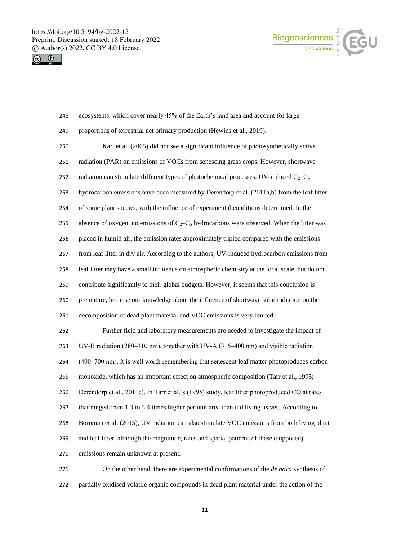



| 248 | ecosystems, which cover nearly 45% of the Earth's land area and account for large              |
|-----|------------------------------------------------------------------------------------------------|
| 249 | proportions of terrestrial net primary production (Hewins et al., 2019).                       |
| 250 | Karl et al. (2005) did not see a significant influence of photosynthetically active            |
| 251 | radiation (PAR) on emissions of VOCs from senescing grass crops. However, shortwave            |
| 252 | radiation can stimulate different types of photochemical processes. UV-induced $C_2-C_5$       |
| 253 | hydrocarbon emissions have been measured by Derendorp et al. (2011a,b) from the leaf litter    |
| 254 | of some plant species, with the influence of experimental conditions determined. In the        |
| 255 | absence of oxygen, no emissions of $C_2-C_5$ hydrocarbons were observed. When the litter was   |
| 256 | placed in humid air, the emission rates approximately tripled compared with the emissions      |
| 257 | from leaf litter in dry air. According to the authors, UV-induced hydrocarbon emissions from   |
| 258 | leaf litter may have a small influence on atmospheric chemistry at the local scale, but do not |
| 259 | contribute significantly to their global budgets. However, it seems that this conclusion is    |
| 260 | premature, because our knowledge about the influence of shortwave solar radiation on the       |
| 261 | decomposition of dead plant material and VOC emissions is very limited.                        |
| 262 | Further field and laboratory measurements are needed to investigate the impact of              |
| 263 | UV-B radiation (280–310 nm), together with UV-A (315–400 nm) and visible radiation             |
| 264 | (400–700 nm). It is well worth remembering that senescent leaf matter photoproduces carbon     |
| 265 | monoxide, which has an important effect on atmospheric composition (Tarr et al., 1995;         |
| 266 | Derendorp et al., 2011c). In Tarr et al.'s (1995) study, leaf litter photoproduced CO at rates |
| 267 | that ranged from 1.3 to 5.4 times higher per unit area than did living leaves. According to    |
| 268 | Bornman et al. (2015), UV radiation can also stimulate VOC emissions from both living plant    |
| 269 | and leaf litter, although the magnitude, rates and spatial patterns of these (supposed)        |
| 270 | emissions remain unknown at present.                                                           |
| 271 | On the other hand, there are experimental confirmations of the <i>de novo</i> synthesis of     |

partially oxidised volatile organic compounds in dead plant material under the action of the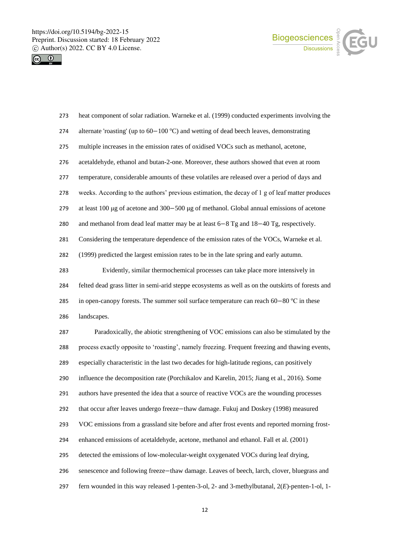



| 273 | heat component of solar radiation. Warneke et al. (1999) conducted experiments involving the        |
|-----|-----------------------------------------------------------------------------------------------------|
| 274 | alternate 'roasting' (up to $60-100$ °C) and wetting of dead beech leaves, demonstrating            |
| 275 | multiple increases in the emission rates of oxidised VOCs such as methanol, acetone,                |
| 276 | acetaldehyde, ethanol and butan-2-one. Moreover, these authors showed that even at room             |
| 277 | temperature, considerable amounts of these volatiles are released over a period of days and         |
| 278 | weeks. According to the authors' previous estimation, the decay of 1 g of leaf matter produces      |
| 279 | at least 100 $\mu$ g of acetone and 300-500 $\mu$ g of methanol. Global annual emissions of acetone |
| 280 | and methanol from dead leaf matter may be at least $6-8$ Tg and $18-40$ Tg, respectively.           |
| 281 | Considering the temperature dependence of the emission rates of the VOCs, Warneke et al.            |
| 282 | (1999) predicted the largest emission rates to be in the late spring and early autumn.              |
| 283 | Evidently, similar thermochemical processes can take place more intensively in                      |
| 284 | felted dead grass litter in semi-arid steppe ecosystems as well as on the outskirts of forests and  |
| 285 | in open-canopy forests. The summer soil surface temperature can reach $60-80$ °C in these           |
| 286 | landscapes.                                                                                         |
| 287 | Paradoxically, the abiotic strengthening of VOC emissions can also be stimulated by the             |
| 288 | process exactly opposite to 'roasting', namely freezing. Frequent freezing and thawing events,      |
| 289 | especially characteristic in the last two decades for high-latitude regions, can positively         |
| 290 | influence the decomposition rate (Porchikalov and Karelin, 2015; Jiang et al., 2016). Some          |
| 291 | authors have presented the idea that a source of reactive VOCs are the wounding processes           |
| 292 | that occur after leaves undergo freeze-thaw damage. Fukuj and Doskey (1998) measured                |
| 293 | VOC emissions from a grassland site before and after frost events and reported morning frost-       |
| 294 | enhanced emissions of acetaldehyde, acetone, methanol and ethanol. Fall et al. (2001)               |
| 295 | detected the emissions of low-molecular-weight oxygenated VOCs during leaf drying,                  |
| 296 | senescence and following freeze-thaw damage. Leaves of beech, larch, clover, bluegrass and          |
| 297 | fern wounded in this way released 1-penten-3-ol, 2- and 3-methylbutanal, $2(E)$ -penten-1-ol, 1-    |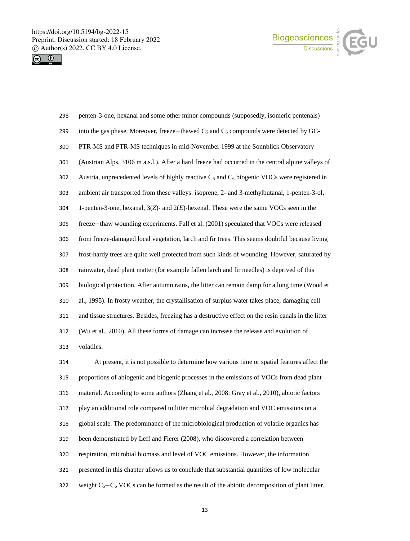



| 298 | penten-3-one, hexanal and some other minor compounds (supposedly, isomeric pentenals)               |
|-----|-----------------------------------------------------------------------------------------------------|
| 299 | into the gas phase. Moreover, freeze-thawed $C_5$ and $C_6$ compounds were detected by GC-          |
| 300 | PTR-MS and PTR-MS techniques in mid-November 1999 at the Sonnblick Observatory                      |
| 301 | (Austrian Alps, 3106 m a.s.l.). After a hard freeze had occurred in the central alpine valleys of   |
| 302 | Austria, unprecedented levels of highly reactive $C_5$ and $C_6$ biogenic VOCs were registered in   |
| 303 | ambient air transported from these valleys: isoprene, 2- and 3-methylbutanal, 1-penten-3-ol,        |
| 304 | 1-penten-3-one, hexanal, $3(Z)$ - and $2(E)$ -hexenal. These were the same VOCs seen in the         |
| 305 | freeze-thaw wounding experiments. Fall et al. (2001) speculated that VOCs were released             |
| 306 | from freeze-damaged local vegetation, larch and fir trees. This seems doubtful because living       |
| 307 | frost-hardy trees are quite well protected from such kinds of wounding. However, saturated by       |
| 308 | rainwater, dead plant matter (for example fallen larch and fir needles) is deprived of this         |
| 309 | biological protection. After autumn rains, the litter can remain damp for a long time (Wood et      |
| 310 | al., 1995). In frosty weather, the crystallisation of surplus water takes place, damaging cell      |
| 311 | and tissue structures. Besides, freezing has a destructive effect on the resin canals in the litter |
| 312 | (Wu et al., 2010). All these forms of damage can increase the release and evolution of              |
| 313 | volatiles.                                                                                          |
| 314 | At present, it is not possible to determine how various time or spatial features affect the         |
| 315 | proportions of abiogenic and biogenic processes in the emissions of VOCs from dead plant            |
| 316 | material. According to some authors (Zhang et al., 2008; Gray et al., 2010), abiotic factors        |
| 317 | play an additional role compared to litter microbial degradation and VOC emissions on a             |

global scale. The predominance of the microbiological production of volatile organics has

- been demonstrated by Leff and Fierer (2008), who discovered a correlation between
- respiration, microbial biomass and level of VOC emissions. However, the information
- presented in this chapter allows us to conclude that substantial quantities of low molecular
- weight С5−С<sup>6</sup> VOCs can be formed as the result of the abiotic decomposition of plant litter.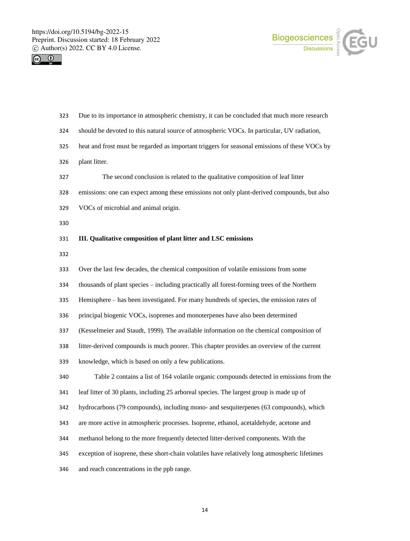



| 323 | Due to its importance in atmospheric chemistry, it can be concluded that much more research   |
|-----|-----------------------------------------------------------------------------------------------|
| 324 | should be devoted to this natural source of atmospheric VOCs. In particular, UV radiation,    |
| 325 | heat and frost must be regarded as important triggers for seasonal emissions of these VOCs by |
| 326 | plant litter.                                                                                 |
| 327 | The second conclusion is related to the qualitative composition of leaf litter                |
| 328 | emissions: one can expect among these emissions not only plant-derived compounds, but also    |
| 329 | VOCs of microbial and animal origin.                                                          |
| 330 |                                                                                               |
| 331 | III. Qualitative composition of plant litter and LSC emissions                                |
| 332 |                                                                                               |
| 333 | Over the last few decades, the chemical composition of volatile emissions from some           |
| 334 | thousands of plant species - including practically all forest-forming trees of the Northern   |
| 335 | Hemisphere – has been investigated. For many hundreds of species, the emission rates of       |
| 336 | principal biogenic VOCs, isoprenes and monoterpenes have also been determined                 |
| 337 | (Kesselmeier and Staudt, 1999). The available information on the chemical composition of      |
| 338 | litter-derived compounds is much poorer. This chapter provides an overview of the current     |
| 339 | knowledge, which is based on only a few publications.                                         |
| 340 | Table 2 contains a list of 164 volatile organic compounds detected in emissions from the      |
| 341 | leaf litter of 30 plants, including 25 arboreal species. The largest group is made up of      |
| 342 | hydrocarbons (79 compounds), including mono- and sesquiterpenes (63 compounds), which         |
| 343 | are more active in atmospheric processes. Isoprene, ethanol, acetaldehyde, acetone and        |
| 344 | methanol belong to the more frequently detected litter-derived components. With the           |
| 345 | exception of isoprene, these short-chain volatiles have relatively long atmospheric lifetimes |
| 346 | and reach concentrations in the ppb range.                                                    |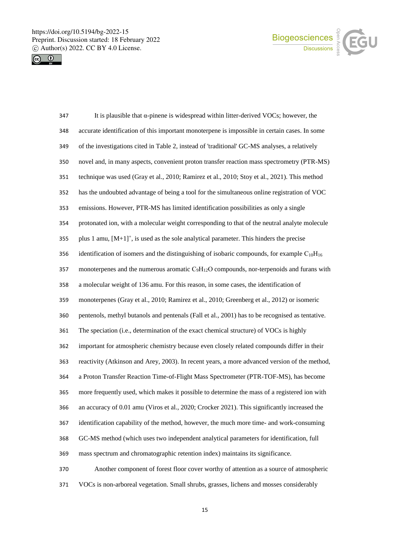



| 347 | It is plausible that $\alpha$ -pinene is widespread within litter-derived VOCs; however, the       |
|-----|----------------------------------------------------------------------------------------------------|
| 348 | accurate identification of this important monoterpene is impossible in certain cases. In some      |
| 349 | of the investigations cited in Table 2, instead of 'traditional' GC-MS analyses, a relatively      |
| 350 | novel and, in many aspects, convenient proton transfer reaction mass spectrometry (PTR-MS)         |
| 351 | technique was used (Gray et al., 2010; Ramirez et al., 2010; Stoy et al., 2021). This method       |
| 352 | has the undoubted advantage of being a tool for the simultaneous online registration of VOC        |
| 353 | emissions. However, PTR-MS has limited identification possibilities as only a single               |
| 354 | protonated ion, with a molecular weight corresponding to that of the neutral analyte molecule      |
| 355 | plus 1 amu, $[M+1]^+$ , is used as the sole analytical parameter. This hinders the precise         |
| 356 | identification of isomers and the distinguishing of isobaric compounds, for example $C_{10}H_{16}$ |
| 357 | monoterpenes and the numerous aromatic $C_9H_{12}O$ compounds, nor-terpenoids and furans with      |
| 358 | a molecular weight of 136 amu. For this reason, in some cases, the identification of               |
| 359 | monoterpenes (Gray et al., 2010; Ramirez et al., 2010; Greenberg et al., 2012) or isomeric         |
| 360 | pentenols, methyl butanols and pentenals (Fall et al., 2001) has to be recognised as tentative.    |
| 361 | The speciation (i.e., determination of the exact chemical structure) of VOCs is highly             |
| 362 | important for atmospheric chemistry because even closely related compounds differ in their         |
| 363 | reactivity (Atkinson and Arey, 2003). In recent years, a more advanced version of the method,      |
| 364 | a Proton Transfer Reaction Time-of-Flight Mass Spectrometer (PTR-TOF-MS), has become               |
| 365 | more frequently used, which makes it possible to determine the mass of a registered ion with       |
| 366 | an accuracy of 0.01 amu (Viros et al., 2020; Crocker 2021). This significantly increased the       |
| 367 | identification capability of the method, however, the much more time- and work-consuming           |
| 368 | GC-MS method (which uses two independent analytical parameters for identification, full            |
| 369 | mass spectrum and chromatographic retention index) maintains its significance.                     |
| 370 | Another component of forest floor cover worthy of attention as a source of atmospheric             |
| 371 | VOCs is non-arboreal vegetation. Small shrubs, grasses, lichens and mosses considerably            |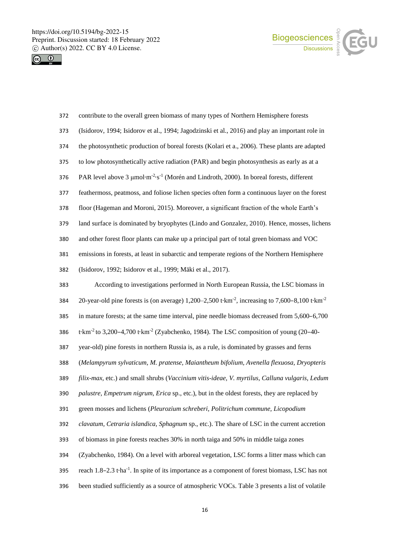



| 372 | contribute to the overall green biomass of many types of Northern Hemisphere forests                                   |
|-----|------------------------------------------------------------------------------------------------------------------------|
| 373 | (Isidorov, 1994; Isidorov et al., 1994; Jagodzinski et al., 2016) and play an important role in                        |
| 374 | the photosynthetic production of boreal forests (Kolari et a., 2006). These plants are adapted                         |
| 375 | to low photosynthetically active radiation (PAR) and begin photosynthesis as early as at a                             |
| 376 | PAR level above 3 µmol·m <sup>-2</sup> ·s <sup>-1</sup> (Morén and Lindroth, 2000). In boreal forests, different       |
| 377 | feathermoss, peatmoss, and foliose lichen species often form a continuous layer on the forest                          |
| 378 | floor (Hageman and Moroni, 2015). Moreover, a significant fraction of the whole Earth's                                |
| 379 | land surface is dominated by bryophytes (Lindo and Gonzalez, 2010). Hence, mosses, lichens                             |
| 380 | and other forest floor plants can make up a principal part of total green biomass and VOC                              |
| 381 | emissions in forests, at least in subarctic and temperate regions of the Northern Hemisphere                           |
| 382 | (Isidorov, 1992; Isidorov et al., 1999; Mäki et al., 2017).                                                            |
| 383 | According to investigations performed in North European Russia, the LSC biomass in                                     |
| 384 | 20-year-old pine forests is (on average) 1,200-2,500 t·km <sup>-2</sup> , increasing to 7,600-8,100 t·km <sup>-2</sup> |
| 385 | in mature forests; at the same time interval, pine needle biomass decreased from 5,600-6,700                           |
| 386 | t·km <sup>-2</sup> to 3,200-4,700 t·km <sup>-2</sup> (Zyabchenko, 1984). The LSC composition of young (20-40-          |
| 387 | year-old) pine forests in northern Russia is, as a rule, is dominated by grasses and ferns                             |
| 388 | (Melampyrum sylvaticum, M. pratense, Maiantheum bifolium, Avenella flexuosa, Dryopteris                                |
| 389 | filix-max, etc.) and small shrubs (Vaccinium vitis-ideae, V. myrtilus, Calluna vulgaris, Ledum                         |
| 390 | palustre, Empetrum nigrum, Erica sp., etc.), but in the oldest forests, they are replaced by                           |
| 391 | green mosses and lichens (Pleurozium schreberi, Politrichum commune, Licopodium                                        |
| 392 | clavatum, Cetraria islandica, Sphagnum sp., etc.). The share of LSC in the current accretion                           |
| 393 | of biomass in pine forests reaches 30% in north taiga and 50% in middle taiga zones                                    |
| 394 | (Zyabchenko, 1984). On a level with arboreal vegetation, LSC forms a litter mass which can                             |
| 395 | reach 1.8–2.3 tha <sup>-1</sup> . In spite of its importance as a component of forest biomass, LSC has not             |
| 396 | been studied sufficiently as a source of atmospheric VOCs. Table 3 presents a list of volatile                         |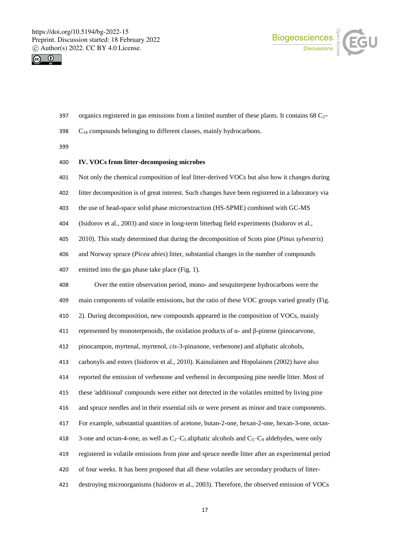



- 397 organics registered in gas emissions from a limited number of these plants. It contains  $68 \text{ C}_2$ -
- C<sup>14</sup> compounds belonging to different classes, mainly hydrocarbons.

## **IV. VOCs from litter-decomposing microbes**

- Not only the chemical composition of leaf litter-derived VOCs but also how it changes during
- litter decomposition is of great interest. Such changes have been registered in a laboratory via
- the use of head-space solid phase microextraction (HS-SPME) combined with GC-MS
- (Isidorov et al., 2003) and since in long-term litterbag field experiments (Isidorov et al.,
- 2010). This study determined that during the decomposition of Scots pine (*Pinus sylvestris*)
- and Norway spruce (*Picea abies*) litter, substantial changes in the number of compounds
- emitted into the gas phase take place (Fig. 1).

 Over the entire observation period, mono- and sesquiterpene hydrocarbons were the main components of volatile emissions, but the ratio of these VOC groups varied greatly (Fig. 2). During decomposition, new compounds appeared in the composition of VOCs, mainly

411 represented by monoterpenoids, the oxidation products of  $\alpha$ - and  $\beta$ -pinene (pinocarvone,

pinocampon, myrtenal, myrtenol, *cis*-3-pinanone, verbenone) and aliphatic alcohols,

carbonyls and esters (Isidorov et al., 2010). Kainulainen and Hopolainen (2002) have also

reported the emission of verbenone and verbenol in decomposing pine needle litter. Most of

these 'additional' compounds were either not detected in the volatiles emitted by living pine

and spruce needles and in their essential oils or were present as minor and trace components.

- For example, substantial quantities of acetone, butan-2-one, hexan-2-one, hexan-3-one, octan-
- 418 3-one and octan-4-one, as well as  $C_2 C_5$  aliphatic alcohols and  $C_5 C_9$  aldehydes, were only
- registered in volatile emissions from pine and spruce needle litter after an experimental period
- of four weeks. It has been proposed that all these volatiles are secondary products of litter-
- destroying microorganisms (Isidorov et al., 2003). Therefore, the observed emission of VOCs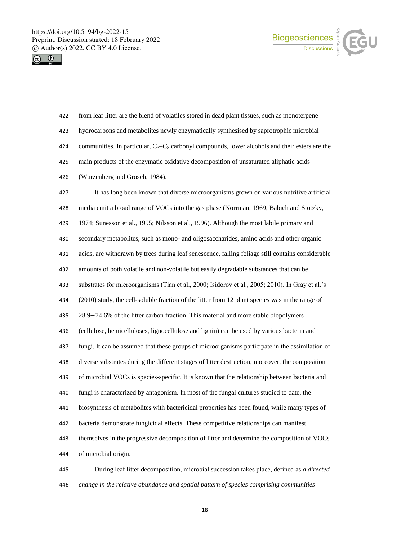



| 422 | from leaf litter are the blend of volatiles stored in dead plant tissues, such as monoterpene       |
|-----|-----------------------------------------------------------------------------------------------------|
| 423 | hydrocarbons and metabolites newly enzymatically synthesised by saprotrophic microbial              |
| 424 | communities. In particular, $C_3 - C_8$ carbonyl compounds, lower alcohols and their esters are the |
| 425 | main products of the enzymatic oxidative decomposition of unsaturated aliphatic acids               |
| 426 | (Wurzenberg and Grosch, 1984).                                                                      |
| 427 | It has long been known that diverse microorganisms grown on various nutritive artificial            |
| 428 | media emit a broad range of VOCs into the gas phase (Norrman, 1969; Babich and Stotzky,             |
| 429 | 1974; Sunesson et al., 1995; Nilsson et al., 1996). Although the most labile primary and            |
| 430 | secondary metabolites, such as mono- and oligosaccharides, amino acids and other organic            |
| 431 | acids, are withdrawn by trees during leaf senescence, falling foliage still contains considerable   |
| 432 | amounts of both volatile and non-volatile but easily degradable substances that can be              |
| 433 | substrates for microorganisms (Tian et al., 2000; Isidorov et al., 2005; 2010). In Gray et al.'s    |
| 434 | (2010) study, the cell-soluble fraction of the litter from 12 plant species was in the range of     |
| 435 | 28.9-74.6% of the litter carbon fraction. This material and more stable biopolymers                 |
| 436 | (cellulose, hemicelluloses, lignocellulose and lignin) can be used by various bacteria and          |
| 437 | fungi. It can be assumed that these groups of microorganisms participate in the assimilation of     |
| 438 | diverse substrates during the different stages of litter destruction; moreover, the composition     |
| 439 | of microbial VOCs is species-specific. It is known that the relationship between bacteria and       |
| 440 | fungi is characterized by antagonism. In most of the fungal cultures studied to date, the           |
| 441 | biosynthesis of metabolites with bactericidal properties has been found, while many types of        |
| 442 | bacteria demonstrate fungicidal effects. These competitive relationships can manifest               |
| 443 | themselves in the progressive decomposition of litter and determine the composition of VOCs         |
| 444 | of microbial origin.                                                                                |
| 445 | During leaf litter decomposition, microbial succession takes place, defined as a directed           |

*change in the relative abundance and spatial pattern of species comprising communities*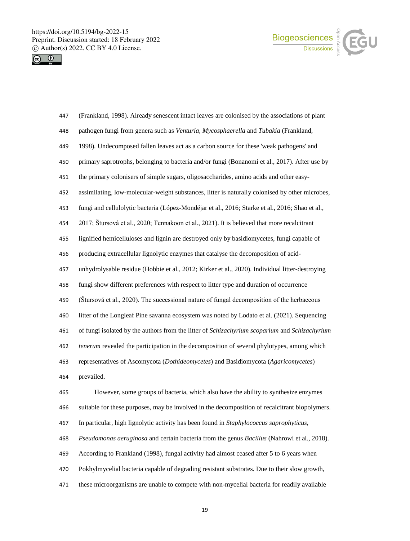



| 447 | (Frankland, 1998). Already senescent intact leaves are colonised by the associations of plant   |
|-----|-------------------------------------------------------------------------------------------------|
| 448 | pathogen fungi from genera such as Venturia, Mycosphaerella and Tubakia (Frankland,             |
| 449 | 1998). Undecomposed fallen leaves act as a carbon source for these 'weak pathogens' and         |
| 450 | primary saprotrophs, belonging to bacteria and/or fungi (Bonanomi et al., 2017). After use by   |
| 451 | the primary colonisers of simple sugars, oligosaccharides, amino acids and other easy-          |
| 452 | assimilating, low-molecular-weight substances, litter is naturally colonised by other microbes, |
| 453 | fungi and cellulolytic bacteria (López-Mondéjar et al., 2016; Starke et al., 2016; Shao et al., |
| 454 | 2017; Štursová et al., 2020; Tennakoon et al., 2021). It is believed that more recalcitrant     |
| 455 | lignified hemicelluloses and lignin are destroyed only by basidiomycetes, fungi capable of      |
| 456 | producing extracellular lignolytic enzymes that catalyse the decomposition of acid-             |
| 457 | unhydrolysable residue (Hobbie et al., 2012; Kirker et al., 2020). Individual litter-destroying |
| 458 | fungi show different preferences with respect to litter type and duration of occurrence         |
| 459 | (Stursová et al., 2020). The successional nature of fungal decomposition of the herbaceous      |
| 460 | litter of the Longleaf Pine savanna ecosystem was noted by Lodato et al. (2021). Sequencing     |
| 461 | of fungi isolated by the authors from the litter of Schizachyrium scoparium and Schizachyrium   |
| 462 | tenerum revealed the participation in the decomposition of several phylotypes, among which      |
| 463 | representatives of Ascomycota (Dothideomycetes) and Basidiomycota (Agaricomycetes)              |
| 464 | prevailed.                                                                                      |
| 465 | However, some groups of bacteria, which also have the ability to synthesize enzymes             |
| 466 | suitable for these purposes, may be involved in the decomposition of recalcitrant biopolymers.  |
| 467 | In particular, high lignolytic activity has been found in Staphylococcus saprophyticus,         |
| 468 | Pseudomonas aeruginosa and certain bacteria from the genus Bacillus (Nahrowi et al., 2018).     |
| 469 | According to Frankland (1998), fungal activity had almost ceased after 5 to 6 years when        |
| 470 | Pokhylmycelial bacteria capable of degrading resistant substrates. Due to their slow growth,    |
|     |                                                                                                 |

these microorganisms are unable to compete with non-mycelial bacteria for readily available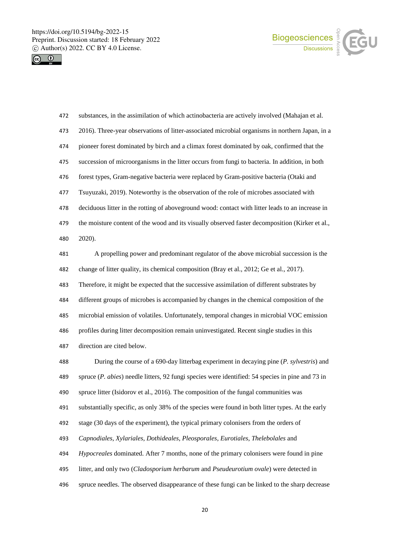



| 472 | substances, in the assimilation of which actinobacteria are actively involved (Mahajan et al.              |
|-----|------------------------------------------------------------------------------------------------------------|
| 473 | 2016). Three-year observations of litter-associated microbial organisms in northern Japan, in a            |
| 474 | pioneer forest dominated by birch and a climax forest dominated by oak, confirmed that the                 |
| 475 | succession of microorganisms in the litter occurs from fungi to bacteria. In addition, in both             |
| 476 | forest types, Gram-negative bacteria were replaced by Gram-positive bacteria (Otaki and                    |
| 477 | Tsuyuzaki, 2019). Noteworthy is the observation of the role of microbes associated with                    |
| 478 | deciduous litter in the rotting of aboveground wood: contact with litter leads to an increase in           |
| 479 | the moisture content of the wood and its visually observed faster decomposition (Kirker et al.,            |
| 480 | 2020).                                                                                                     |
| 481 | A propelling power and predominant regulator of the above microbial succession is the                      |
| 482 | change of litter quality, its chemical composition (Bray et al., 2012; Ge et al., 2017).                   |
| 483 | Therefore, it might be expected that the successive assimilation of different substrates by                |
| 484 | different groups of microbes is accompanied by changes in the chemical composition of the                  |
| 485 | microbial emission of volatiles. Unfortunately, temporal changes in microbial VOC emission                 |
| 486 | profiles during litter decomposition remain uninvestigated. Recent single studies in this                  |
| 487 | direction are cited below.                                                                                 |
| 488 | During the course of a 690-day litterbag experiment in decaying pine (P. sylvestris) and                   |
| 489 | spruce $(P. \text{ abies})$ needle litters, 92 fungi species were identified: 54 species in pine and 73 in |
| 490 | spruce litter (Isidorov et al., 2016). The composition of the fungal communities was                       |
| 491 | substantially specific, as only 38% of the species were found in both litter types. At the early           |
| 492 | stage (30 days of the experiment), the typical primary colonisers from the orders of                       |
| 493 | Capnodiales, Xylariales, Dothideales, Pleosporales, Eurotiales, Thelebolales and                           |
| 494 | Hypocreales dominated. After 7 months, none of the primary colonisers were found in pine                   |
| 495 | litter, and only two (Cladosporium herbarum and Pseudeurotium ovale) were detected in                      |

spruce needles. The observed disappearance of these fungi can be linked to the sharp decrease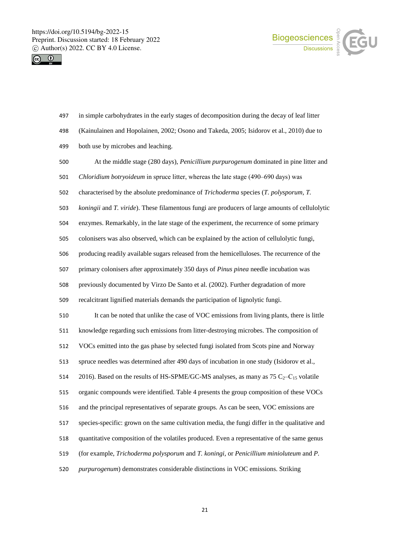



| 498 | (Kainulainen and Hopolainen, 2002; Osono and Takeda, 2005; Isidorov et al., 2010) due to        |
|-----|-------------------------------------------------------------------------------------------------|
| 499 | both use by microbes and leaching.                                                              |
| 500 | At the middle stage (280 days), Penicillium purpurogenum dominated in pine litter and           |
| 501 | Chloridium botryoideum in spruce litter, whereas the late stage (490-690 days) was              |
| 502 | characterised by the absolute predominance of Trichoderma species (T. polysporum, T.            |
| 503 | koningii and T. viride). These filamentous fungi are producers of large amounts of cellulolytic |
| 504 | enzymes. Remarkably, in the late stage of the experiment, the recurrence of some primary        |
| 505 | colonisers was also observed, which can be explained by the action of cellulolytic fungi,       |
| 506 | producing readily available sugars released from the hemicelluloses. The recurrence of the      |
| 507 | primary colonisers after approximately 350 days of Pinus pinea needle incubation was            |
| 508 | previously documented by Virzo De Santo et al. (2002). Further degradation of more              |
| 509 | recalcitrant lignified materials demands the participation of lignolytic fungi.                 |
| 510 | It can be noted that unlike the case of VOC emissions from living plants, there is little       |
| 511 | knowledge regarding such emissions from litter-destroying microbes. The composition of          |
| 512 | VOCs emitted into the gas phase by selected fungi isolated from Scots pine and Norway           |
| 513 | spruce needles was determined after 490 days of incubation in one study (Isidorov et al.,       |
| 514 | 2016). Based on the results of HS-SPME/GC-MS analyses, as many as 75 $C_2-C_{15}$ volatile      |
| 515 | organic compounds were identified. Table 4 presents the group composition of these VOCs         |
| 516 | and the principal representatives of separate groups. As can be seen, VOC emissions are         |
| 517 | species-specific: grown on the same cultivation media, the fungi differ in the qualitative and  |
| 518 | quantitative composition of the volatiles produced. Even a representative of the same genus     |
| 519 | (for example, Trichoderma polysporum and T. koningi, or Penicillium minioluteum and P.          |
| 520 | purpurogenum) demonstrates considerable distinctions in VOC emissions. Striking                 |

in simple carbohydrates in the early stages of decomposition during the decay of leaf litter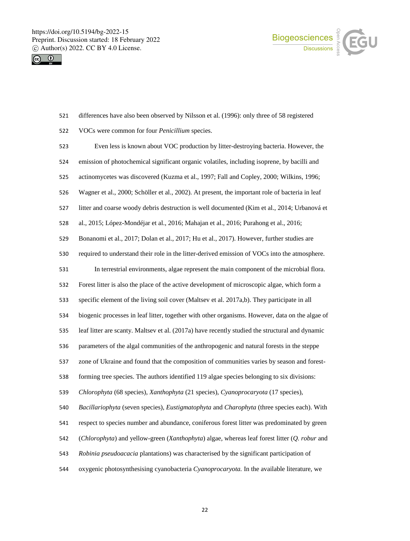



differences have also been observed by Nilsson et al. (1996): only three of 58 registered

VOCs were common for four *Penicillium* species.

 Even less is known about VOC production by litter-destroying bacteria. However, the emission of photochemical significant organic volatiles, including isoprene, by bacilli and actinomycetes was discovered (Kuzma et al., 1997; Fall and Copley, 2000; Wilkins, 1996; Wagner et al., 2000; Schöller et al., 2002). At present, the important role of bacteria in leaf litter and coarse woody debris destruction is well documented (Kim et al., 2014; Urbanová et al., 2015; López-Mondéjar et al., 2016; Mahajan et al., 2016; Purahong et al., 2016; Bonanomi et al., 2017; Dolan et al., 2017; Hu et al., 2017). However, further studies are required to understand their role in the litter-derived emission of VOCs into the atmosphere. In terrestrial environments, algae represent the main component of the microbial flora. Forest litter is also the place of the active development of microscopic algae, which form a specific element of the living soil cover (Maltsev et al. 2017a,b). They participate in all biogenic processes in leaf litter, together with other organisms. However, data on the algae of leaf litter are scanty. Maltsev et al. (2017a) have recently studied the structural and dynamic parameters of the algal communities of the anthropogenic and natural forests in the steppe zone of Ukraine and found that the composition of communities varies by season and forest- forming tree species. The authors identified 119 algae species belonging to six divisions: *Chlorophyta* (68 species), *Xanthophyta* (21 species), *Cyanoprocaryota* (17 species), *Bacillariophyta* (seven species), *Eustigmatophyta* and *Charophyta* (three species each). With respect to species number and abundance, coniferous forest litter was predominated by green (*Chlorophyta*) and yellow-green (*Xanthophyta*) algae, whereas leaf forest litter (*Q. robur* and *Robinia pseudoacacia* plantations) was characterised by the significant participation of oxygenic photosynthesising cyanobacteria *Cyanoprocaryota.* In the available literature, we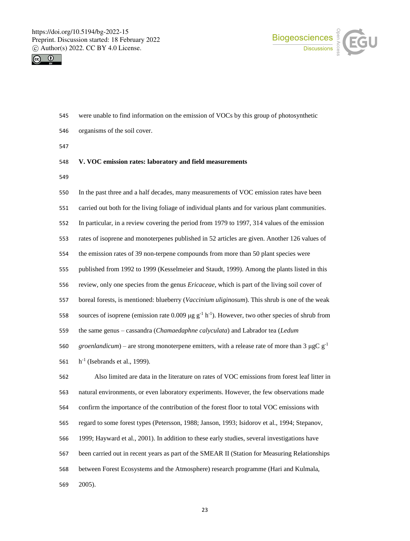



- were unable to find information on the emission of VOCs by this group of photosynthetic
- organisms of the soil cover.

## **V. VOC emission rates: laboratory and field measurements**

- 
- In the past three and a half decades, many measurements of VOC emission rates have been

carried out both for the living foliage of individual plants and for various plant communities.

In particular, in a review covering the period from 1979 to 1997, 314 values of the emission

rates of isoprene and monoterpenes published in 52 articles are given. Another 126 values of

the emission rates of 39 non-terpene compounds from more than 50 plant species were

published from 1992 to 1999 (Kesselmeier and Staudt, 1999). Among the plants listed in this

review, only one species from the genus *Ericaceae*, which is part of the living soil cover of

boreal forests, is mentioned: blueberry (*Vaccinium uliginosum*). This shrub is one of the weak

558 sources of isoprene (emission rate 0.009 μg  $g^{-1}$  h<sup>-1</sup>). However, two other species of shrub from

the same genus – cassandra (*Chamaedaphne calyculata*) and Labrador tea (*Ledum* 

*groenlandicum*) – are strong monoterpene emitters, with a release rate of more than  $3 \mu g C g^{-1}$ 

561 h<sup>-1</sup> (Isebrands et al., 1999).

 Also limited are data in the literature on rates of VOC emissions from forest leaf litter in natural environments, or even laboratory experiments. However, the few observations made confirm the importance of the contribution of the forest floor to total VOC emissions with regard to some forest types (Petersson, 1988; Janson, 1993; Isidorov et al., 1994; Stepanov, 1999; Hayward et al., 2001). In addition to these early studies, several investigations have been carried out in recent years as part of the SMEAR II (Station for Measuring Relationships between Forest Ecosystems and the Atmosphere) research programme (Hari and Kulmala, 2005).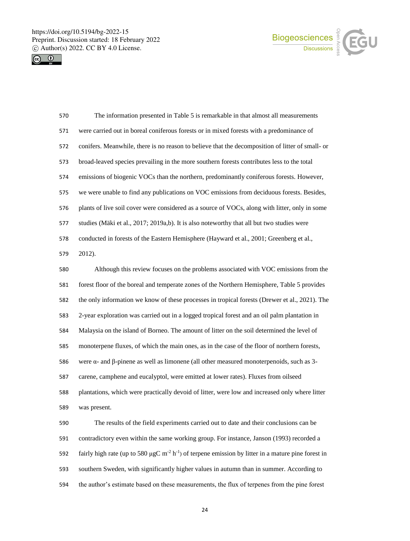



| 570 | The information presented in Table 5 is remarkable in that almost all measurements                                         |
|-----|----------------------------------------------------------------------------------------------------------------------------|
| 571 | were carried out in boreal coniferous forests or in mixed forests with a predominance of                                   |
| 572 | conifers. Meanwhile, there is no reason to believe that the decomposition of litter of small- or                           |
| 573 | broad-leaved species prevailing in the more southern forests contributes less to the total                                 |
| 574 | emissions of biogenic VOCs than the northern, predominantly coniferous forests. However,                                   |
| 575 | we were unable to find any publications on VOC emissions from deciduous forests. Besides,                                  |
| 576 | plants of live soil cover were considered as a source of VOCs, along with litter, only in some                             |
| 577 | studies (Mäki et al., 2017; 2019a,b). It is also noteworthy that all but two studies were                                  |
| 578 | conducted in forests of the Eastern Hemisphere (Hayward et al., 2001; Greenberg et al.,                                    |
| 579 | 2012).                                                                                                                     |
| 580 | Although this review focuses on the problems associated with VOC emissions from the                                        |
| 581 | forest floor of the boreal and temperate zones of the Northern Hemisphere, Table 5 provides                                |
| 582 | the only information we know of these processes in tropical forests (Drewer et al., 2021). The                             |
| 583 | 2-year exploration was carried out in a logged tropical forest and an oil palm plantation in                               |
| 584 | Malaysia on the island of Borneo. The amount of litter on the soil determined the level of                                 |
| 585 | monoterpene fluxes, of which the main ones, as in the case of the floor of northern forests,                               |
| 586 | were $\alpha$ - and $\beta$ -pinene as well as limonene (all other measured monoterpenoids, such as 3-                     |
| 587 | carene, camphene and eucalyptol, were emitted at lower rates). Fluxes from oilseed                                         |
| 588 | plantations, which were practically devoid of litter, were low and increased only where litter                             |
| 589 | was present.                                                                                                               |
| 590 | The results of the field experiments carried out to date and their conclusions can be                                      |
| 591 | contradictory even within the same working group. For instance, Janson (1993) recorded a                                   |
| 592 | fairly high rate (up to 580 µgC m <sup>-2</sup> h <sup>-1</sup> ) of terpene emission by litter in a mature pine forest in |
| 593 | southern Sweden, with significantly higher values in autumn than in summer. According to                                   |
| 594 | the author's estimate based on these measurements, the flux of terpenes from the pine forest                               |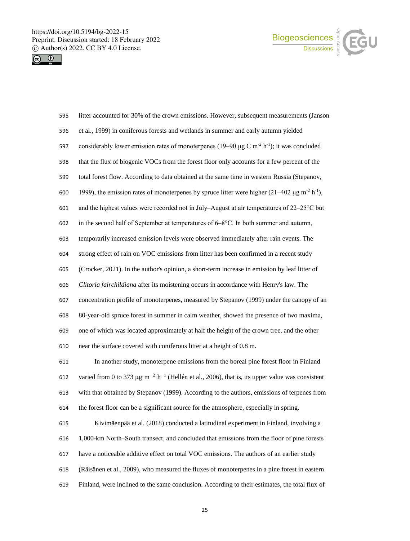



| 595 | litter accounted for 30% of the crown emissions. However, subsequent measurements (Janson                                    |
|-----|------------------------------------------------------------------------------------------------------------------------------|
| 596 | et al., 1999) in coniferous forests and wetlands in summer and early autumn yielded                                          |
| 597 | considerably lower emission rates of monoterpenes (19–90 µg C m <sup>-2</sup> h <sup>-1</sup> ); it was concluded            |
| 598 | that the flux of biogenic VOCs from the forest floor only accounts for a few percent of the                                  |
| 599 | total forest flow. According to data obtained at the same time in western Russia (Stepanov,                                  |
| 600 | 1999), the emission rates of monoterpenes by spruce litter were higher $(21-402 \mu g m^2 h^{-1})$ ,                         |
| 601 | and the highest values were recorded not in July–August at air temperatures of $22-25^{\circ}$ C but                         |
| 602 | in the second half of September at temperatures of $6-8^{\circ}$ C. In both summer and autumn,                               |
| 603 | temporarily increased emission levels were observed immediately after rain events. The                                       |
| 604 | strong effect of rain on VOC emissions from litter has been confirmed in a recent study                                      |
| 605 | (Crocker, 2021). In the author's opinion, a short-term increase in emission by leaf litter of                                |
| 606 | Clitoria fairchildiana after its moistening occurs in accordance with Henry's law. The                                       |
| 607 | concentration profile of monoterpenes, measured by Stepanov (1999) under the canopy of an                                    |
| 608 | 80-year-old spruce forest in summer in calm weather, showed the presence of two maxima,                                      |
| 609 | one of which was located approximately at half the height of the crown tree, and the other                                   |
| 610 | near the surface covered with coniferous litter at a height of 0.8 m.                                                        |
| 611 | In another study, monoterpene emissions from the boreal pine forest floor in Finland                                         |
| 612 | varied from 0 to 373 $\mu$ g·m <sup>-2</sup> ·h <sup>-1</sup> (Hellén et al., 2006), that is, its upper value was consistent |
| 613 | with that obtained by Stepanov (1999). According to the authors, emissions of terpenes from                                  |
| 614 | the forest floor can be a significant source for the atmosphere, especially in spring.                                       |
| 615 | Kivimäenpää et al. (2018) conducted a latitudinal experiment in Finland, involving a                                         |
| 616 | 1,000-km North-South transect, and concluded that emissions from the floor of pine forests                                   |
| 617 | have a noticeable additive effect on total VOC emissions. The authors of an earlier study                                    |
| 618 | (Räisänen et al., 2009), who measured the fluxes of monoterpenes in a pine forest in eastern                                 |
| 619 | Finland, were inclined to the same conclusion. According to their estimates, the total flux of                               |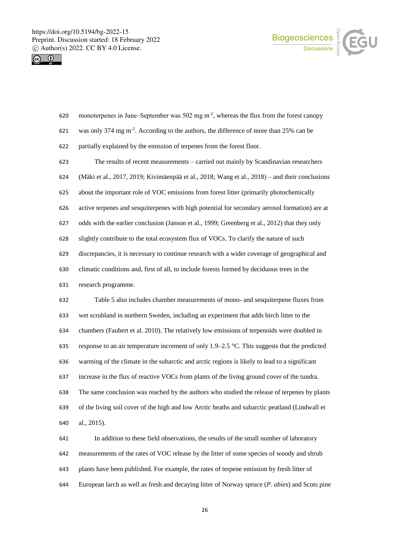



| 621 | was only 374 mg m <sup>-2</sup> . According to the authors, the difference of more than 25% can be |
|-----|----------------------------------------------------------------------------------------------------|
| 622 | partially explained by the emission of terpenes from the forest floor.                             |
| 623 | The results of recent measurements – carried out mainly by Scandinavian researchers                |
| 624 | (Mäki et al., 2017, 2019; Kivimäenpää et al., 2018; Wang et al., 2018) - and their conclusions     |
| 625 | about the important role of VOC emissions from forest litter (primarily photochemically            |
| 626 | active terpenes and sesquiterpenes with high potential for secondary aerosol formation) are at     |
| 627 | odds with the earlier conclusion (Janson et al., 1999; Greenberg et al., 2012) that they only      |
| 628 | slightly contribute to the total ecosystem flux of VOCs. To clarify the nature of such             |
| 629 | discrepancies, it is necessary to continue research with a wider coverage of geographical and      |
| 630 | climatic conditions and, first of all, to include forests formed by deciduous trees in the         |
| 631 | research programme.                                                                                |
| 632 | Table 5 also includes chamber measurements of mono- and sesquiterpene fluxes from                  |
| 633 | wet scrubland in northern Sweden, including an experiment that adds birch litter to the            |
| 634 | chambers (Faubert et al. 2010). The relatively low emissions of terpenoids were doubled in         |
| 635 | response to an air temperature increment of only 1.9–2.5 °C. This suggests that the predicted      |
| 636 | warming of the climate in the subarctic and arctic regions is likely to lead to a significant      |
| 637 | increase in the flux of reactive VOCs from plants of the living ground cover of the tundra.        |
| 638 | The same conclusion was reached by the authors who studied the release of terpenes by plants       |
| 639 | of the living soil cover of the high and low Arctic heaths and subarctic peatland (Lindwall et     |

620 monoterpenes in June–September was 502 mg m<sup>-2</sup>, whereas the flux from the forest canopy

al., 2015).

 In addition to these field observations, the results of the small number of laboratory measurements of the rates of VOC release by the litter of some species of woody and shrub plants have been published. For example, the rates of terpene emission by fresh litter of European larch as well as fresh and decaying litter of Norway spruce (*P. abies*) and Scots pine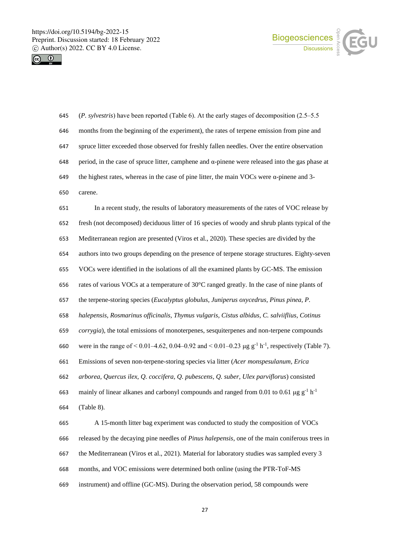



- (*P. sylvestris*) have been reported (Table 6). At the early stages of decomposition (2.5‒5.5 months from the beginning of the experiment), the rates of terpene emission from pine and spruce litter exceeded those observed for freshly fallen needles. Over the entire observation period, in the case of spruce litter, camphene and α-pinene were released into the gas phase at the highest rates, whereas in the case of pine litter, the main VOCs were α-pinene and 3- carene.
- In a recent study, the results of laboratory measurements of the rates of VOC release by fresh (not decomposed) deciduous litter of 16 species of woody and shrub plants typical of the Mediterranean region are presented (Viros et al., 2020). These species are divided by the authors into two groups depending on the presence of terpene storage structures. Eighty-seven VOCs were identified in the isolations of all the examined plants by GC-MS. The emission rates of various VOCs at a temperature of 30°C ranged greatly. In the case of nine plants of the terpene-storing species (*Eucalyptus globulus, Juniperus oxycedrus, Pinus pinea, P. halepensis, Rosmarinus officinalis, Thymus vulgaris, Cistus albidus, C. salviiflius, Cotinus corrygia*), the total emissions of monoterpenes, sesquiterpenes and non-terpene compounds 660 were in the range of < 0.01–4.62, 0.04–0.92 and < 0.01–0.23 µg  $g^{-1} h^{-1}$ , respectively (Table 7). Emissions of seven non-terpene-storing species via litter (*Acer monspesulanum, Erica arborea, Quercus ilex, Q. coccifera, Q. pubescens, Q. suber, Ulex parviflorus*) consisted 663 mainly of linear alkanes and carbonyl compounds and ranged from 0.01 to 0.61  $\mu$ g g<sup>-1</sup> h<sup>-1</sup> (Table 8).
- A 15-month litter bag experiment was conducted to study the composition of VOCs released by the decaying pine needles of *Pinus halepensis*, one of the main coniferous trees in the Mediterranean (Viros et al., 2021). Material for laboratory studies was sampled every 3 months, and VOC emissions were determined both online (using the PTR-ToF-MS instrument) and offline (GC-MS). During the observation period, 58 compounds were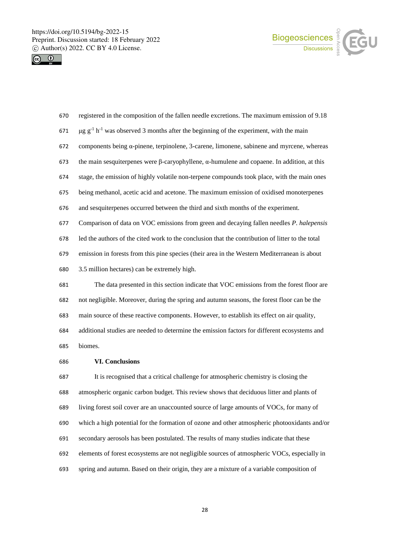



| 670 | registered in the composition of the fallen needle excretions. The maximum emission of 9.18                        |
|-----|--------------------------------------------------------------------------------------------------------------------|
| 671 | $\mu$ g g <sup>-1</sup> h <sup>-1</sup> was observed 3 months after the beginning of the experiment, with the main |
| 672 | components being a-pinene, terpinolene, 3-carene, limonene, sabinene and myrcene, whereas                          |
| 673 | the main sesquiterpenes were $\beta$ -caryophyllene, $\alpha$ -humulene and copaene. In addition, at this          |
| 674 | stage, the emission of highly volatile non-terpene compounds took place, with the main ones                        |
| 675 | being methanol, acetic acid and acetone. The maximum emission of oxidised monoterpenes                             |
| 676 | and sesquiterpenes occurred between the third and sixth months of the experiment.                                  |
| 677 | Comparison of data on VOC emissions from green and decaying fallen needles P. halepensis                           |
| 678 | led the authors of the cited work to the conclusion that the contribution of litter to the total                   |
| 679 | emission in forests from this pine species (their area in the Western Mediterranean is about                       |
| 680 | 3.5 million hectares) can be extremely high.                                                                       |
| 681 | The data presented in this section indicate that VOC emissions from the forest floor are                           |
| 682 | not negligible. Moreover, during the spring and autumn seasons, the forest floor can be the                        |
| 683 | main source of these reactive components. However, to establish its effect on air quality,                         |
| 684 | additional studies are needed to determine the emission factors for different ecosystems and                       |
| 685 | biomes.                                                                                                            |
| 686 | <b>VI. Conclusions</b>                                                                                             |
| 687 | It is recognised that a critical challenge for atmospheric chemistry is closing the                                |
| 688 | atmospheric organic carbon budget. This review shows that deciduous litter and plants of                           |
| 689 | living forest soil cover are an unaccounted source of large amounts of VOCs, for many of                           |
| 690 | which a high potential for the formation of ozone and other atmospheric photooxidants and/or                       |
| 691 | secondary aerosols has been postulated. The results of many studies indicate that these                            |

- elements of forest ecosystems are not negligible sources of atmospheric VOCs, especially in
- spring and autumn. Based on their origin, they are a mixture of a variable composition of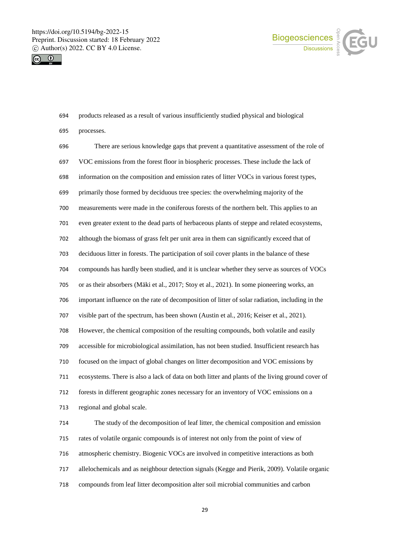



| 694 | products released as a result of various insufficiently studied physical and biological          |
|-----|--------------------------------------------------------------------------------------------------|
| 695 | processes.                                                                                       |
| 696 | There are serious knowledge gaps that prevent a quantitative assessment of the role of           |
| 697 | VOC emissions from the forest floor in biospheric processes. These include the lack of           |
| 698 | information on the composition and emission rates of litter VOCs in various forest types,        |
| 699 | primarily those formed by deciduous tree species: the overwhelming majority of the               |
| 700 | measurements were made in the coniferous forests of the northern belt. This applies to an        |
| 701 | even greater extent to the dead parts of herbaceous plants of steppe and related ecosystems,     |
| 702 | although the biomass of grass felt per unit area in them can significantly exceed that of        |
| 703 | deciduous litter in forests. The participation of soil cover plants in the balance of these      |
| 704 | compounds has hardly been studied, and it is unclear whether they serve as sources of VOCs       |
| 705 | or as their absorbers (Mäki et al., 2017; Stoy et al., 2021). In some pioneering works, an       |
| 706 | important influence on the rate of decomposition of litter of solar radiation, including in the  |
| 707 | visible part of the spectrum, has been shown (Austin et al., 2016; Keiser et al., 2021).         |
| 708 | However, the chemical composition of the resulting compounds, both volatile and easily           |
| 709 | accessible for microbiological assimilation, has not been studied. Insufficient research has     |
| 710 | focused on the impact of global changes on litter decomposition and VOC emissions by             |
| 711 | ecosystems. There is also a lack of data on both litter and plants of the living ground cover of |
| 712 | forests in different geographic zones necessary for an inventory of VOC emissions on a           |
| 713 | regional and global scale.                                                                       |
| 714 | The study of the decomposition of leaf litter, the chemical composition and emission             |
| 715 | rates of volatile organic compounds is of interest not only from the point of view of            |
| 716 | atmospheric chemistry. Biogenic VOCs are involved in competitive interactions as both            |
| 717 | allelochemicals and as neighbour detection signals (Kegge and Pierik, 2009). Volatile organic    |
| 718 | compounds from leaf litter decomposition alter soil microbial communities and carbon             |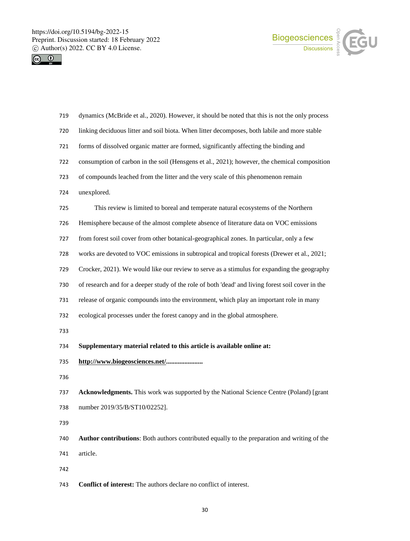



| 719 | dynamics (McBride et al., 2020). However, it should be noted that this is not the only process    |
|-----|---------------------------------------------------------------------------------------------------|
| 720 | linking deciduous litter and soil biota. When litter decomposes, both labile and more stable      |
| 721 | forms of dissolved organic matter are formed, significantly affecting the binding and             |
| 722 | consumption of carbon in the soil (Hensgens et al., 2021); however, the chemical composition      |
| 723 | of compounds leached from the litter and the very scale of this phenomenon remain                 |
| 724 | unexplored.                                                                                       |
| 725 | This review is limited to boreal and temperate natural ecosystems of the Northern                 |
| 726 | Hemisphere because of the almost complete absence of literature data on VOC emissions             |
| 727 | from forest soil cover from other botanical-geographical zones. In particular, only a few         |
| 728 | works are devoted to VOC emissions in subtropical and tropical forests (Drewer et al., 2021;      |
| 729 | Crocker, 2021). We would like our review to serve as a stimulus for expanding the geography       |
| 730 | of research and for a deeper study of the role of both 'dead' and living forest soil cover in the |
| 731 | release of organic compounds into the environment, which play an important role in many           |
| 732 | ecological processes under the forest canopy and in the global atmosphere.                        |
| 733 |                                                                                                   |
| 734 | Supplementary material related to this article is available online at:                            |
| 735 | http://www.biogeosciences.net/                                                                    |
| 736 |                                                                                                   |
| 737 | Acknowledgments. This work was supported by the National Science Centre (Poland) [grant           |
| 738 | number 2019/35/B/ST10/02252].                                                                     |
| 739 |                                                                                                   |
| 740 | Author contributions: Both authors contributed equally to the preparation and writing of the      |
| 741 | article.                                                                                          |
| 742 |                                                                                                   |
| 743 | Conflict of interest: The authors declare no conflict of interest.                                |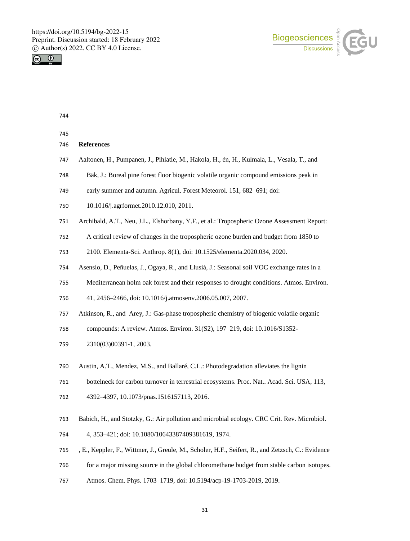



| 745 |                                                                                                   |
|-----|---------------------------------------------------------------------------------------------------|
| 746 | <b>References</b>                                                                                 |
| 747 | Aaltonen, H., Pumpanen, J., Pihlatie, M., Hakola, H., én, H., Kulmala, L., Vesala, T., and        |
| 748 | Bäk, J.: Boreal pine forest floor biogenic volatile organic compound emissions peak in            |
| 749 | early summer and autumn. Agricul. Forest Meteorol. 151, 682-691; doi:                             |
| 750 | 10.1016/j.agrformet.2010.12.010, 2011.                                                            |
| 751 | Archibald, A.T., Neu, J.L., Elshorbany, Y.F., et al.: Tropospheric Ozone Assessment Report:       |
| 752 | A critical review of changes in the tropospheric ozone burden and budget from 1850 to             |
| 753 | 2100. Elementa-Sci. Anthrop. 8(1), doi: 10.1525/elementa.2020.034, 2020.                          |
| 754 | Asensio, D., Peñuelas, J., Ogaya, R., and Llusià, J.: Seasonal soil VOC exchange rates in a       |
| 755 | Mediterranean holm oak forest and their responses to drought conditions. Atmos. Environ.          |
| 756 | 41, 2456-2466, doi: 10.1016/j.atmosenv.2006.05.007, 2007.                                         |
| 757 | Atkinson, R., and Arey, J.: Gas-phase tropospheric chemistry of biogenic volatile organic         |
| 758 | compounds: A review. Atmos. Environ. 31(S2), 197-219, doi: 10.1016/S1352-                         |
| 759 | 2310(03)00391-1, 2003.                                                                            |
| 760 | Austin, A.T., Mendez, M.S., and Ballaré, C.L.: Photodegradation alleviates the lignin             |
| 761 | bottelneck for carbon turnover in terrestrial ecosystems. Proc. Nat Acad. Sci. USA, 113,          |
| 762 | 4392-4397, 10.1073/pnas.1516157113, 2016.                                                         |
| 763 | Babich, H., and Stotzky, G.: Air pollution and microbial ecology. CRC Crit. Rev. Microbiol.       |
| 764 | 4, 353-421; doi: 10.1080/10643387409381619, 1974.                                                 |
| 765 | , E., Keppler, F., Wittmer, J., Greule, M., Scholer, H.F., Seifert, R., and Zetzsch, C.: Evidence |
| 766 | for a major missing source in the global chloromethane budget from stable carbon isotopes.        |
| 767 | Atmos. Chem. Phys. 1703-1719, doi: 10.5194/acp-19-1703-2019, 2019.                                |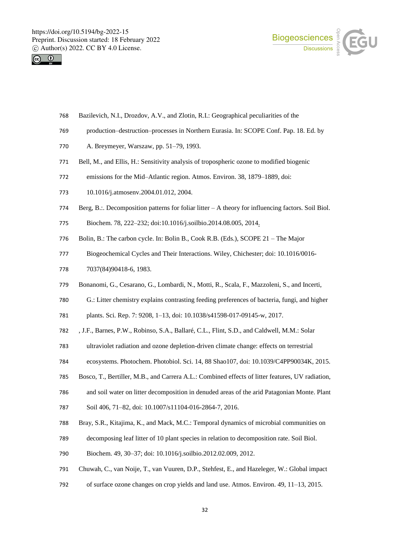



- Bazilevich, N.I., Drozdov, A.V., and Zlotin, R.I.: Geographical peculiarities of the
- production–destruction–processes in Northern Eurasia. In: SCOPE Conf. Pap. 18. Ed. by
- A. Breymeyer, Warszaw, pp. 51–79, 1993.
- Bell, M., and Ellis, H.: Sensitivity analysis of tropospheric ozone to modified biogenic
- emissions for the Mid–Atlantic region. Atmos. Environ. 38, 1879–1889, doi:
- 10.1016/j.atmosenv.2004.01.012, 2004.
- Berg, B.:. Decomposition patterns for foliar litter A theory for influencing factors. Soil Biol.
- Biochem. 78, 222–232; doi:10.1016/j.soilbio.2014.08.005, 2014.
- Bolin, B.: The carbon cycle. In: Bolin B., Cook R.B. (Eds.), SCOPE 21 The Major
- Biogeochemical Cycles and Their Interactions. Wiley, Chichester; doi: 10.1016/0016-
- 7037(84)90418-6, 1983.
- Bonanomi, G., Cesarano, G., Lombardi, N., Motti, R., Scala, F., Mazzoleni, S., and Incerti,
- G.: Litter chemistry explains contrasting feeding preferences of bacteria, fungi, and higher

plants. Sci. Rep. 7: 9208, 1–13, doi: 10.1038/s41598-017-09145-w, 2017.

- , J.F., Barnes, P.W., Robinso, S.A., Ballaré, C.L., Flint, S.D., and Caldwell, M.M.: Solar
- ultraviolet radiation and ozone depletion-driven climate change: effects on terrestrial
- ecosystems. Photochem. Photobiol. Sci. 14, 88 Shao107, doi: 10.1039/C4PP90034K, 2015.
- Bosco, T., Bertiller, M.B., and Carrera A.L.: Combined effects of litter features, UV radiation,
- and soil water on litter decomposition in denuded areas of the arid Patagonian Monte. Plant
- Soil 406, 71–82, doi: 10.1007/s11104-016-2864-7, 2016.
- Bray, S.R., Kitajima, K., and Mack, M.C.: Temporal dynamics of microbial communities on
- decomposing leaf litter of 10 plant species in relation to decomposition rate. Soil Biol.
- Biochem. 49, 30–37; doi: 10.1016/j.soilbio.2012.02.009, 2012.
- Chuwah, C., van Noije, T., van Vuuren, D.P., Stehfest, E., and Hazeleger, W.: Global impact
- of surface ozone changes on crop yields and land use. Atmos. Environ. 49, 11–13, 2015.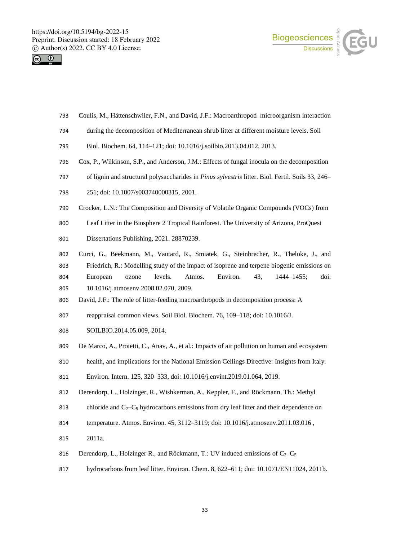



- Coulis, M., Hättenschwiler, F.N., and David, J.F.: Macroarthropod–microorganism interaction
- during the decomposition of Mediterranean shrub litter at different moisture levels. Soil
- Biol. Biochem. 64, 114–121; doi: 10.1016/j.soilbio.2013.04.012, 2013.
- Cox, P., Wilkinson, S.P., and Anderson, J.M.: Effects of fungal inocula on the decomposition
- of lignin and structural polysaccharides in *Pinus sylvestris* litter. Biol. Fertil. Soils 33, 246–
- 251; doi: 10.1007/s003740000315, 2001.
- Crocker, L.N.: The Composition and Diversity of Volatile Organic Compounds (VOCs) from
- Leaf Litter in the Biosphere 2 Tropical Rainforest. The University of Arizona, ProQuest
- Dissertations Publishing, 2021. 28870239.
- Curci, G., Beekmann, M., Vautard, R., Smiatek, G., Steinbrecher, R., Theloke, J., and Friedrich, R.: Modelling study of the impact of isoprene and terpene biogenic emissions on European ozone levels. Atmos. Environ. 43, 1444–1455; doi: 10.1016/j.atmosenv.2008.02.070, 2009.
- David, J.F.: The role of litter-feeding macroarthropods in decomposition process: A
- reappraisal common views. Soil Biol. Biochem. 76, 109–118; doi: 10.1016/J.
- SOILBIO.2014.05.009, 2014.
- De Marco, A., Proietti, C., Anav, A., et al.: Impacts of air pollution on human and ecosystem
- health, and implications for the National Emission Ceilings Directive: Insights from Italy.

Environ. Intern. 125, 320–333, doi: 10.1016/j.envint.2019.01.064, 2019.

- Derendorp, L., Holzinger, R., Wishkerman, A., Keppler, F., and Röckmann, Th.: Methyl
- 813 chloride and  $C_2 C_5$  hydrocarbons emissions from dry leaf litter and their dependence on
- temperature. Atmos. Environ. 45, 3112–3119; doi: 10.1016/j.atmosenv.2011.03.016 ,
- 2011a.
- 816 Derendorp, L., Holzinger R., and Röckmann, T.: UV induced emissions of  $C_2 C_5$
- hydrocarbons from leaf litter. Environ. Chem. 8, 622–611; doi: 10.1071/EN11024, 2011b.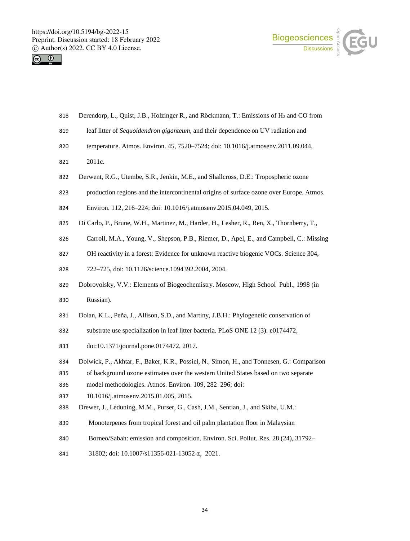



- 818 Derendorp, L., Quist, J.B., Holzinger R., and Röckmann, T.: Emissions of H<sub>2</sub> and CO from
- leaf litter of *Sequoidendron giganteum,* and their dependence on UV radiation and
- temperature. Atmos. Environ. 45, 7520–7524; doi: 10.1016/j.atmosenv.2011.09.044,
- 2011c.
- Derwent, R.G., Utembe, S.R., Jenkin, M.E., and Shallcross, D.E.: Tropospheric ozone
- production regions and the intercontinental origins of surface ozone over Europe. Atmos.
- Environ. 112, 216–224; doi: 10.1016/j.atmosenv.2015.04.049, 2015.
- Di Carlo, P., Brune, W.H., Martinez, M., Harder, H., Lesher, R., Ren, X., Thornberry, T.,
- Carroll, M.A., Young, V., Shepson, P.B., Riemer, D., Apel, E., and Campbell, C.: Missing
- 827 OH reactivity in a forest: Evidence for unknown reactive biogenic VOCs. Science 304,
- 722–725, doi: 10.1126/science.1094392.2004, 2004.
- Dobrovolskу, V.V.: Elements of Biogeochemistry. Moscow, High School Publ., 1998 (in

Russian).

- Dolan, K.L., Peña, J., Allison, S.D., and Martiny, J.B.H.: Phylogenetic conservation of
- substrate use specialization in leaf litter bacteria. PLoS ONE 12 (3): e0174472,
- doi:10.1371/journal.pone.0174472, 2017.
- Dolwick, P., Akhtar, F., Baker, K.R., Possiel, N., Simon, H., and Tonnesen, G.: Comparison
- of background ozone estimates over the western United States based on two separate
- model methodologies. Atmos. Environ. 109, 282–296; doi:
- 10.1016/j.atmosenv.2015.01.005, 2015.
- Drewer, J., Leduning, M.M., Purser, G., Cash, J.M., Sentian, J., and Skiba, U.M.:
- Monoterpenes from tropical forest and oil palm plantation floor in Malaysian
- Borneo/Sabah: emission and composition. Environ. Sci. Pollut. Res. 28 (24), 31792–
- 31802; doi: 10.1007/s11356-021-13052-z, 2021.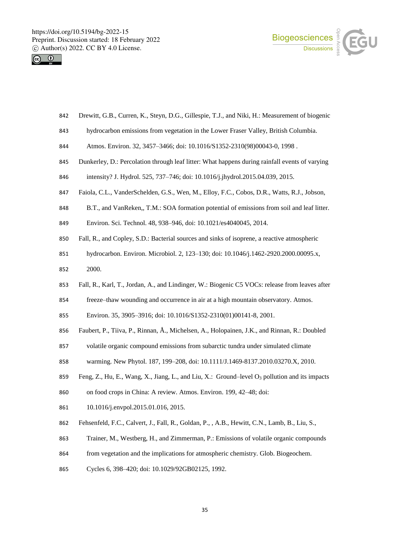



- Drewitt, G.B., Curren, K., Steyn, D.G., Gillespie, T.J., and Niki, H.: Measurement of biogenic
- hydrocarbon emissions from vegetation in the Lower Fraser Valley, British Columbia.
- Atmos. Environ. 32, 3457–3466; doi: 10.1016/S1352-2310(98)00043-0, 1998 .
- Dunkerley, D.: Percolation through leaf litter: What happens during rainfall events of varying
- intensity? J. Hydrol. 525, 737–746; doi: 10.1016/j.jhydrol.2015.04.039, 2015.
- Faiola, C.L., VanderSchelden, G.S., Wen, M., Elloy, F.C., Cobos, D.R., Watts, R.J., Jobson,
- B.T., and VanReken,, T.M.: SOA formation potential of emissions from soil and leaf litter.
- Environ. Sci. Technol. 48, 938–946, doi: 10.1021/es4040045, 2014.
- Fall, R., and Copley, S.D.: Bacterial sources and sinks of isoprene, a reactive atmospheric
- hydrocarbon. Environ. Microbiol. 2, 123–130; doi: 10.1046/j.1462-2920.2000.00095.x,
- 2000.
- Fall, R., Karl, T., Jordan, A., and Lindinger, W.: Biogenic C5 VOCs: release from leaves after
- freeze–thaw wounding and occurrence in air at a high mountain observatory. Atmos.
- Environ. 35, 3905–3916; doi: 10.1016/S1352-2310(01)00141-8, 2001.
- Faubert, P., Tiiva, P., Rinnan, Å., Michelsen, A., Holopainen, J.K., and Rinnan, R.: Doubled
- volatile organic compound emissions from subarctic tundra under simulated climate
- warming. New Phytol. 187, 199–208, doi: 10.1111/J.1469-8137.2010.03270.X, 2010.
- 859 Feng, Z., Hu, E., Wang, X., Jiang, L., and Liu, X.: Ground–level O<sub>3</sub> pollution and its impacts
- on food crops in China: A review. Atmos. Environ. 199, 42–48; doi:
- 10.1016/j.envpol.2015.01.016, 2015.
- Fehsenfeld, F.C., Calvert, J., Fall, R., Goldan, P., , A.B., Hewitt, C.N., Lamb, B., Liu, S.,
- Trainer, M., Westberg, H., and Zimmerman, P.: Emissions of volatile organic compounds
- from vegetation and the implications for atmospheric chemistry. Glob. Biogeochem.
- Cycles 6, 398–420; doi: 10.1029/92GB02125, 1992.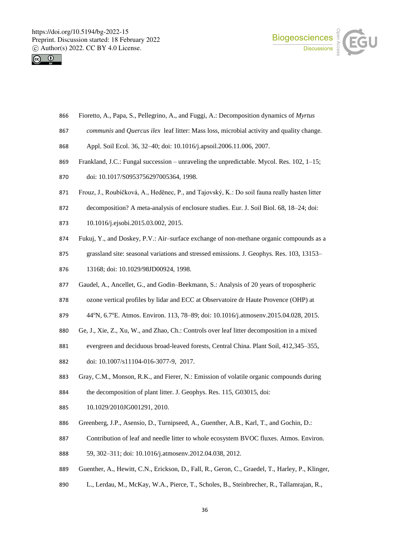



- Fioretto, A., Papa, S., Pellegrino, A., and Fuggi, A.: Decomposition dynamics of *Myrtus*
- *communis* and *Quercus ilex* leaf litter: Mass loss, microbial activity and quality change.
- Appl. Soil Ecol. 36, 32–40; doi: 10.1016/j.apsoil.2006.11.006, 2007.
- Frankland, J.C.: Fungal succession unraveling the unpredictable. Mycol. Res. 102, 1–15;
- doi: 10.1017/S0953756297005364, 1998.
- Frouz, J., Roubíčková, A., Hedĕnec, P., and Tajovský, K.: Do soil fauna really hasten litter
- decomposition? A meta-analysis of enclosure studies. Eur. J. Soil Biol. 68, 18–24; doi:
- 10.1016/j.ejsobi.2015.03.002, 2015.
- Fukuj, Y., and Doskey, P.V.: Air–surface exchange of non-methane organic compounds as a
- grassland site: seasonal variations and stressed emissions. J. Geophys. Res. 103, 13153–
- 13168; doi: 10.1029/98JD00924, 1998.
- Gaudel, A., Ancellet, G., and Godin–Beekmann, S.: Analysis of 20 years of tropospheric
- ozone vertical profiles by lidar and ECC at Observatoire dr Haute Provence (OHP) at
- 879 44°N, 6.7°E. Atmos. Environ. 113, 78–89; doi: 10.1016/j.atmosenv.2015.04.028, 2015.
- Ge, J., Xie, Z., Xu, W., and Zhao, Ch.: Controls over leaf litter decomposition in a mixed
- evergreen and deciduous broad-leaved forests, Central China. Plant Soil, 412,345–355,
- doi: 10.1007/s11104-016-3077-9, 2017.
- Gray, C.M., Monson, R.K., and Fierer, N.: Emission of volatile organic compounds during 884 the decomposition of plant litter. J. Geophys. Res. 115, G03015, doi:
- 10.1029/2010JG001291, 2010.
- Greenberg, J.P., Asensio, D., Turnipseed, A., Guenther, A.B., Karl, T., and Gochin, D.:
- Contribution of leaf and needle litter to whole ecosystem BVOC fluxes. Atmos. Environ.
- 59, 302–311; doi: 10.1016/j.atmosenv.2012.04.038, 2012.
- Guenther, A., Hewitt, C.N., Erickson, D., Fall, R., Geron, C., Graedel, T., Harley, P., Klinger,
- L., Lerdau, M., McKay, W.A., Pierce, T., Scholes, B., Steinbrecher, R., Tallamrajan, R.,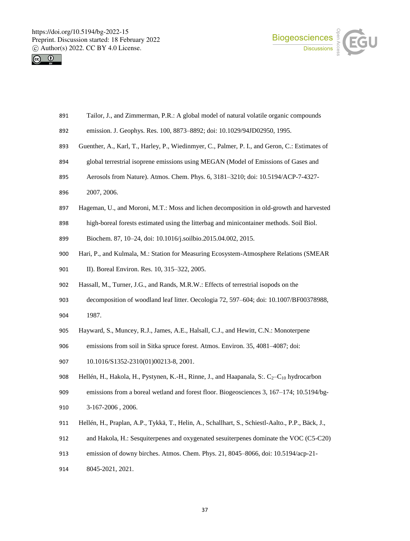



- Tailor, J., and Zimmerman, P.R.: A global model of natural volatile organic compounds
- emission. J. Geophys. Res. 100, 8873–8892; doi: 10.1029/94JD02950, 1995.
- Guenther, A., Karl, T., Harley, P., Wiedinmyer, C., Palmer, P. I., and Geron, C.: Estimates of
- global terrestrial isoprene emissions using MEGAN (Model of Emissions of Gases and
- Aerosols from Nature). Atmos. Chem. Phys. 6, 3181–3210; doi: 10.5194/ACP-7-4327-
- 2007, 2006.
- Hageman, U., and Moroni, M.T.: Moss and lichen decomposition in old-growth and harvested
- high-boreal forests estimated using the litterbag and minicontainer methods. Soil Biol.
- Biochem. 87, 10–24, doi: 10.1016/j.soilbio.2015.04.002, 2015.
- Hari, P., and Kulmala, M.: Station for Measuring Ecosystem-Atmosphere Relations (SMEAR
- 901 II). Boreal Environ. Res. 10, 315–322, 2005.
- Hassall, M., Turner, J.G., and Rands, M.R.W.: Effects of terrestrial isopods on the
- decomposition of woodland leaf litter. Oecologia 72, 597–604; doi: 10.1007/BF00378988, 1987.
- Hayward, S., Muncey, R.J., James, A.E., Halsall, C.J., and Hewitt, C.N.: Monoterpene
- emissions from soil in Sitka spruce forest. Atmos. Environ. 35, 4081–4087; doi:
- 907 10.1016/S1352-2310(01)00213-8, 2001.
- 908 Hellén, H., Hakola, H., Pystynen, K.-H., Rinne, J., and Haapanala, S:.  $C_2-C_{10}$  hydrocarbon
- emissions from a boreal wetland and forest floor. Biogeosciences 3, 167–174; 10.5194/bg-
- 3-167-2006 , 2006.
- Hellén, H., Praplan, A.P., Tykkä, T., Helin, A., Schallhart, S., Schiestl-Aalto., P.P., Bäck, J.,
- and Hakola, H.: Sesquiterpenes and oxygenated sesuiterpenes dominate the VOC (C5-C20)
- emission of downy birches. Atmos. Chem. Phys. 21, 8045–8066, doi: 10.5194/acp-21-
- 8045-2021, 2021.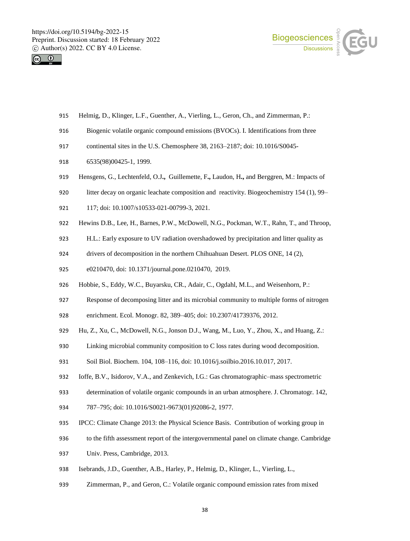



- Helmig, D., Klinger, L.F., Guenther, A., Vierling, L., Geron, Ch., and Zimmerman, P.:
- Biogenic volatile organic compound emissions (BVOCs). I. Identifications from three
- continental sites in the U.S. Chemosphere 38, 2163–2187; doi: 10.1016/S0045-
- 6535(98)00425-1, 1999.
- Hensgens, G., Lechtenfeld, O.J**.,** Guillemette, F**.,** Laudon, H**.,** and Berggren, M.: Impacts of
- litter decay on organic leachate composition and reactivity. Biogeochemistry 154 (1), 99–
- 117; doi: 10.1007/s10533-021-00799-3, 2021.
- Hewins D.B., Lee, H., Barnes, P.W., McDowell, N.G., Pockman, W.T., Rahn, T., and Throop,
- H.L.: Early exposure to UV radiation overshadowed by precipitation and litter quality as
- drivers of decomposition in the northern Chihuahuan Desert. PLOS ONE, 14 (2),
- e0210470, doi: 10.1371/journal.pone.0210470, 2019.
- Hobbie, S., Eddy, W.C., Buyarsku, CR., Adair, C., Ogdahl, M.L., and Weisenhorn, P.:
- Response of decomposing litter and its microbial community to multiple forms of nitrogen
- enrichment. Ecol. Monogr. 82, 389–405; doi: 10.2307/41739376, 2012.
- Hu, Z., Xu, C., McDowell, N.G., Jonson D.J., Wang, M., Luo, Y., Zhou, X., and Huang, Z.:
- Linking microbial community composition to C loss rates during wood decomposition.
- Soil Biol. Biochem. 104, 108–116, doi: 10.1016/j.soilbio.2016.10.017, 2017.
- Ioffe, B.V., Isidorov, V.A., and Zenkevich, I.G.: Gas chromatographic–mass spectrometric
- determination of volatile organic compounds in an urban atmosphere. J. Chromatogr. 142,
- 787–795; doi: 10.1016/S0021-9673(01)92086-2, 1977.
- IPCC: Climate Change 2013: the Physical Science Basis. Contribution of working group in
- to the fifth assessment report of the intergovernmental panel on climate change. Cambridge
- Univ. Press, Cambridge, 2013.
- Isebrands, J.D., Guenther, A.B., Harley, P., Helmig, D., Klinger, L., Vierling, L.,
- Zimmerman, P., and Geron, C.: Volatile organic compound emission rates from mixed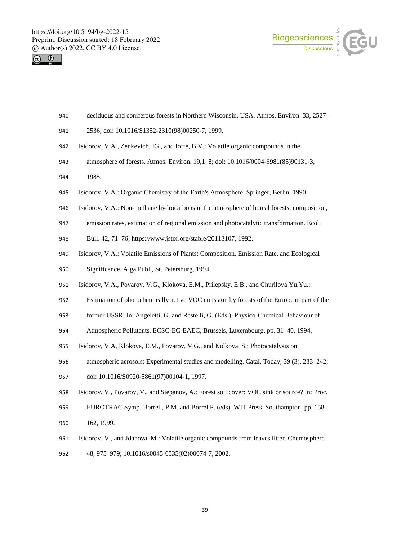



- deciduous and coniferous forests in Northern Wisconsin, USA. Atmos. Environ. 33, 2527–
- 2536; doi: 10.1016/S1352-2310(98)00250-7, 1999.
- Isidorov, V.A., Zenkevich, IG., and Ioffe, B.V.: Volatile organic compounds in the
- atmosphere of forests. Atmos. Environ. 19,1–8; doi: 10.1016/0004-6981(85)90131-3,
- 1985.
- Isidorov, V.A.: Organic Chemistry of the Earth's Atmosphere. Springer, Berlin, 1990.
- Isidorov, V.A.: Non-methane hydrocarbons in the atmosphere of boreal forests: composition,
- emission rates, estimation of regional emission and photocatalytic transformation. Ecol.
- Bull. 42, 71–76; https://www.jstor.org/stable/20113107, 1992.
- Isidorov, V.A.: Volatile Emissions of Plants: Composition, Emission Rate, and Ecological
- Significance. Alga Publ., St. Petersburg, 1994.
- Isidorov, V.A., Povarov, V.G., Klokova, E.M., Prilepsky, E.B., and Churilova Yu.Yu.:
- Estimation of photochemically active VOC emission by forests of the European part of the
- former USSR. In: Angeletti, G. and Restelli, G. (Eds.), Physico-Chemical Behaviour of
- Atmospheric Pollutants. ECSC-EC-EAEC, Brussels, Luxembourg, pp. 31–40, 1994.
- Isidorov, V.A, Klokova, E.M., Povarov, V.G., and Kolkova, S.: Photocatalysis on
- atmospheric aerosols: Experimental studies and modelling. Catal. Today, 39 (3), 233–242;
- doi: 10.1016/S0920-5861(97)00104-1, 1997.
- Isidorov, V., Povarov, V., and Stepanov, A.: Forest soil cover: VOC sink or source? In: Proc.
- EUROTRAC Symp. Borrell, P.M. and Borrel,P. (eds). WIT Press, Southampton, pp. 158– 162, 1999.
- Isidorov, V., and Jdanova, M.: Volatile organic compounds from leaves litter. Chemosphere
- 48, 975–979; 10.1016/s0045-6535(02)00074-7, 2002.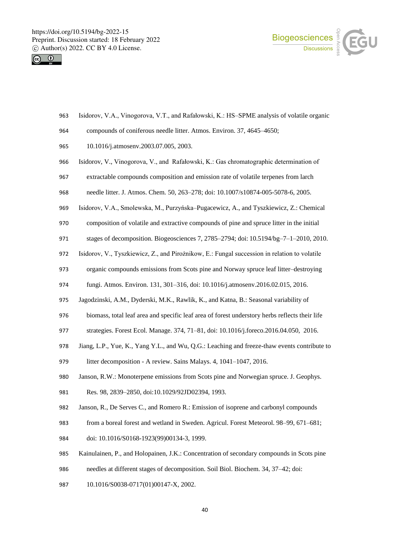



- Isidorov, V.A., Vinogorova, V.T., and Rafałowski, K.: HS–SPME analysis of volatile organic
- compounds of coniferous needle litter. Atmos. Environ. 37, 4645–4650;
- 10.1016/j.atmosenv.2003.07.005, 2003.
- Isidorov, V., Vinogorova, V., and Rafałowski, K.: Gas chromatographic determination of
- extractable compounds composition and emission rate of volatile terpenes from larch
- needle litter. J. Atmos. Chem*.* 50, 263–278; doi: 10.1007/s10874-005-5078-6, 2005.
- Isidorov, V.A., Smolewska, M., Purzyńska–Pugacewicz, A., and Tyszkiewicz, Z.: Chemical
- composition of volatile and extractive compounds of pine and spruce litter in the initial
- stages of decomposition. Biogeosciences 7, 2785–2794; doi: 10.5194/bg–7–1–2010, 2010.
- Isidorov, V., Tyszkiewicz, Z., and Pirożnikow, E.: Fungal succession in relation to volatile
- organic compounds emissions from Scots pine and Norway spruce leaf litter–destroying
- fungi. Atmos. Environ. 131, 301–316, doi: 10.1016/j.atmosenv.2016.02.015, 2016.
- Jagodzinski, A.M., Dyderski, M.K., Rawlik, K., and Katna, B.: Seasonal variability of
- biomass, total leaf area and specific leaf area of forest understory herbs reflects their life
- strategies. Forest Ecol. Manage. 374, 71–81, doi: 10.1016/j.foreco.2016.04.050, 2016.
- Jiang, L.P., Yue, K., Yang Y.L., and Wu, Q.G.: Leaching and freeze-thaw events contribute to
- litter decomposition A review. Sains Malays. 4, 1041–1047, 2016.
- Janson, R.W.: Monoterpene emissions from Scots pine and Norwegian spruce. J. Geophys.
- Res*.* 98, 2839–2850, doi:10.1029/92JD02394, 1993.
- Janson, R., De Serves C., and Romero R.: Emission of isoprene and carbonyl compounds
- from a boreal forest and wetland in Sweden. Agricul. Forest Meteorol. 98–99, 671–681;
- doi: 10.1016/S0168-1923(99)00134-3, 1999.
- Kainulainen, P., and Holopainen, J.K.: Concentration of secondary compounds in Scots pine
- needles at different stages of decomposition. Soil Biol. Biochem. 34, 37–42; doi:
- 987 10.1016/S0038-0717(01)00147-X, 2002.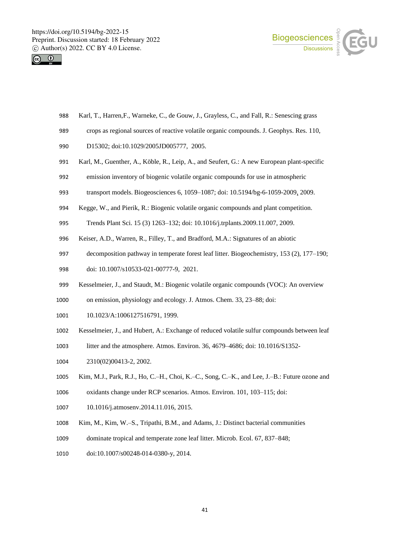



- Karl, T., Harren,F., Warneke, C., de Gouw, J., Grayless, C., and Fall, R.: Senescing grass
- crops as regional sources of reactive volatile organic compounds. J. Geophys. Res. 110,
- 990 D15302; doi:10.1029/2005JD005777, 2005.
- Karl, M., Guenther, A., Köble, R., Leip, A., and Seufert, G.: A new European plant-specific
- emission inventory of biogenic volatile organic compounds for use in atmospheric
- transport models. Biogeosciences 6, 1059–1087; doi: 10.5194/bg-6-1059-2009, 2009.
- Kegge, W., and Pierik, R.: Biogenic volatile organic compounds and plant competition.
- Trends Plant Sci. 15 (3) 1263–132; doi: 10.1016/j.trplants.2009.11.007, 2009.
- Keiser, A.D., Warren, R., Filley, T., and Bradford, M.A.: Signatures of an abiotic
- decomposition pathway in temperate forest leaf litter. Biogeochemistry, 153 (2), 177–190;
- doi: 10.1007/s10533-021-00777-9, 2021.
- Kesselmeier, J., and Staudt, M.: Biogenic volatile organic compounds (VOC): An overview
- on emission, physiology and ecology. J. Atmos. Chem. 33, 23–88; doi:
- 1001 10.1023/A:1006127516791, 1999.
- Kesselmeier, J., and Hubert, A.: Exchange of reduced volatile sulfur compounds between leaf
- litter and the atmosphere. Atmos. Environ. 36, 4679–4686; doi: 10.1016/S1352-
- 2310(02)00413-2, 2002.
- Kim, M.J., Park, R.J., Ho, C.–H., Choi, K.–C., Song, C.–K., and Lee, J.–B.: Future ozone and
- oxidants change under RCP scenarios. Atmos. Environ. 101, 103–115; doi:
- 10.1016/j.atmosenv.2014.11.016, 2015.
- Kim, M., Kim, W.–S., Tripathi, B.M., and Adams, J.: Distinct bacterial communities
- dominate tropical and temperate zone leaf litter. Microb. Ecol. 67, 837–848;
- doi:10.1007/s00248-014-0380-y, 2014.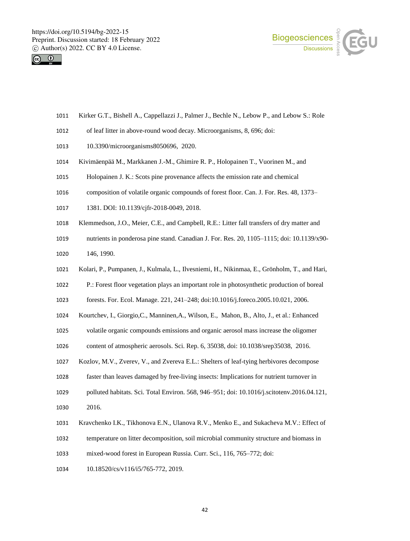



- Kirker G.T., Bishell A., Cappellazzi J., Palmer J., Bechle N., Lebow P., and Lebow S.: Role
- of leaf litter in above-round wood decay. Microorganisms, 8, 696; doi:
- 10.3390/microorganisms8050696, 2020.
- Kivimäenpää M., Markkanen J.-M., Ghimire R. P., Holopainen T., Vuorinen M., and
- Holopainen J. K.: Scots pine provenance affects the emission rate and chemical
- composition of volatile organic compounds of forest floor. Can. J. For. Res. 48, 1373–
- 1381. DOI: 10.1139/cjfr-2018-0049, 2018.
- Klemmedson, J.O., Meier, C.E., and Campbell, R.E.: Litter fall transfers of dry matter and
- nutrients in ponderosa pine stand. Canadian J. For. Res. 20, 1105–1115; doi: 10.1139/x90- 146, 1990.
- Kolari, P., Pumpanen, J., Kulmala, L., Ilvesniemi, H., Nikinmaa, E., Grönholm, T., and Hari,
- P.: Forest floor vegetation plays an important role in photosynthetic production of boreal
- forests. For. Ecol. Manage. 221, 241–248; doi:10.1016/j.foreco.2005.10.021, 2006.
- Kourtchev, I., Giorgio,C., Manninen,A., Wilson, E., Mahon, B., Alto, J., et al.: Enhanced
- volatile organic compounds emissions and organic aerosol mass increase the oligomer
- content of atmospheric aerosols. Sci. Rep. 6, 35038, doi: 10.1038/srep35038, 2016.
- Kozlov, M.V., Zverev, V., and Zvereva E.L.: Shelters of leaf-tying herbivores decompose
- faster than leaves damaged by free-living insects: Implications for nutrient turnover in
- polluted habitats. Sci. Total Environ. 568, 946–951; doi: 10.1016/j.scitotenv.2016.04.121,
- 2016.
- Kravchenko I.K., Tikhonova E.N., Ulanova R.V., Menko E., and Sukacheva M.V.: Effect of
- temperature on litter decomposition, soil microbial community structure and biomass in
- mixed-wood forest in European Russia. Curr. Sci., 116, 765–772; doi:
- 1034 10.18520/cs/v116/i5/765-772, 2019.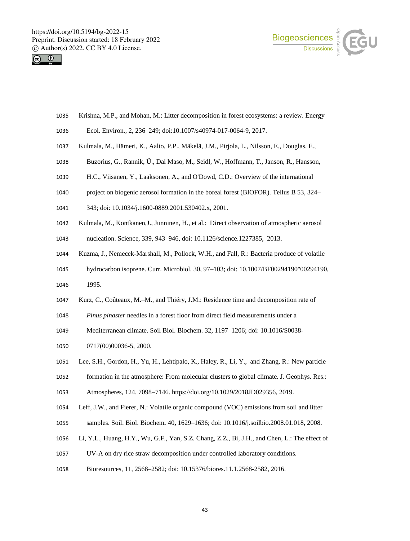



- Krishna, M.P., and Mohan, M.: Litter decomposition in forest ecosystems: a review. Energy
- Ecol. Environ., 2, 236–249; doi:10.1007/s40974-017-0064-9, 2017.
- Kulmala, M., Hämeri, K., Aalto, P.P., Mäkelä, J.M., Pirjola, L., Nilsson, E., Douglas, E.,
- Buzorius, G., Rannik, Ü., Dal Maso, M., Seidl, W., Hoffmann, T., Janson, R., Hansson,
- H.C., Viisanen, Y., Laaksonen, A., and O'Dowd, C.D.: Overview of the international
- project on biogenic aerosol formation in the boreal forest (BIOFOR). Tellus B 53, 324–
- 343; doi: 10.1034/j.1600-0889.2001.530402.x, 2001.
- Kulmala, M., Kontkanen,J., Junninen, H., et al.: Direct observation of atmospheric aerosol
- nucleation. Science, 339, 943–946, doi: 10.1126/science.1227385, 2013.
- Kuzma, J., Nemecek-Marshall, M., Pollock, W.H., and Fall, R.: Bacteria produce of volatile
- hydrocarbon isoprene. Curr. Microbiol. 30, 97–103; doi: 10.1007/BF00294190"00294190, 1995.
- Kurz, C., Coûteaux, M.–M., and Thiéry, J.M.: Residence time and decomposition rate of
- *Pinus pinaster* needles in a forest floor from direct field measurements under a
- Mediterranean climate. Soil Biol. Biochem. 32, 1197–1206; doi: 10.1016/S0038-
- 0717(00)00036-5, 2000.
- Lee, S.H., Gordon, H., Yu, H., Lehtipalo, K., Haley, R., Li, Y., and Zhang, R.: New particle formation in the atmosphere: From molecular clusters to global climate. J. Geophys. Res.:
- Atmospheres, 124, 7098–7146. https://doi.org/10.1029/2018JD029356, 2019.
- Leff, J.W., and Fierer, N.: Volatile organic compound (VOC) emissions from soil and litter
- samples. Soil. Biol. Biochem*.* 40**,** 1629–1636; doi: 10.1016/j.soilbio.2008.01.018, 2008.
- Li, Y.L., Huang, H.Y., Wu, G.F., Yan, S.Z. Chang, Z.Z., Bi, J.H., and Chen, L.: The effect of
- UV-A on dry rice straw decomposition under controlled laboratory conditions.
- Bioresources, 11, 2568–2582; doi: 10.15376/biores.11.1.2568-2582, 2016.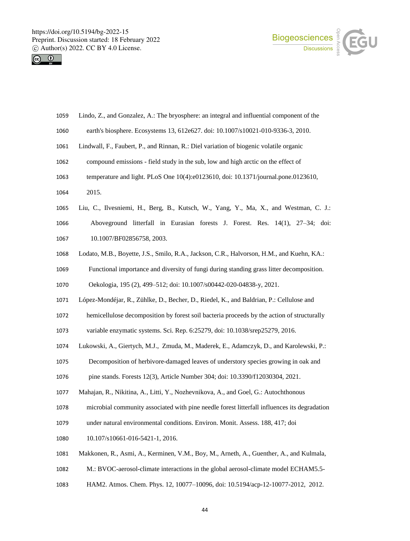



| 1059 | Lindo, Z., and Gonzalez, A.: The bryosphere: an integral and influential component of the    |
|------|----------------------------------------------------------------------------------------------|
| 1060 | earth's biosphere. Ecosystems 13, 612e627. doi: 10.1007/s10021-010-9336-3, 2010.             |
| 1061 | Lindwall, F., Faubert, P., and Rinnan, R.: Diel variation of biogenic volatile organic       |
| 1062 | compound emissions - field study in the sub, low and high arctic on the effect of            |
| 1063 | temperature and light. PLoS One 10(4):e0123610, doi: 10.1371/journal.pone.0123610,           |
| 1064 | 2015.                                                                                        |
| 1065 | Liu, C., Ilvesniemi, H., Berg, B., Kutsch, W., Yang, Y., Ma, X., and Westman, C. J.:         |
| 1066 | Aboveground litterfall in Eurasian forests J. Forest. Res. 14(1), 27–34; doi:                |
| 1067 | 10.1007/BF02856758, 2003.                                                                    |
| 1068 | Lodato, M.B., Boyette, J.S., Smilo, R.A., Jackson, C.R., Halvorson, H.M., and Kuehn, KA.:    |
| 1069 | Functional importance and diversity of fungi during standing grass litter decomposition.     |
| 1070 | Oekologia, 195 (2), 499-512; doi: 10.1007/s00442-020-04838-y, 2021.                          |
| 1071 | López-Mondéjar, R., Zühlke, D., Becher, D., Riedel, K., and Baldrian, P.: Cellulose and      |
| 1072 | hemicellulose decomposition by forest soil bacteria proceeds by the action of structurally   |
| 1073 | variable enzymatic systems. Sci. Rep. 6:25279, doi: 10.1038/srep25279, 2016.                 |
| 1074 | Lukowski, A., Giertych, M.J., Zmuda, M., Maderek, E., Adamczyk, D., and Karolewski, P.:      |
| 1075 | Decomposition of herbivore-damaged leaves of understory species growing in oak and           |
| 1076 | pine stands. Forests 12(3), Article Number 304; doi: 10.3390/f12030304, 2021.                |
| 1077 | Mahajan, R., Nikitina, A., Litti, Y., Nozhevnikova, A., and Goel, G.: Autochthonous          |
| 1078 | microbial community associated with pine needle forest litterfall influences its degradation |
| 1079 | under natural environmental conditions. Environ. Monit. Assess. 188, 417; doi                |
| 1080 | 10.107/s10661-016-5421-1, 2016.                                                              |
| 1081 | Makkonen, R., Asmi, A., Kerminen, V.M., Boy, M., Arneth, A., Guenther, A., and Kulmala,      |
| 1082 | M.: BVOC-aerosol-climate interactions in the global aerosol-climate model ECHAM5.5-          |
|      |                                                                                              |

HAM2. Atmos. Chem. Phys. 12, 10077–10096, doi: 10.5194/acp-12-10077-2012, 2012.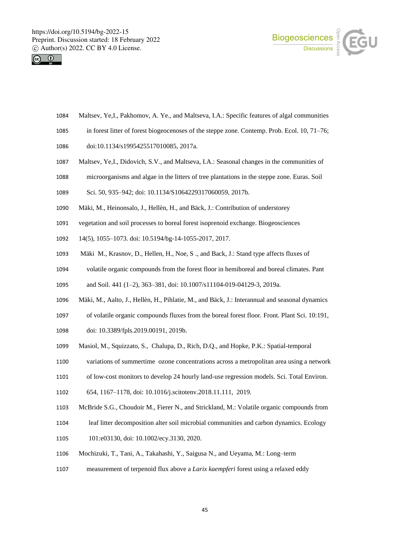



- Maltsev, Ye,I., Pakhomov, A. Ye., and Maltseva, I.A.: Specific features of algal communities
- in forest litter of forest biogeocenoses of the steppe zone. Contemp. Prob. Ecol. 10, 71–76;
- doi:10.1134/s1995425517010085, 2017a.
- Maltsev, Ye,I., Didovich, S.V., and Maltseva, I.A.: Seasonal changes in the communities of
- microorganisms and algae in the litters of tree plantations in the steppe zone. Euras. Soil
- Sci. 50, 935–942; doi: 10.1134/S1064229317060059, 2017b.
- Mäki, M., Heinonsalo, J., Hellèn, H., and Bäck, J.: Contribution of understorey
- vegetation and soil processes to boreal forest isoprenoid exchange. Biogeosciences
- 14(5), 1055–1073. doi: 10.5194/bg-14-1055-2017, 2017.
- Mäki M., Krasnov, D., Hellen, H., Noe, S ., and Back, J.: Stand type affects fluxes of
- volatile organic compounds from the forest floor in hemiboreal and boreal climates. Pant

and Soil. 441 (1–2), 363–381, doi: 10.1007/s11104-019-04129-3, 2019a.

- Mäki, M., Aalto, J., Hellèn, H., Pihlatie, M., and Bäck, J.: Interannual and seasonal dynamics
- of volatile organic compounds fluxes from the boreal forest floor. Front. Plant Sci. 10:191,
- doi: 10.3389/fpls.2019.00191, 2019b.
- Masiol, M., Squizzato, S., Chalupa, D., Rich, D.Q., and Hopke, P.K.: Spatial-temporal
- variations of summertime ozone concentrations across a metropolitan area using a network
- of low-cost monitors to develop 24 hourly land-use regression models. Sci. Total Environ.
- 654, 1167–1178, doi: 10.1016/j.scitotenv.2018.11.111, 2019.
- McBride S.G., Choudoir M., Fierer N., and Strickland, M.: Volatile organic compounds from
- leaf litter decomposition alter soil microbial communities and carbon dynamics. Ecology
- 101:e03130, doi: 10.1002/ecy.3130, 2020.
- Mochizuki, T., Tani, A., Takahashi, Y., Saigusa N., and Ueyama, M.: Long–term
- measurement of terpenoid flux above a *Larix kaempferi* forest using a relaxed eddy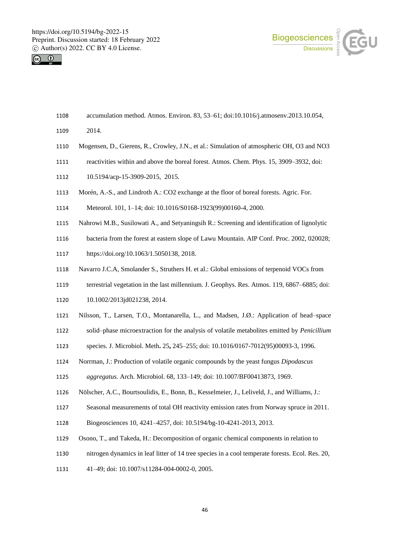



- accumulation method. Atmos. Environ. 83, 53–61; doi:10.1016/j.atmosenv.2013.10.054,
- 2014.
- Mogensen, D., Gierens, R., Crowley, J.N., et al.: Simulation of atmospheric OH, O3 and NO3
- reactivities within and above the boreal forest. Atmos. Chem. Phys. 15, 3909–3932, doi:
- 10.5194/acp-15-3909-2015, 2015.
- Morén, A.-S., and Lindroth A.: CO2 exchange at the floor of boreal forests. Agric. For.
- Meteorol. 101, 1–14; doi: 10.1016/S0168-1923(99)00160-4, 2000.
- Nahrowi M.B., Susilowati A., and Setyaningsih R.: Screening and identification of lignolytic
- bacteria from the forest at eastern slope of Lawu Mountain. AIP Conf. Proc. 2002, 020028;
- https://doi.org/10.1063/1.5050138, 2018.
- Navarro J.C.A, Smolander S., Struthers H. et al.: Global emissions of terpenoid VOCs from
- terrestrial vegetation in the last millennium. J. Geophys. Res. Atmos. 119, 6867–6885; doi: 10.1002/2013jd021238, 2014.
- Nilsson, T., Larsen, T.O., Montanarella, L., and Madsen, J.Ø.: Application of head–space
- solid–phase microextraction for the analysis of volatile metabolites emitted by *Penicillium*
- species. J. Microbiol. Meth**.** 25**,** 245–255; doi: 10.1016/0167-7012(95)00093-3, 1996.
- Norrman, J.: Production of volatile organic compounds by the yeast fungus *Dipodascus*

```
1125 aggregatus. Arch. Microbiol. 68, 133–149; doi: 10.1007/BF00413873, 1969.
```
- Nölscher, A.C., Bourtsoulidis, E., Bonn, B., Kesselmeier, J., Leliveld, J., and Williams, J.:
- Seasonal measurements of total OH reactivity emission rates from Norway spruce in 2011.
- Biogeosciences 10, 4241–4257, doi: 10.5194/bg-10-4241-2013, 2013.
- Osono, T., and Takeda, H.: Decomposition of organic chemical components in relation to
- nitrogen dynamics in leaf litter of 14 tree species in a cool temperate forests. Ecol. Res. 20,
- 41–49; doi: 10.1007/s11284-004-0002-0, 2005.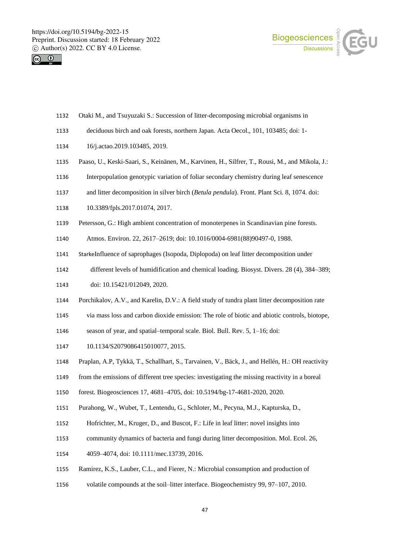



- Otaki M., and Tsuyuzaki S.: Succession of litter-decomposing microbial organisms in
- deciduous birch and oak forests, northern Japan. Acta Oecol., 101, 103485; doi: 1-
- 16/j.actao.2019.103485, 2019.
- Paaso, U., Keski-Saari, S., Keinänen, M., Karvinen, H., Silfrer, T., Rousi, M., and Mikola, J.:
- Interpopulation genotypic variation of foliar secondary chemistry during leaf senescence
- and litter decomposition in silver birch (*Betula pendula*). Front. Plant Sci. 8, 1074. doi:
- 10.3389/fpls.2017.01074, 2017.
- Petersson, G.: High ambient concentration of monoterpenes in Scandinavian pine forests.
- Atmos. Environ. 22, 2617–2619; doi: 10.1016/0004-6981(88)90497-0, 1988.
- StarkeInfluence of saprophages (Isopoda, Diplopoda) on leaf litter decomposition under
- different levels of humidification and chemical loading. Biosyst. Divers. 28 (4), 384–389;
- doi: 10.15421/012049, 2020.
- Porchikalov, A.V., and Karelin, D.V.: A field study of tundra plant litter decomposition rate
- via mass loss and carbon dioxide emission: The role of biotic and abiotic controls, biotope,
- season of year, and spatial–temporal scale. Biol. Bull. Rev. 5, 1–16; doi:
- 1147 10.1134/S2079086415010077, 2015.
- Praplan, A.P, Tykkä, T., Schallhart, S., Tarvainen, V., Bäck, J., and Hellén, H.: OH reactivity
- from the emissions of different tree species: investigating the missing reactivity in a boreal
- forest. Biogeosciences 17, 4681–4705, doi: 10.5194/bg-17-4681-2020, 2020.
- Purahong, W., Wubet, T., Lentendu, G., Schloter, M., Pecyna, M.J., Kapturska, D.,
- Hofrichter, M., Kruger, D., and Buscot, F.: Life in leaf litter: novel insights into
- community dynamics of bacteria and fungi during litter decomposition. Mol. Ecol. 26,
- 4059–4074, doi: 10.1111/mec.13739, 2016.
- Ramirez, K.S., Lauber, C.L., and Fierer, N.: Microbial consumption and production of
- volatile compounds at the soil–litter interface. Biogeochemistry 99, 97–107, 2010.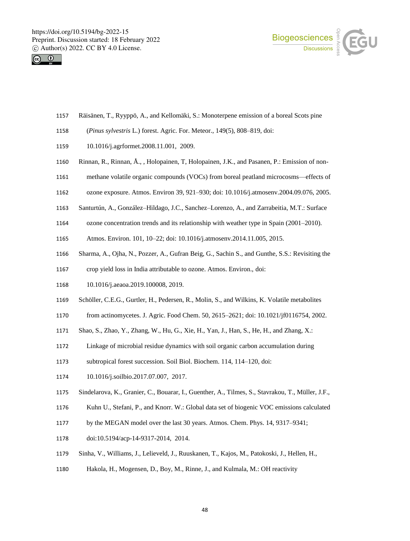



- Räisänen, T., Ryyppö, A., and Kellomäki, S.: Monoterpene emission of a boreal Scots pine
- (*Pinus sylvestris* L.) forest. Agric. For. Meteor., 149(5), 808–819, doi:
- 10.1016/j.agrformet.2008.11.001, 2009.
- Rinnan, R., Rinnan, Å., , Holopainen, T, Holopainen, J.K., and Pasanen, P.: Emission of non-
- methane volatile organic compounds (VOCs) from boreal peatland microcosms—effects of
- ozone exposure. Atmos. Environ 39, 921–930; doi: 10.1016/j.atmosenv.2004.09.076, 2005.
- Santurtún, A., González–Hildago, J.C., Sanchez–Lorenzo, A., and Zarrabeitia, M.T.: Surface
- ozone concentration trends and its relationship with weather type in Spain (2001–2010).
- Atmos. Environ. 101, 10–22; doi: 10.1016/j.atmosenv.2014.11.005, 2015.
- Sharma, A., Ojha, N., Pozzer, A., Gufran Beig, G., Sachin S., and Gunthe, S.S.: Revisiting the
- crop yield loss in India attributable to ozone. Atmos. Environ., doi:
- 10.1016/j.aeaoa.2019.100008, 2019.
- Schöller, C.E.G., Gurtler, H., Pedersen, R., Molin, S., and Wilkins, K. Volatile metabolites
- from actinomycetes. J. Agric. Food Chem. 50, 2615–2621; doi: 10.1021/jf0116754, 2002.
- Shao, S., Zhao, Y., Zhang, W., Hu, G., Xie, H., Yan, J., Han, S., He, H., and Zhang, X.:
- Linkage of microbial residue dynamics with soil organic carbon accumulation during
- subtropical forest succession. Soil Biol. Biochem. 114, 114–120, doi:
- 10.1016/j.soilbio.2017.07.007, 2017.
- Sindelarova, K., Granier, C., Bouarar, I., Guenther, A., Tilmes, S., Stavrakou, T., Müller, J.F.,
- Kuhn U., Stefani, P., and Knorr. W.: Global data set of biogenic VOC emissions calculated
- by the MEGAN model over the last 30 years. Atmos. Chem. Phys. 14, 9317–9341;
- doi:10.5194/acp-14-9317-2014, 2014.
- Sinha, V., Williams, J., Lelieveld, J., Ruuskanen, T., Kajos, M., Patokoski, J., Hellen, H.,
- Hakola, H., Mogensen, D., Boy, M., Rinne, J., and Kulmala, M.: OH reactivity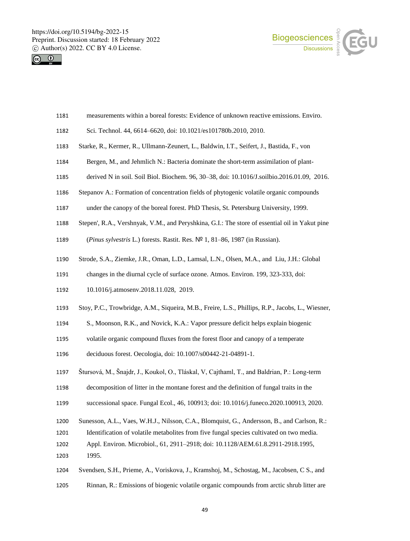



- measurements within a boreal forests: Evidence of unknown reactive emissions. Enviro.
- Sci. Technol. 44, 6614–6620, doi: 10.1021/es101780b.2010, 2010.
- Starke, R., Kermer, R., Ullmann-Zeunert, L., Baldwin, I.T., Seifert, J., Bastida, F., von
- Bergen, M., and Jehmlich N.: Bacteria dominate the short-term assimilation of plant-
- derived N in soil. Soil Biol. Biochem. 96, 30–38, doi: 10.1016/J.soilbio.2016.01.09, 2016.
- Stepanov A.: Formation of concentration fields of phytogenic volatile organic compounds
- under the canopy of the boreal forest. PhD Thesis, St. Petersburg University, 1999.
- Stepen', R.A., Vershnyak, V.M., and Peryshkina, G.I.: The store of essential oil in Yakut pine
- (*Pinus sylvestris* L.) forests. Rastit. Res. № 1, 81–86, 1987 (in Russian).
- Strode, S.A., Ziemke, J.R., Oman, L.D., Lamsal, L.N., Olsen, M.A., and Liu, J.H.: Global
- changes in the diurnal cycle of surface ozone. Atmos. Environ. 199, 323-333, doi:
- 10.1016/j.atmosenv.2018.11.028, 2019.
- Stoy, P.C., Trowbridge, A.M., Siqueira, M.B., Freire, L.S., Phillips, R.P., Jacobs, L., Wiesner,
- S., Moonson, R.K., and Novick, K.A.: Vapor pressure deficit helps explain biogenic
- volatile organic compound fluxes from the forest floor and canopy of a temperate
- deciduous forest. Oecologia, doi: 10.1007/s00442-21-04891-1.
- Štursová, M., Šnajdr, J., Koukol, O., Tláskal, V, Cajthaml, T., and Baldrian, P.: Long-term
- decomposition of litter in the montane forest and the definition of fungal traits in the
- successional space. Fungal Ecol., 46, 100913; doi: 10.1016/j.funeco.2020.100913, 2020.
- Sunesson, A.L., Vaes, W.H.J., Nilsson, C.A., Blomquist, G., Andersson, B., and Carlson, R.:
- Identification of volatile metabolites from five fungal species cultivated on two media.
- Appl. Environ. Microbiol., 61, 2911–2918; doi: 10.1128/AEM.61.8.2911-2918.1995, 1995.
- Svendsen, S.H., Prieme, A., Voriskova, J., Kramshoj, M., Schostag, M., Jacobsen, C S., and
- Rinnan, R.: Emissions of biogenic volatile organic compounds from arctic shrub litter are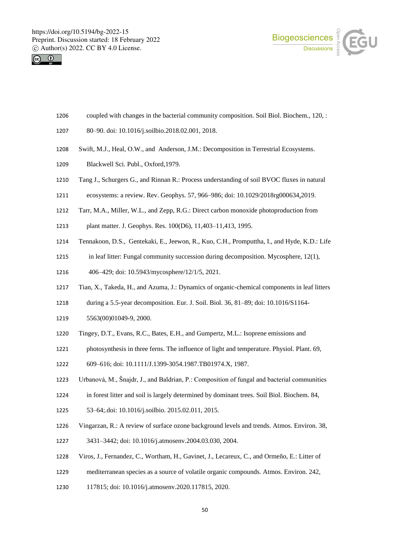



- coupled with changes in the bacterial community composition. Soil Biol. Biochem., 120, :
- 80–90. doi: 10.1016/j.soilbio.2018.02.001, 2018.
- Swift, M.J., Heal, O.W., and Anderson, J.M.: Decomposition in Terrestrial Ecosystems.
- Blackwell Sci. Publ., Oxford,1979.
- Tang J., Schurgers G., and Rinnan R.: Process understanding of soil BVOC fluxes in natural
- ecosystems: a review. Rev. Geophys. 57, 966–986; doi: 10.1029/2018rg000634,2019.
- Tarr, M.A., Miller, W.L., and Zepp, R.G.: Direct carbon monoxide photoproduction from
- plant matter. J. Geophys. Res. 100(D6), 11,403–11,413, 1995.
- Tennakoon, D.S., Gentekaki, E., Jeewon, R., Kuo, C.H., Promputtha, I., and Hyde, K.D.: Life
- in leaf litter: Fungal community succession during decomposition. Mycosphere, 12(1),
- 406–429; doi: 10.5943/mycosphere/12/1/5, 2021.
- Tian, X., Takeda, H., and Azuma, J.: Dynamics of organic-chemical components in leaf litters
- during a 5.5-year decomposition. Eur. J. Soil. Biol. 36, 81–89; doi: 10.1016/S1164-
- 5563(00)01049-9, 2000.
- Tingey, D.T., Evans, R.C., Bates, E.H., and Gumpertz, M.L.: Isoprene emissions and
- photosynthesis in three ferns. The influence of light and temperature. Physiol. Plant. 69,
- 609–616; doi: 10.1111/J.1399-3054.1987.TB01974.X, 1987.
- Urbanová, M., Šnajdr, J., and Baldrian, P.: Composition of fungal and bacterial communities
- in forest litter and soil is largely determined by dominant trees. Soil Biol. Biochem. 84,
- 53–64;.doi: 10.1016/j.soilbio. 2015.02.011, 2015.
- Vingarzan, R.: A review of surface ozone background levels and trends. Atmos. Environ. 38,
- 3431–3442; doi: 10.1016/j.atmosenv.2004.03.030, 2004.
- Viros, J., Fernandez, C., Wortham, H., Gavinet, J., Lecareux, C., and Ormeño, E.: Litter of
- mediterranean species as a source of volatile organic compounds. Atmos. Environ. 242,
- 117815; doi: 10.1016/j.atmosenv.2020.117815, 2020.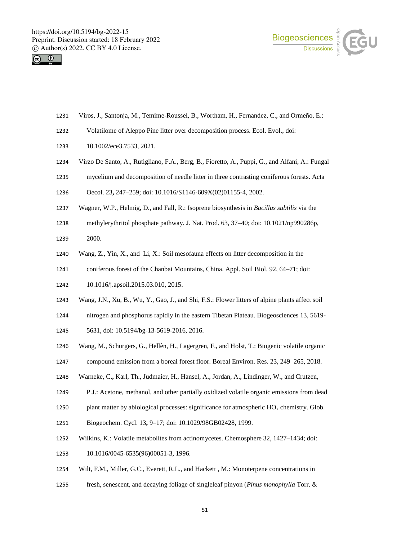



- Viros, J., Santonja, M., Temime-Roussel, B., Wortham, H., Fernandez, C., and Ormeño, E.:
- Volatilome of Aleppo Pine litter over decomposition process. Ecol. Evol., doi:
- 1233 10.1002/ece3.7533, 2021.
- Virzo De Santo, A., Rutigliano, F.A., Berg, B., Fioretto, A., Puppi, G., and Alfani, A.: Fungal
- mycelium and decomposition of needle litter in three contrasting coniferous forests. Acta
- Oecol. 23**,** 247–259; doi: 10.1016/S1146-609X(02)01155-4, 2002.
- Wagner, W.P., Helmig, D., and Fall, R.: Isoprene biosynthesis in *Bacillus subtilis* via the
- methylerythritol phosphate pathway. J. Nat. Prod. 63, 37–40; doi: 10.1021/np990286p, 2000.
- Wang, Z., Yin, X., and Li, X.: Soil mesofauna effects on litter decomposition in the
- coniferous forest of the Chanbai Mountains, China. Appl. Soil Biol. 92, 64–71; doi:
- 10.1016/j.apsoil.2015.03.010, 2015.
- Wang, J.N., Xu, B., Wu, Y., Gao, J., and Shi, F.S.: Flower litters of alpine plants affect soil
- nitrogen and phosphorus rapidly in the eastern Tibetan Plateau. Biogeosciences 13, 5619-
- 5631, doi: 10.5194/bg-13-5619-2016, 2016.
- Wang, M., Schurgers, G., Hellèn, H., Lagergren, F., and Holst, T.: Biogenic volatile organic
- compound emission from a boreal forest floor. Boreal Environ. Res. 23, 249–265, 2018.
- Warneke, C.**,** Karl, Th., Judmaier, H., Hansel, A., Jordan, A., Lindinger, W., and Crutzen,
- P.J.: Acetone, methanol, and other partially oxidized volatile organic emissions from dead
- 1250 plant matter by abiological processes: significance for atmospheric  $HO_x$  chemistry. Glob.
- Biogeochem. Cycl. 13**,** 9–17; doi: 10.1029/98GB02428, 1999.
- Wilkins, K.: Volatile metabolites from actinomycetes. Chemosphere 32, 1427–1434; doi:
- 10.1016/0045-6535(96)00051-3, 1996.
- Wilt, F.M., Miller, G.C., Everett, R.L., and Hackett , M.: Monoterpene concentrations in
- fresh, senescent, and decaying foliage of singleleaf pinyon (*Pinus monophylla* Torr. &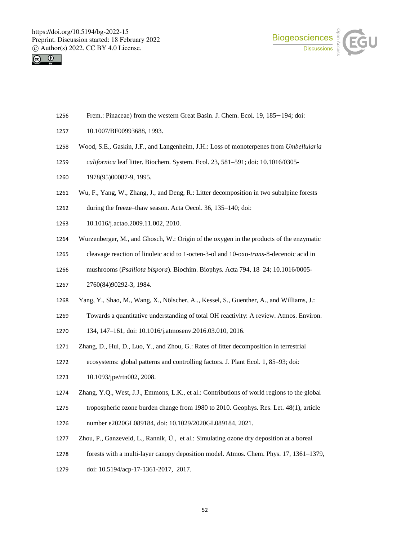



- Frem.: Pinaceae) from the western Great Basin. J. Chem. Ecol. 19, 185−194; doi:
- 10.1007/BF00993688, 1993.
- Wood, S.E., Gaskin, J.F., and Langenheim, J.H.: Loss of monoterpenes from *Umbellularia*
- *californica* leaf litter. Biochem. System. Ecol. 23, 581–591; doi: 10.1016/0305-
- 1978(95)00087-9, 1995.
- Wu, F., Yang, W., Zhang, J., and Deng, R.: Litter decomposition in two subalpine forests
- during the freeze–thaw season. Acta Oecol. 36, 135–140; doi:
- 10.1016/j.actao.2009.11.002, 2010.
- Wurzenberger, M., and Ghosch, W.: Origin of the oxygen in the products of the enzymatic
- cleavage reaction of linoleic acid to 1-octen-3-ol and 10-oxo-*trans-*8-decenoic acid in
- mushrooms (*Psalliota bispora*). Biochim. Biophys. Acta 794, 18–24; 10.1016/0005-
- 2760(84)90292-3, 1984.
- Yang, Y., Shao, M., Wang, X., Nölscher, A.., Kessel, S., Guenther, A., and Williams, J.:
- Towards a quantitative understanding of total OH reactivity: A review. Atmos. Environ.
- 134, 147–161, doi: 10.1016/j.atmosenv.2016.03.010, 2016.
- Zhang, D., Hui, D., Luo, Y., and Zhou, G.: Rates of litter decomposition in terrestrial
- ecosystems: global patterns and controlling factors. J. Plant Ecol. 1, 85–93; doi:
- 10.1093/jpe/rtn002, 2008.
- Zhang, Y.Q., West, J.J., Emmons, L.K., et al.: Contributions of world regions to the global
- tropospheric ozone burden change from 1980 to 2010. Geophys. Res. Let. 48(1), article
- number e2020GL089184, doi: 10.1029/2020GL089184, 2021.
- Zhou, P., Ganzeveld, L., Rannik, Ü., et al.: Simulating ozone dry deposition at a boreal
- forests with a multi-layer canopy deposition model. Atmos. Chem. Phys. 17, 1361–1379,
- doi: 10.5194/acp-17-1361-2017, 2017.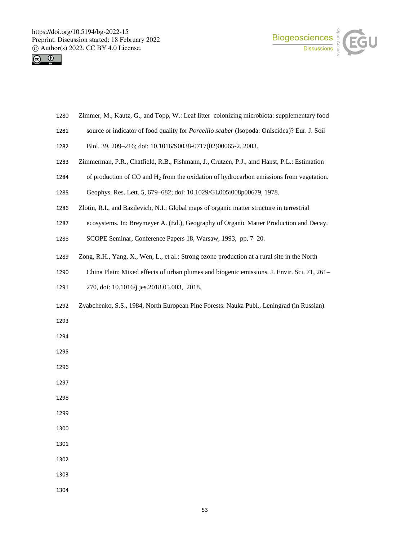



- Zimmer, M., Kautz, G., and Topp, W.: Leaf litter–colonizing microbiota: supplementary food
- source or indicator of food quality for *Porcellio scaber* (Isopoda: Oniscidea)? Eur. J. Soil
- Biol. 39, 209–216; doi: 10.1016/S0038-0717(02)00065-2, 2003.
- Zimmerman, P.R., Chatfield, R.B., Fishmann, J., Crutzen, P.J., amd Hanst, P.L.: Estimation
- of production of CO and H<sup>2</sup> from the oxidation of hydrocarbon emissions from vegetation.
- Geophys. Res. Lett. 5, 679–682; doi: 10.1029/GL005i008p00679, 1978.
- Zlotin, R.I., and Bazilevich, N.I.: Global maps of organic matter structure in terrestrial
- ecosystems. In: Breymeyer A. (Ed.), Geography of Organic Matter Production and Decay.
- SCOPE Seminar, Conference Papers 18, Warsaw, 1993, pp. 7–20.
- Zong, R.H., Yang, X., Wen, L., et al.: Strong ozone production at a rural site in the North
- China Plain: Mixed effects of urban plumes and biogenic emissions. J. Envir. Sci. 71, 261–
- 270, doi: 10.1016/j.jes.2018.05.003, 2018.
- Zyabchenko, S.S., 1984. North European Pine Forests. Nauka Publ., Leningrad (in Russian).
- 
- 
- 
- 
- 
- 
- 
- 
- 
- 
- 
-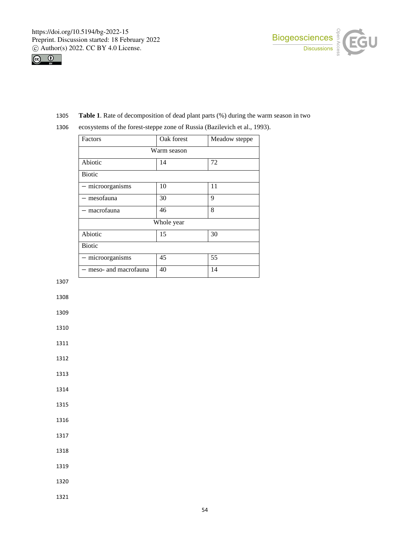



1305 **Table 1**. Rate of decomposition of dead plant parts (%) during the warm season in two

| Factors                | Oak forest  | Meadow steppe |  |  |
|------------------------|-------------|---------------|--|--|
|                        | Warm season |               |  |  |
| Abiotic                | 14          | 72            |  |  |
| <b>Biotic</b>          |             |               |  |  |
| - microorganisms       | 10          | 11            |  |  |
| — mesofauna            | 30          | 9             |  |  |
| - macrofauna           | 46          | 8             |  |  |
| Whole year             |             |               |  |  |
| Abiotic                | 15          | 30            |  |  |
| <b>Biotic</b>          |             |               |  |  |
| - microorganisms       | 45          | 55            |  |  |
| - meso- and macrofauna | 40          | 14            |  |  |

1307

1308

1309

1310

1311

1312

1313

1314

1315

1316

1317

1318

1319

1320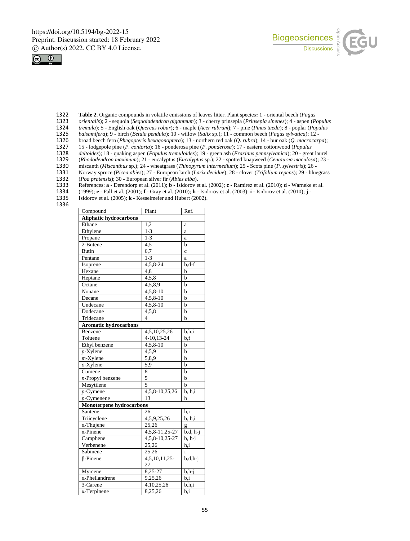



- 1322 **Table 2.** Organic compounds in volatile emissions of leaves litter. Plant species**:** 1 oriental beech (*Fagus*
- 1323 *orientalis*); 2 sequoia (*Sequoiadendron giganteum*); 3 cherry prinsepia (*Prinsepia sinenes*); 4 aspen (*Populus*
- 1324 *tremula*); 5 English oak (*Quercus robur*); 6 maple (*Acer rubrum*); 7 pine (*Pinus taeda*); 8 poplar (*Populus*
- 1325 *balsamifera*); 9 birch (*Betula pendula*); 10 willow (*Salix* sp.); 11 common beech (*Fagus sylvatica*); 12 -
- 1326 broad beech fern (*Phegopteris hexagonoptera*); 13 northern red oak (*Q. rubra*); 14 bur oak (*Q. macrocarpa*);
- 1327 15 lodgepole pine (*P. contorta*); 16 ponderosa pine (*P. ponderosa*); 17 eastern cottonwood (*Populus*
- 1328 *deltoides*); 18 quaking aspen (*Populus tremuloides*); 19 green ash (*Fraxinus pennsylvanica*); 20 great laurel
- 1329 (*Rhododendron maximum*); 21 eucalyptus (*Eucalyptus* sp.); 22 spotted knapweed (*Centaurea maculosa*); 23 -
- 1330 miscanth (*Miscanthus* sp.); 24 wheatgrass (*Thinopyrum intermedium*); 25 Scots pine (*P. sylvestris*); 26 1331 Norway spruce (*Picea abies*); 27 - European larch (*Larix decidue*); 28 - clover (*Trifolium repens*); 29 - bluegrass
- 
- 1332 (*Poa pratensis*); 30 European silver fir (*Abies alba*). 1333 References: **a** - Derendorp et al. (2011); **b** - Isidorov et al. (2002); **c** - Ramirez et al. (2010); **d** - Warneke et al. (1999); **e** - Fall et al. (2001); **f** - Gray et al. (2010); **h** - Isidorov et al. (2003); **i**
- 1334 (1999); **e** Fall et al. (2001); **f** Gray et al. (2010); **h** Isidorov et al. (2003); **i** Isidorov et al. (2010); **j** -
- 1335 Isidorov et al. (2005); **k** Kesselmeier and Hubert (2002).
- 1336

| Compound<br>Plant<br>Ref.    |                         |              |  |  |
|------------------------------|-------------------------|--------------|--|--|
| Aliphatic hydrocarbons       |                         |              |  |  |
| Ethane                       | 1,2                     | a            |  |  |
| Ethylene                     | $1 - 3$                 | a            |  |  |
| Propane                      | $1 - 3$                 | a            |  |  |
| 2-Butene                     | 4,5                     | b            |  |  |
| <b>Butin</b>                 | 6,7                     | $\mathbf c$  |  |  |
| Pentane                      | $1 - 3$                 | a            |  |  |
| Isoprene                     | 4,5,8-24                | $b, d-f$     |  |  |
| Hexane                       | 4,8                     | b            |  |  |
| Heptane                      | 4,5,8                   | b            |  |  |
| Octane                       | 4,5,8,9                 | b            |  |  |
| Nonane                       | 4,5,8-10                | h            |  |  |
| Decane                       | $\overline{4,5,8-10}$   | b            |  |  |
| Undecane                     | 4,5,8-10                | b            |  |  |
| Dodecane                     | 4,5,8                   | b            |  |  |
| Tridecane                    | $\overline{\mathbf{4}}$ | $\mathbf b$  |  |  |
| <b>Aromatic hydrocarbons</b> |                         |              |  |  |
| Benzene                      | 4,5,10,25,26            | b,h,i        |  |  |
| Toluene                      | 4-10,13-24              | $_{\rm b,f}$ |  |  |
| Ethyl benzene                | $4,5,8-10$              | b            |  |  |
| $p$ -Xylene                  | 4,5,9                   | b            |  |  |
| $m$ -Xylene                  | 5,8,9                   | b            |  |  |
| $o$ -Xylene                  | 5,9                     |              |  |  |
| Cumene                       | 8                       | b            |  |  |
| $n$ -Propyl benzene          | 5                       | b            |  |  |
| Mesytilene                   | 5                       | b            |  |  |
| $p$ -Cymene                  | 4,5,8-10,25,26          |              |  |  |
| $p$ -Cymenene                | 13                      | h            |  |  |
| Monoterpene hydrocarbons     |                         |              |  |  |
| Santene                      | 26                      | h.i          |  |  |
| Triicyclene                  | 4,5,9,25,26             | b, h, i      |  |  |
| $\overline{\alpha}$ -Thujene | 25,26                   | g            |  |  |
| $\alpha$ -Pinene             | 4, 5, 8-11, 25-27       | $b,d, h-j$   |  |  |
| Camphene                     | 4,5,8-10,25-27          | $b, h-j$     |  |  |
| Verbenene                    | 25,26                   | h,i          |  |  |
| Sabinene                     | 25,26                   | i            |  |  |
| $\beta$ -Pinene              | 4,5,10,11,25-<br>27     | $b,d,h-j$    |  |  |
| Myrcene                      | 8,25-27                 | b,h-j        |  |  |
| $\alpha$ -Phellandrene       | 9,25,26                 | b,i          |  |  |
| 3-Carene                     | 4,10,25,26              | b,h,i        |  |  |
| $\alpha$ -Terpinene          | 8,25,26                 | b,i          |  |  |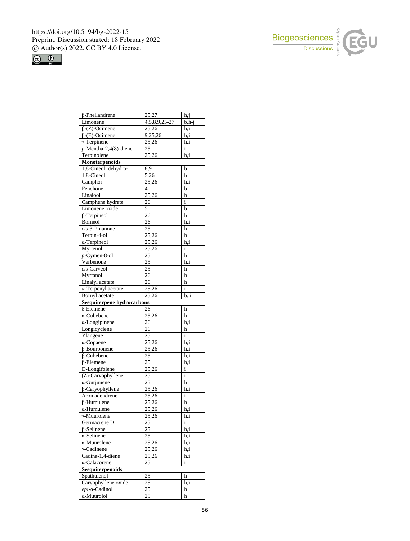



| $\beta$ -Phellandrene                  | 25,27              | h,j                |
|----------------------------------------|--------------------|--------------------|
| Limonene                               | 4,5,8,9,25-27      | $\overline{b,h-j}$ |
| $\beta$ -(Z)-Ocimene                   | 25,26              | h,i                |
| $\beta$ -(E)-Ocimene                   | 9,25,26            | h,i                |
| $\gamma$ -Terpinene                    | 25,26              | h,i                |
| $p$ -Mentha-2,4(8)-diene               | 25                 | i                  |
| Terpinolene                            | 25,26              | h,i                |
| Monoterpenoids                         |                    |                    |
| 1,8-Cineol, dehydro-                   | 8,9                | b                  |
| 1,8-Cineol                             | 5,26               | $\mathbf h$        |
| Camphor                                | 25,26              | h,i                |
| Fenchone                               | $\overline{4}$     | b                  |
| Linalool                               | 25, 26             | h                  |
| Camphene hydrate                       | 26                 | i                  |
| Limonene oxide                         | 5                  | b                  |
| $\overline{\beta$ -Terpineol           | $\overline{26}$    | h                  |
| Borneol                                | 26                 | h,i                |
| $cis$ -3-Pinanone                      | $\overline{25}$    | h                  |
| Terpin-4-ol                            | 25,26              | h                  |
| $\alpha$ -Terpineol                    | 25,26              | h,i                |
| Myrtenol                               | 25,26              | $\mathbf{i}$       |
| $p$ -Cymen-8-ol                        | 25                 | h                  |
| Verbenone                              | $\overline{25}$    | $\overline{h,i}$   |
| cis-Carveol                            | $\overline{25}$    | h                  |
| Myrtanol                               | $\overline{26}$    | h                  |
| Linalyl acetate                        | 26                 | h                  |
| $\alpha$ -Terpenyl acetate             | 25,26              | i                  |
| Bornyl acetate                         | 25,26              | b, i               |
| <b>Sesquiterpene hydrocarbons</b>      |                    |                    |
| $\overline{\delta}$ -Elemene           | 26                 | h                  |
| $\alpha$ -Cubebene                     | 25,26              | h                  |
| $\alpha$ -Longipinene                  | 26                 | h,i                |
| Longicyclene                           | 26                 | h                  |
| Ylangene                               | 25                 | $\mathbf{i}$       |
| $\alpha$ -Copaene                      | $\overline{2}5,26$ | h,i                |
| $\beta$ -Bourbonene                    | 25,26              | h,i                |
| $\beta$ -Cubebene                      | 25                 | h,i                |
| $\beta$ -Elemene                       | 25                 | h, i               |
| D-Longifolene                          | 25,26              | $\mathbf{i}$       |
| (Z)-Caryophyllene                      | 25                 | i                  |
| $\alpha$ -Gurjunene                    | 25                 | h                  |
| β-Caryophyllene                        | 25,26              | h,i                |
| Aromadendrene                          | 25,26              | $\mathbf{i}$       |
| $\beta$ -Humulene                      | 25,26              | h                  |
| $\alpha$ -Humulene                     | 25,26              | h,i                |
| γ-Muurolene                            | 25,26              | h,i                |
| Germacrene D                           | 25                 | i                  |
| $\beta$ -Selinene                      | 25                 | h, i               |
| $\alpha$ -Selinene                     | 25                 | h.i                |
| $\alpha$ -Muurolene                    | 25,26              | h,i                |
| $\sqrt{\gamma}$ -Cadinene              | 25,26              | h.i                |
| Cadina-1,4-diene                       | 25,26              | h,i                |
| $\alpha$ -Calacorene                   |                    | i                  |
|                                        | 25                 |                    |
|                                        |                    |                    |
| <b>Sesquiterpenoids</b><br>Spathulenol |                    | h                  |
| Caryophyllene oxide                    | 25<br>25           | h,i                |
| $epi$ - $\alpha$ -Cadinol              | 25                 | h                  |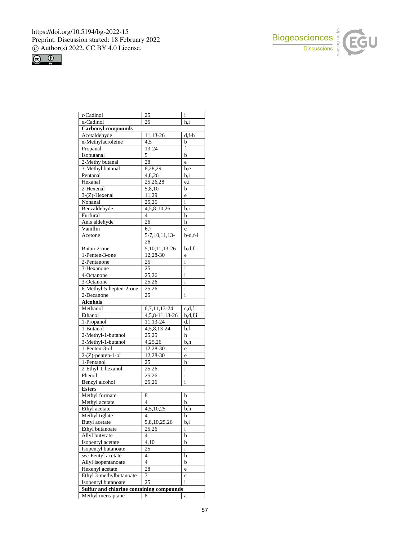



| $\tau$ -Cadinol                          | 25                             | $\rm i$       |
|------------------------------------------|--------------------------------|---------------|
| $\alpha$ -Cadinol                        | 25                             | h,i           |
| <b>Carbonyl compounds</b>                |                                |               |
| Acetaldehyde                             | <u>11,13-26</u>                | $d.f-h$       |
| $\alpha$ -Methylacroleine                | 4,5                            | b             |
| Propanal                                 | 13-24                          | f             |
| Isobutanal                               | 5                              | $\mathbf b$   |
| 2-Methy butanal                          | 28                             | e             |
| 3-Methyl butanal                         | 8,28,29                        | b,e           |
| Pentanal                                 | 4,8,26                         | b,i           |
| Hexanal                                  | 25,26,28                       | $_{\rm e,i}$  |
| 2-Hexenal                                | 5,8,10                         | b             |
| 3-(Z)-Hexenal                            | 11,29                          | e             |
| Nonanal                                  | $\overline{2}5,26$             | $\frac{1}{1}$ |
| Benzaldehyde                             | 4,5,8-10,26                    | b,i           |
| Furfural                                 | $\overline{4}$                 | b             |
| Anis aldehyde                            | 26                             | h             |
| Vanillin                                 | 6,7                            | $\mathbf c$   |
| Acetone                                  | $5-7, 10, 11, 13-$             | $b-d,f-i$     |
|                                          | 26                             |               |
| Butan-2-one                              | $\overline{5,10,11,13}$ -26    | $b,d,f-i$     |
| 1-Penten-3-one                           | $\overline{12}$ , 28-30        | e             |
| 2-Pentanone                              | 25                             | $\mathbf{i}$  |
| 3-Hexanone                               | <u>25</u>                      | i             |
| $\overline{4}$ -Octanone                 | 25,26                          | i             |
| 3-Octanone                               | 25,26                          | $\mathbf i$   |
| 6-Methyl-5-hepten-2-one                  | 25,26                          | i             |
| 2-Decanone                               | 25                             | i             |
| <b>Alcohols</b>                          |                                |               |
|                                          |                                |               |
|                                          |                                |               |
| Methanol                                 | 6,7,11,13-24                   | c,d,f         |
| Ethanol                                  | $\overline{4,5}$ , 8-11, 13-26 | b,d,f,i       |
| 1-Propanol                               | 11,13-24                       | d,f           |
| $1 - But and$                            | $4,5,8,13-24$                  | b,f           |
| 2-Methyl-1-butanol                       | 25,25                          | h             |
| 3-Methyl-1-butanol                       | $\overline{4,25,26}$           | b,h           |
| 1-Penten-3-ol                            | 12,28-30                       | e             |
| $2-(Z)$ -penten-1-ol                     | 12,28-30                       | e             |
| 1-Pentanol                               | 25                             | h             |
| 2-Ethyl-1-hexanol                        | 25,26                          | $\mathbf{i}$  |
| Phenol                                   | 25,26                          | i             |
| Benzyl alcohol                           | 25,26                          | i             |
| <b>Esters</b>                            |                                |               |
| Methyl formate                           | 8                              | b             |
| Methyl acetate                           | $\overline{4}$                 | b             |
| Ethyl acetate                            | $\overline{4}, 5, 10, 25$      | b,h           |
| Methyl tiglate                           | 4                              | b             |
| Butyl acetate                            | 5,8,10,25,26                   | b,i           |
| Ethyl butanoate                          | 25,26                          | i             |
| Allyl butyrate                           | 4                              | b             |
| Isopentyl acetate                        | 4,10                           | b             |
| Isopentyl butanoate                      | 25                             | i             |
| sec-Pentyl acetate                       | 4                              | b             |
| Allyl isopentanoate                      | $\overline{4}$                 | b             |
| Hexenyl acetate                          | 28                             | e             |
| Ethyl 3-methylbutanoate                  | 7                              | $\mathbf c$   |
| Isopentyl butanoate                      | 25                             | i             |
| Sulfur and chlorine containing compounds |                                |               |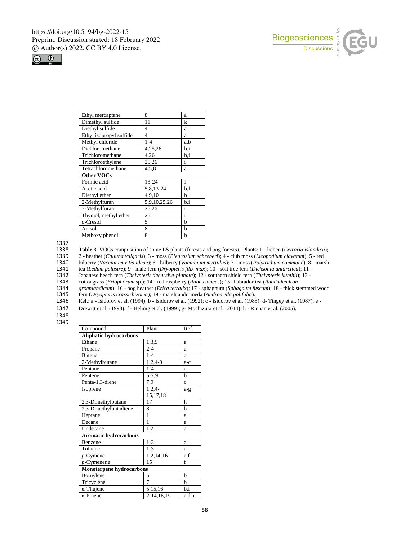



| Ethyl mercaptane        | 8              | a            |
|-------------------------|----------------|--------------|
| Dimethyl sulfide        | 11             | k            |
| Diethyl sulfide         | $\overline{4}$ | a            |
| Ethyl isopropyl sulfide | 4              | a            |
| Methyl chloride         | $1 - 4$        | a.b          |
| Dichloromethane         | 4,25,26        | b,i          |
| Trichloromethane        | 4,26           | b.i          |
| Trichloroethylene       | 25,26          | i            |
| Tetrachloromethane      | 4,5,8          | a            |
| <b>Other VOCs</b>       |                |              |
| Formic acid             | 13-24          | f            |
| Acetic acid             | 5,8,13-24      | b,f          |
| Diethyl ether           | 4,9,10         | b            |
| 2-Methylfuran           | 5,9,10,25,26   | b.i          |
| 3-Methylfuran           | 25,26          | i            |
| Thymol, methyl ether    | 25             | $\mathbf{i}$ |
| $o$ -Cresol             | 5              | b            |
| Anisol                  | 8              | b            |
| Methoxy phenol          | 8              | b            |

1337<br>1338

1338 **Table 3**. VOCs composition of some LS plants (forests and bog forests). Plants: 1 - lichen (*Cetraria islandica*);

1339 2 - heather (*Calluna vulgaris*); 3 - moss (*Pleurozium schreberi*); 4 - club moss (*Licopodium clavatum*); 5 - red

1340 bilberry (*Vaccinium vitis-ideae*); 6 - bilberry (*Vacinnium myrtillus*); 7 - moss (*Polytrichum commune*); 8 - marsh

1341 tea (*Ledum palustre*); 9 - male fern (*Dryopteris filix-max*); 10 - soft tree fern (*Dicksonia antarctica*); 11 -

1342 Japanese beech fern (*Thelypteris decursive-pinnata*); 12 - southern shield fern (*Thelypteris kunthii*); 13 -

1343 cottongrass (*Eriophorum* sp.); 14 - red raspberry (*Rubus idaeus*); 15- Labrador tea (*Rhododendron* 

1344 *groenlandicum*); 16 - bog heather (*Erica tetralix*); 17 - sphagnum (*Sphagnum fuscum*); 18 - thick stemmed wood 1345 fern (*Dryopteris crassirhizoma*); 19 - marsh andromeda (*Andromeda polifolia*).

1346 Ref.: a - Isidorov et al. (1994); b - Isidorov et al. (1992); c - Isidorov et al. (1985); d- Tingey et al. (1987); e -

1347 Drewitt et al. (1998); f - Helmig et al. (1999); g- Mochizuki et al. (2014); h - Rinnan et al. (2005).

1348

| Compound                        | Plant          | Ref.        |  |  |  |
|---------------------------------|----------------|-------------|--|--|--|
| <b>Aliphatic hydrocarbons</b>   |                |             |  |  |  |
| Ethane                          | 1,3,5          | a           |  |  |  |
| Propane                         | $2 - 4$        | a           |  |  |  |
| <b>Butene</b>                   | $1 - 4$        | a           |  |  |  |
| 2-Methylbutane                  | 1,2,4-9        | $a-c$       |  |  |  |
| Pentane                         | $1 - 4$        | a           |  |  |  |
| Pentene                         | $5 - 7,9$      | b           |  |  |  |
| Penta-1,3-diene                 | 7,9            | $\mathbf c$ |  |  |  |
| Isoprene                        | $1,2,4-$       | $a-g$       |  |  |  |
|                                 | 15,17,18       |             |  |  |  |
| 2,3-Dimethylbutane              | 17             | h           |  |  |  |
| 2,3-Dimethylbutadiene           | 8              | h           |  |  |  |
| Heptane                         | 1              | a           |  |  |  |
| Decane                          | 1              | a           |  |  |  |
| Undecane                        | 1,2            | a           |  |  |  |
| <b>Aromatic hydrocarbons</b>    |                |             |  |  |  |
| Benzene                         | $1 - 3$        | a           |  |  |  |
| Toluene                         | $1 - 3$        | a           |  |  |  |
| $p$ -Cymene                     | 1,2,14-16      | a,f         |  |  |  |
| $p$ -Cymenene                   | 15             | $\mathbf f$ |  |  |  |
| <b>Monoterpene hydrocarbons</b> |                |             |  |  |  |
| Bornylene                       | 5              | h           |  |  |  |
| Tricyclene                      | $\overline{7}$ | b           |  |  |  |
| $\alpha$ -Thujene               | 5,15,16        | b,f         |  |  |  |
| $\alpha$ -Pinene                | 2-14,16,19     | a-f,h       |  |  |  |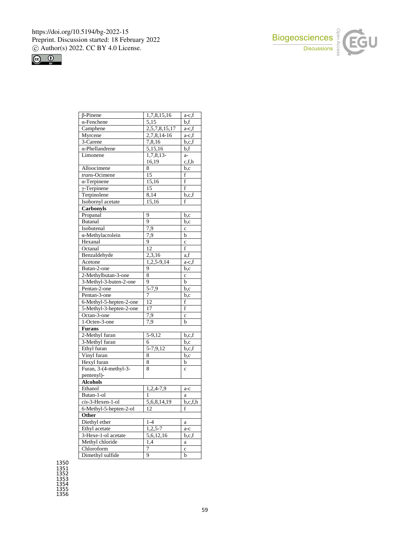



| $\beta$ -Pinene         | 1,7,8,15,16              | a-c,f                   |
|-------------------------|--------------------------|-------------------------|
| $\alpha$ -Fenchene      | $\overline{5,15}$        | b,f                     |
| Camphene                | 2,5,7,8,15,17            | a-c,f                   |
| Myrcene                 | $2,7,8,14-16$            | $a-c,f$                 |
| 3-Carene                | 7,8,16                   | b,c,f                   |
| $\alpha$ -Phellandrene  | 5,15,16                  | b,f                     |
| Limonene                | 1,7,8,13-                | $a-$                    |
|                         | 16,19                    | c,f,h                   |
| Alloocimene             | 8                        | b,c                     |
| trans-Ocimene           | 15                       | f                       |
| $\alpha$ -Terpinene     | 15,16                    | $\mathbf f$             |
| $\gamma$ -Terpinene     | 15                       | $\overline{\mathbf{f}}$ |
| Terpinolene             | 8,14                     | b,c,f                   |
| Isobornyl acetate       | 15,16                    | f                       |
| Carbonyls               |                          |                         |
| Propanal                | 9                        | b,c                     |
| <b>Butanal</b>          | 9                        | b,c                     |
| Isobutenal              | 7,9                      | $\mathbf c$             |
| α-Methylacrolein        | 7,9                      | $\mathbf b$             |
| Hexanal                 | 9                        | $\mathbf{c}$            |
| Octanal                 | 12                       | $\mathbf f$             |
| Benzaldehyde            | 2,3,16                   | a, f                    |
| Acetone                 | $1,2,5-9,14$             | a-c,f                   |
| Butan-2-one             | 9                        | b,c                     |
| 2-Methylbutan-3-one     | 8                        | $\mathbf c$             |
| 3-Methyl-3-buten-2-one  | 9                        | $\mathbf b$             |
| Pentan-2-one            | $5 - 7,9$                | $\overline{b,c}$        |
| Pentan-3-one            | 7                        | b,c                     |
| 6-Methyl-5-hepten-2-one | 12                       | f                       |
| 5-Methyl-3-hepten-2-one | 17                       | $\rm f$                 |
| Octan-3-one             | 7,9                      | $\mathbf c$             |
| 1-Octen-3-one           | 7,9                      | $\mathbf b$             |
| <b>Furans</b>           |                          |                         |
| 2-Methyl furan          | 5-9,12                   | b,c,f                   |
| 3-Methyl furan          | 6                        | b,c                     |
| Ethyl furan             | 5-7,9,12                 | b,c,f                   |
| Vinyl furan             | 8                        | b,c                     |
| Hexyl furan             | 8                        | b                       |
| Furan, 3-(4-methyl-3-   | 8                        | $\mathbf c$             |
| pentenyl)-              |                          |                         |
| <b>Alcohols</b>         |                          |                         |
| Ethanol                 | 1,2,4-7,9                | a-c                     |
| Butan-1-ol              | 1                        | a                       |
| $cis$ -3-Hexen-1-ol     | $\overline{5,6,8,14,19}$ |                         |
|                         |                          | b,c,f,h                 |
| 6-Methyl-5-hepten-2-ol  | 12                       | f                       |
| Other                   |                          |                         |
| Diethyl ether           | $1 - 4$                  | a                       |
| Ethyl acetate           | $1,2,5-7$                | a-c                     |
| 3-Hexe-1-ol acetate     | $\overline{5,6,12,16}$   | b,c,f                   |
| Methyl chloride         | 1,4                      | $\mathbf{a}$            |
| Chloroform              | 7                        | $\mathbf c$             |
| Dimethyl sulfide        | 9                        | $\mathbf b$             |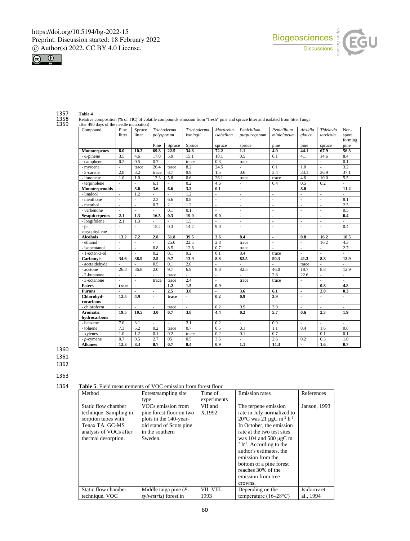



1357 **Table 4**

1358 Relative composition (% of TIC) of volatile compounds emission from "fresh" pine and spruce litter and isolated from litter fungi<br>1359 after 490 days of the needle incubation)

1359 after 490 days of the needle incubation)<br>
1359 Compound<br>
1359 Pine Compound litter Spruce litter *Trichoderma polysporum Trichoderma koningii Mortirella isabellina Penicillium purpurogenum Penicillium minioluteum Absidia glauca Thielavia terricola* Nonspore forming Pine Spruce Spruce spruce spruce pine pine spruce pine<br>  $\frac{69.8}{22.5}$  22.5 34.8 72.2 1.1 4.0 44.1 67.9 56.3 **Monoterpenes 8.0 10.2 69.8 22.5 34.8 72.2 1.1 4.0 44.1 67.9 56.3** - α-pinene 3.5 4.6 17.0 5.9 15.1 10.1 0.5 0.1 4.1 14.6 8.4 - camphene 0.2 0.5 0.7 - trace 0.3 trace - - - 0.1 - myrcene |- | trace | 26.4 | trace | 8.2 | 24.5 | - | 0.1 | 1.8 | - | 3.2 - 3-carene 2.8 3.2 trace 8.7 9.9 1.5 0.6 3.4 33.1 36.9 37.1 - limonene 1.0 1.0 13.3 5.8 0.6 26.1 trace trace 4.6 10.0 5.5 - terpinolene |- |- | 6.1 |- | 0.2 | 4.6 |- | 0.4 | 0.5 | 0.2 |-**Monoterpenoids - 5.0 3.6 6.6 3.2 0.1 - - 8.0 - 11.2** - linalool |- | 1.2 |- | | 1.2 |- | - | - | - | - | - | - | - | -- menthone  $\begin{vmatrix} - & - \\ - & \end{vmatrix}$  -  $\begin{vmatrix} 2.3 \\ 2.6 \end{vmatrix}$  6.6  $\begin{vmatrix} 0.8 \\ 0.8 \end{vmatrix}$  -  $\begin{vmatrix} - & - \\ - & \end{vmatrix}$  -  $\begin{vmatrix} - & - \\ - & \end{vmatrix}$  -  $\begin{vmatrix} 8.1 \\ - & \end{vmatrix}$ - menthol - - 0.7 2.1 1.2 - - - - - 2.5  $\bullet$  verbenone  $\begin{vmatrix} - & - \\ - & \end{vmatrix}$  - 0.1 0.1 - - - - - - 0.5 **Sesquiterpenes 2.1 1.3 16.5 0.3 19.0 9.0 - - - - 0.4** - longifolene 2.1 1.3 - - 1.5 - - - - - - - βcaryophyllene - |- | 15.2 | 0.3 | 14.2 | 9.0 | - | - | - | - | - | 0.4 **Alcohols 13.2 7.2 2.8 51.8 39.5 3.6 8.4 - 0.8 16.2 10.5** - ethanol - - - 1 - 25.0 22.5 2.8 trace - - 1 - 16.2 4.3 - isopentanol - - 0.8 8.5 12.6 0.7 trace - - - - 2.7 - 1-octen-3-ol - - - - - 0.2 0.1 | 9.2 | 0.1 | 8.4 trace - - - - - - - - - - - -**Carbonyls 34.6 38.9 2.5 9.7 13.9 8.8 82.5 50.3 41.3 8.8 12.9** - acetaldehyde - - - 0.5 0.1 2.0 - - - - - trace - -- acetone 26.8 36.8 2.0 9.7 6.9 8.8 82.5 46.0 18.7 8.8 12.9 - 2-butanone - - - - trace - - - - 2.8 22.6 - - $-$  3-octanone  $\begin{vmatrix} - & \cdot & \cdot & \cdot \\ - & \cdot & \cdot & \cdot \\ - & \cdot & \cdot & \cdot \end{vmatrix}$  +  $\cdot$  +  $\cdot$  +  $\cdot$  +  $\cdot$  +  $\cdot$  +  $\cdot$  +  $\cdot$  +  $\cdot$  +  $\cdot$  +  $\cdot$  +  $\cdot$  +  $\cdot$  +  $\cdot$  +  $\cdot$  +  $\cdot$  +  $\cdot$  +  $\cdot$  +  $\cdot$  +  $\cdot$  +  $\cdot$  +  $\cdot$  +  $\cdot$  +  $\cdot$ **Esters trace - - 1.2 1.5 0.9 - - - 0.8 4.8 Furans - - - 2.5 3.0 - 3.6 6.1 - 2.0 0.3 Chlorohydrocarbons 12.5 4.9 - trace - 0.2 0.9 3.9 - - -** - chloroform  $\begin{vmatrix} - & - \\ - & \end{vmatrix}$  - trace  $\begin{vmatrix} - & - \\ - & \end{vmatrix}$  0.9  $\begin{vmatrix} 3.9 \\ - & \end{vmatrix}$  -  $\begin{vmatrix} - & - \\ - & \end{vmatrix}$ **Aromatic hydrocarbons 19.5 10.5 3.0 0.7 3.8 4.4 0.2 5.7 0.6 2.3 1.9** - benzene | 7.0 | 3.1 | - | - | 2.1 | 0.2 | - | - | 0.9 | - | - | - | -- toluene 7.3 5.2 0.2 trace 0.7 0.5 0.1 1.1 0.4 1.6 0.8 - xylenes  $1.0$  1.2 0.1 0.2 trace 0.2 0.1 0.7 - 0.1 0.1 - *p*-cymene 0.7 0.5 2.7 05 0.5 3.5 - 2.6 0.2 0.3 1.0 **Alkanes 12.3 8.3 0.7 0.7 0.4 0.9 1.1 14.3 - 1.6 0.7**

1360

1361

1362

1364 **Table 5**. Field measurements of VOC emission from forest floor

| Method                                                                                                                                   | Forest/sampling site                                                                                                              | Time of           | <b>Emission</b> rates                                                                                                                                                                                                                                                                                                                                               | References   |
|------------------------------------------------------------------------------------------------------------------------------------------|-----------------------------------------------------------------------------------------------------------------------------------|-------------------|---------------------------------------------------------------------------------------------------------------------------------------------------------------------------------------------------------------------------------------------------------------------------------------------------------------------------------------------------------------------|--------------|
|                                                                                                                                          | type                                                                                                                              | experiments       |                                                                                                                                                                                                                                                                                                                                                                     |              |
| Static flow chamber<br>technique. Sampling in<br>sorption tubes with<br>Tenax TA, GC-MS<br>analysis of VOCs after<br>thermal desorption. | VOCs emission from<br>pine forest floor on two<br>plots in the 140-year-<br>old stand of Scots pine<br>in the southern<br>Sweden. | VII and<br>X.1992 | The terpene emission<br>rate in July normalized to<br>$20^{\circ}$ C was 21 µgC m <sup>-2</sup> h <sup>-1</sup> .<br>In October, the emission<br>rate at the two test sites<br>was $104$ and $580 \mu gC$ m<br>$2 h^{-1}$ . According to the<br>author's estimates, the<br>emission from the<br>bottom of a pine forest<br>reaches 30% of the<br>emission from tree | Janson, 1993 |
|                                                                                                                                          |                                                                                                                                   |                   | crowns.                                                                                                                                                                                                                                                                                                                                                             |              |
| Static flow chamber                                                                                                                      | Middle taiga pine $(P$ .                                                                                                          | VII-VIII.         | Depending on the                                                                                                                                                                                                                                                                                                                                                    | Isidorov et  |
| technique. VOC                                                                                                                           | <i>sylvestris</i> ) forest in                                                                                                     | 1993              | temperature $(16-28$ °C)                                                                                                                                                                                                                                                                                                                                            | al., 1994    |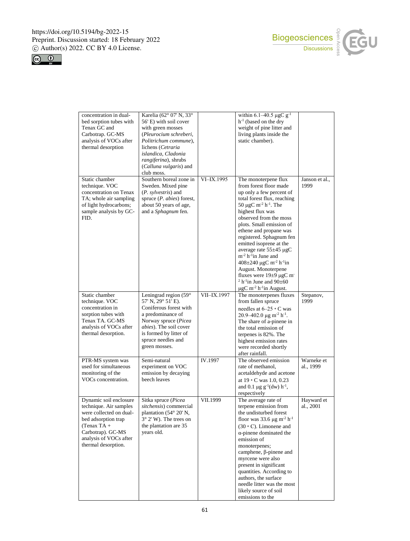$\mathsf{l}$ 





| concentration in dual-<br>bed sorption tubes with<br>Tenax GC and<br>Carbotrap. GC-MS<br>analysis of VOCs after<br>thermal desorption                                                     | Karelia (62° 07' N, 33°<br>56' E) with soil cover<br>with green mosses<br>(Pleurocium schreberi,<br>Politrichum commune),<br>lichens (Cetraria<br>islandica, Cladonia<br>rangiferina), shrubs<br>(Calluna vulgaris) and<br>club moss. |             | within 6.1–40.5 $\mu$ gC g <sup>-1</sup><br>$h^{-1}$ (based on the dry<br>weight of pine litter and<br>living plants inside the<br>static chamber).                                                                                                                                                                                                                                                                                                                                                                                                                                             |                         |
|-------------------------------------------------------------------------------------------------------------------------------------------------------------------------------------------|---------------------------------------------------------------------------------------------------------------------------------------------------------------------------------------------------------------------------------------|-------------|-------------------------------------------------------------------------------------------------------------------------------------------------------------------------------------------------------------------------------------------------------------------------------------------------------------------------------------------------------------------------------------------------------------------------------------------------------------------------------------------------------------------------------------------------------------------------------------------------|-------------------------|
| Static chamber<br>technique. VOC<br>concentration on Tenax<br>TA; whole air sampling<br>of light hydrocarbons;<br>sample analysis by GC-<br>FID.                                          | Southern boreal zone in<br>Sweden. Mixed pine<br>(P. sylvestris) and<br>spruce $(P. \; abies)$ forest,<br>about 50 years of age,<br>and a Sphagnum fen.                                                                               | VI-IX.1995  | The monoterpene flux<br>from forest floor made<br>up only a few percent of<br>total forest flux, reaching<br>50 µgC m <sup>-2</sup> h <sup>-1</sup> . The<br>highest flux was<br>observed from the moss<br>plots. Small emission of<br>ethene and propane was<br>registered. Sphagnum fen<br>emitted isoprene at the<br>average rate $55\pm45 \mu$ gC<br>$m^{-2} h^{-1}$ in June and<br>$408 \pm 240 \mu gC m^{-2} h^{-1}$ in<br>August. Monoterpene<br>fluxes were $19\pm9$ µgC m<br><sup>2</sup> h <sup>-1</sup> in June and $90\pm60$<br>$\mu$ gC m <sup>-2</sup> h <sup>-1</sup> in August. | Janson et al.,<br>1999  |
| Static chamber<br>technique. VOC<br>concentration in<br>sorption tubes with<br>Tenax TA. GC-MS<br>analysis of VOCs after<br>thermal desorption.                                           | Leningrad region (59°<br>57' N, 29° 51' E).<br>Coniferous forest with<br>a predominance of<br>Norway spruce (Picea<br>abies). The soil cover<br>is formed by litter of<br>spruce needles and<br>green mosses.                         | VII-IX.1997 | The monoterpenes fluxes<br>from fallen spruce<br>needles at $6-25 \cdot C$ was<br>20.9–402.0 $\mu$ g m <sup>-2</sup> h <sup>-1</sup> .<br>The share of a-pinene in<br>the total emission of<br>terpenes is 82%. The<br>highest emission rates<br>were recorded shortly<br>after rainfall.                                                                                                                                                                                                                                                                                                       | Stepanov,<br>1999       |
| PTR-MS system was<br>used for simultaneous<br>monitoring of the<br>VOCs concentration.                                                                                                    | Semi-natural<br>experiment on VOC<br>emission by decaying<br>beech leaves                                                                                                                                                             | IV.1997     | The observed emission<br>rate of methanol,<br>acetaldehyde and acetone<br>at 19 · C was 1.0, 0.23<br>and 0.1 $\mu$ g g <sup>-1</sup> (dw) h <sup>-1</sup> ,<br>respectively                                                                                                                                                                                                                                                                                                                                                                                                                     | Warneke et<br>al., 1999 |
| Dynamic soil enclosure<br>technique. Air samples<br>were collected on dual-<br>bed adsorption trap<br>$(Tenax TA +$<br>Carbotrap). GC-MS<br>analysis of VOCs after<br>thermal desorption. | Sitka spruce (Picea<br>sitchensis) commercial<br>plantation (54° 20' N,<br>$3^{\circ}$ 2' W). The trees on<br>the plantation are 35<br>years old.                                                                                     | VII.1999    | The average rate of<br>terpene emission from<br>the undisturbed forest<br>floor was 33.6 $\mu$ g m <sup>-2</sup> h <sup>-1</sup><br>$(30 \cdot C)$ . Limonene and<br>$\alpha$ -pinene dominated the<br>emission of<br>monoterpenes;<br>camphene, $\beta$ -pinene and<br>myrcene were also<br>present in significant<br>quantities. According to<br>authors, the surface<br>needle litter was the most<br>likely source of soil<br>emissions to the                                                                                                                                              | Hayward et<br>al., 2001 |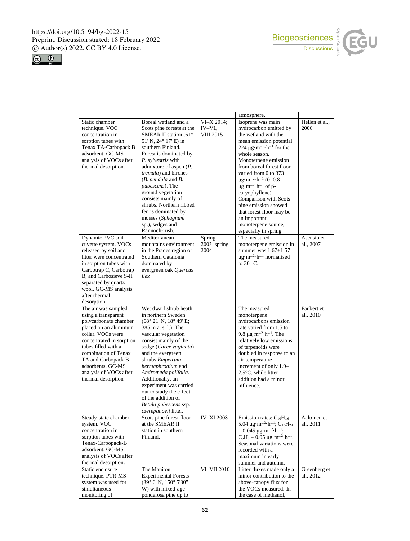



|                                                                                                                                                                                                                                                                                         |                                                                                                                                                                                                                                                                                                                                                                                                                                        |                                     | atmosphere.                                                                                                                                                                                                                                                                                                                                                                                                                                                                                                                    |                                                       |
|-----------------------------------------------------------------------------------------------------------------------------------------------------------------------------------------------------------------------------------------------------------------------------------------|----------------------------------------------------------------------------------------------------------------------------------------------------------------------------------------------------------------------------------------------------------------------------------------------------------------------------------------------------------------------------------------------------------------------------------------|-------------------------------------|--------------------------------------------------------------------------------------------------------------------------------------------------------------------------------------------------------------------------------------------------------------------------------------------------------------------------------------------------------------------------------------------------------------------------------------------------------------------------------------------------------------------------------|-------------------------------------------------------|
| Static chamber<br>technique. VOC<br>concentration in<br>sorption tubes with<br>Tenax TA-Carbopack B<br>adsorbent. GC-MS<br>analysis of VOCs after<br>thermal desorption.                                                                                                                | Boreal wetland and a<br>Scots pine forests at the<br>SMEAR II station (61°<br>51' N, 24° 17' E) in<br>southern Finland.<br>Forest is dominated by<br>P. sylvestris with<br>admixture of aspen $(P$ .<br>tremula) and birches<br>$(B. \text{ pendula and } B.$<br>pubescens). The<br>ground vegetation<br>consists mainly of<br>shrubs. Northern ribbed<br>fen is dominated by<br>mosses (Sphagnum<br>sp.), sedges and<br>Rannoch-rush. | $VI-X.2014;$<br>IV-VI,<br>VIII.2015 | Isoprene was main<br>hydrocarbon emitted by<br>the wetland with the<br>mean emission potential<br>224 $\mu$ g·m <sup>-2</sup> ·h <sup>-1</sup> for the<br>whole season.<br>Monoterpene emission<br>from boreal forest floor<br>varied from 0 to 373<br>$\mu$ g·m <sup>-2</sup> ·h <sup>-1</sup> (0-0.8<br>$\mu$ g·m <sup>-2</sup> ·h <sup>-1</sup> of $\beta$ -<br>caryophyllene).<br>Comparison with Scots<br>pine emission showed<br>that forest floor may be<br>an important<br>monoterpene source,<br>especially in spring | Hellén et al.,<br>2006                                |
| Dynamic PVC soil<br>cuvette system. VOCs<br>released by soil and<br>litter were concentrated<br>in sorption tubes with<br>Carbotrap C, Carbotrap<br>B, and Carbosieve S-II<br>separated by quartz<br>wool. GC-MS analysis<br>after thermal<br>desorption.                               | Mediterranean<br>mountains environment<br>in the Prades region of<br>Southern Catalonia<br>dominated by<br>evergreen oak Quercus<br>ilex                                                                                                                                                                                                                                                                                               | Spring<br>$2003$ -spring<br>2004    | The measured<br>monoterpene emission in<br>summer was $1.67 \pm 1.57$<br>$\mu$ g·m <sup>-2</sup> ·h <sup>-1</sup> normalised<br>to $30^{\circ}$ C.                                                                                                                                                                                                                                                                                                                                                                             | Asensio et<br>al., 2007                               |
| The air was sampled<br>using a transparent<br>polycarbonate chamber<br>placed on an aluminum<br>collar. VOCs were<br>concentrated in sorption<br>tubes filled with a<br>combination of Tenax<br>TA and Carbopack B<br>adsorbents. GC-MS<br>analysis of VOCs after<br>thermal desorption | Wet dwarf shrub heath<br>in northern Sweden<br>(68° 21' N, 18° 49' E;<br>385 m a. s. l.). The<br>vascular vegetation<br>consist mainly of the<br>sedge (Carex vaginata)<br>and the evergreen<br>shrubs Empetrum<br>hermaphrodium and<br>Andromeda polifolia.<br>Additionally, an<br>experiment was carried<br>out to study the effect<br>of the addition of<br>Betula pubescens ssp.<br>czerepanovii litter.                           |                                     | The measured<br>monoterpene<br>hydrocarbons emission<br>rate varied from 1.5 to<br>9.8 $\mu$ g·m <sup>-2</sup> ·h <sup>-1</sup> . The<br>relatively low emissions<br>of terpenoids were<br>doubled in response to an<br>air temperature<br>increment of only 1.9-<br>$2.5^{\circ}$ C, while litter<br>addition had a minor<br>influence.                                                                                                                                                                                       | Faubert et<br>al., 2010                               |
| Steady-state chamber<br>system. VOC<br>concentration in<br>sorption tubes with<br>Tenax-Carbopack-B<br>adsorbent. GC-MS<br>analysis of VOCs after<br>thermal desorption.<br>Static enclosure<br>technique. PTR-MS<br>system was used for<br>simultaneous<br>monitoring of               | Scots pine forest floor<br>at the SMEAR II<br>station in southern<br>Finland.<br>The Manitou<br><b>Experimental Forests</b><br>$(39^{\circ}$ 6' N, $150^{\circ}$ 5'30"<br>W) with mixed-age<br>ponderosa pine up to                                                                                                                                                                                                                    | <b>IV-XI.2008</b><br>VI-VII.2010    | Emission rates: $C_{10}H_{16}$ –<br>5.04 $\mu$ g·m <sup>-2</sup> ·h <sup>-1</sup> ; C <sub>15</sub> H <sub>24</sub><br>$-0.045 \mu g \cdot m^{-2} \cdot h^{-1}$ ;<br>$C_5H_8 - 0.05 \mu g \cdot m^{-2} \cdot h^{-1}$ .<br>Seasonal variations were<br>recorded with a<br>maximum in early<br>summer and autumn.<br>Litter fluxes made only a<br>minor contribution to the<br>above-canopy flux for<br>the VOCs measured. In<br>the case of methanol,                                                                           | Aaltonen et<br>al., 2011<br>Greenberg et<br>al., 2012 |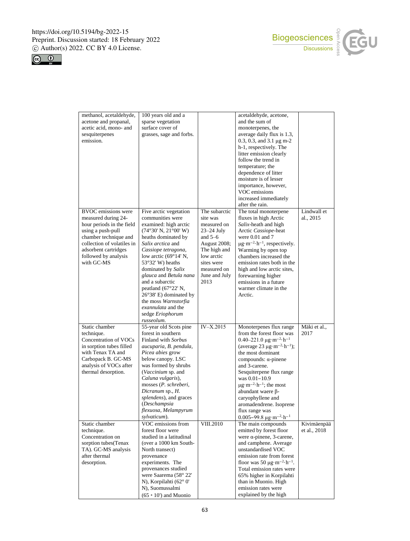



| methanol, acetaldehyde,    | 100 years old and a             |               | acetaldehyde, acetone,                                   |              |
|----------------------------|---------------------------------|---------------|----------------------------------------------------------|--------------|
| acetone and propanal,      | sparse vegetation               |               | and the sum of                                           |              |
| acetic acid, mono- and     | surface cover of                |               | monoterpenes, the                                        |              |
| sesquiterpenes             | grasses, sage and forbs.        |               | average daily flux is 1.3,                               |              |
| emission.                  |                                 |               | 0.3, 0.3, and 3.1 $\mu$ g m-2                            |              |
|                            |                                 |               | h-1, respectively. The                                   |              |
|                            |                                 |               | litter emission clearly                                  |              |
|                            |                                 |               | follow the trend in                                      |              |
|                            |                                 |               | temperature; the                                         |              |
|                            |                                 |               | dependence of litter                                     |              |
|                            |                                 |               | moisture is of lesser                                    |              |
|                            |                                 |               |                                                          |              |
|                            |                                 |               | importance, however,                                     |              |
|                            |                                 |               | VOC emissions                                            |              |
|                            |                                 |               | increased immediately                                    |              |
|                            |                                 |               | after the rain.                                          |              |
| <b>BVOC</b> emissions were | Five arctic vegetation          | The subarctic | The total monoterpene                                    | Lindwall et  |
| measured during 24-        | communities were                | site was      | fluxes in high Arctic                                    | al., 2015    |
| hour periods in the field  | examined: high arctic           | measured on   | Salix-heath and high                                     |              |
| using a push-pull          | (74°30' N, 21°00' W)            | $23-24$ July  | Arctic Cassiope-heat                                     |              |
| chamber technique and      | heaths dominated by             | and $5-6$     | were $0.01$ and $7$                                      |              |
| collection of volatiles in | Salix arctica and               | August 2008;  | $\mu$ g·m <sup>-2</sup> ·h <sup>-1</sup> , respectively. |              |
| adsorbent cartridges       | Cassiope tetragona,             | The high and  | Warming by open top                                      |              |
| followed by analysis       | low arctic $(69°14' N,$         | low arctic    | chambers increased the                                   |              |
| with GC-MS                 | $53^{\circ}32'$ W) heaths       | sites were    | emission rates both in the                               |              |
|                            | dominated by Salix              | measured on   | high and low arctic sites,                               |              |
|                            | glauca and Betula nana          | June and July | forewarning higher                                       |              |
|                            | and a subarctic                 | 2013          | emissions in a future                                    |              |
|                            |                                 |               | warmer climate in the                                    |              |
|                            | peatland $(67°22' N,$           |               |                                                          |              |
|                            | $26^{\circ}38'$ E) dominated by |               | Arctic.                                                  |              |
|                            | the moss Warnstorfia            |               |                                                          |              |
|                            | exannulata and the              |               |                                                          |              |
|                            | sedge Eriophorum                |               |                                                          |              |
|                            | russeolum.                      |               |                                                          |              |
| Static chamber             | 55-year old Scots pine          | $IV-X.2015$   | Monoterpenes flux range                                  | Mäki et al., |
| technique.                 | forest in southern              |               | from the forest floor was                                | 2017         |
| Concentration of VOCs      | Finland with Sorbus             |               | $0.40 - 221.0 \mu g \cdot m^{-2} \cdot h^{-1}$           |              |
| in sorption tubes filled   | aucuparia, B. pendula,          |               | (average 23 $\mu$ g·m <sup>-2</sup> ·h <sup>-1</sup> );  |              |
| with Tenax TA and          | Picea abies grow                |               | the most dominant                                        |              |
| Carbopack B. GC-MS         | below canopy. LSC               |               | compounds: $\alpha$ -pinene                              |              |
| analysis of VOCs after     | was formed by shrubs            |               | and 3-carene.                                            |              |
| thermal desorption.        | (Vaccinium sp. and              |               | Sesquiterpene flux range                                 |              |
|                            | Caluna vulgaris),               |               | was 0.01-10.9                                            |              |
|                            | mosses (P. schreberi,           |               | $\mu$ g·m <sup>-2</sup> ·h <sup>-1</sup> ; the most      |              |
|                            | Dicranum sp., H.                |               | abundant waere β-                                        |              |
|                            | splendens), and graces          |               | caryophyllene and                                        |              |
|                            | (Deschampsia                    |               | aromadendrene. Isoprene                                  |              |
|                            | flexuosa, Melampyrum            |               | flux range was                                           |              |
|                            |                                 |               |                                                          |              |
|                            | sylvaticum).                    |               | $0.005 - 99.8 \,\mu g \cdot m^{-2} \cdot h^{-1}$         |              |
| Static chamber             | VOC emissions from              | VIII.2010     | The main compounds                                       | Kivimäenpää  |
| technique.                 | forest floor were               |               | emitted by forest floor                                  | et al., 2018 |
| Concentration on           | studied in a latitudinal        |               | were $\alpha$ -pinene, 3-carene,                         |              |
| sorption tubes(Tenax       | (over a 1000 km South-          |               | and camphene. Average                                    |              |
| TA). GC-MS analysis        | North transect)                 |               | unstandardised VOC                                       |              |
| after thermal              | provenance                      |               | emission rate from forest                                |              |
| desorption.                | experiments. The                |               | floor was 50 $\mu$ g·m <sup>-2</sup> ·h <sup>-1</sup> .  |              |
|                            | provenances studied             |               | Total emission rates were                                |              |
|                            | were Saarema (58° 22'           |               | 65% higher in Korpilahti                                 |              |
|                            | N), Korpilahti (62° 0'          |               | than in Muonio. High                                     |              |
|                            |                                 |               |                                                          |              |
|                            | N), Suomussalmi                 |               | emission rates were                                      |              |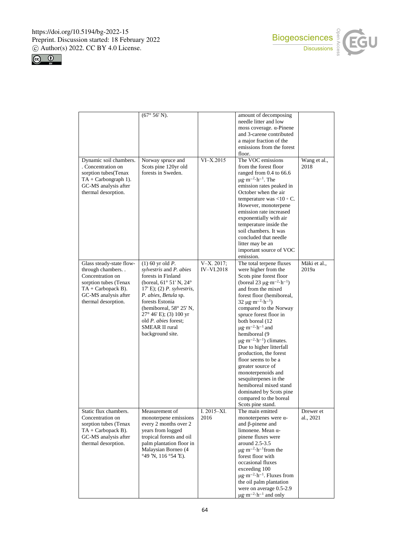Π





|                                                                                                                                                                   | $(67° 56' N)$ .                                                                                                                                                                                                                                                                                                                       |                                   | amount of decomposing<br>needle litter and low<br>moss coverage. $\alpha$ -Pinene<br>and 3-carene contributed<br>a major fraction of the<br>emissions from the forest<br>floor.                                                                                                                                                                                                                                                                                                                                                                                                                                                                                                        |                        |
|-------------------------------------------------------------------------------------------------------------------------------------------------------------------|---------------------------------------------------------------------------------------------------------------------------------------------------------------------------------------------------------------------------------------------------------------------------------------------------------------------------------------|-----------------------------------|----------------------------------------------------------------------------------------------------------------------------------------------------------------------------------------------------------------------------------------------------------------------------------------------------------------------------------------------------------------------------------------------------------------------------------------------------------------------------------------------------------------------------------------------------------------------------------------------------------------------------------------------------------------------------------------|------------------------|
| Dynamic soil chambers.<br>. Concentration on<br>sorption tubes(Tenax<br>$TA + Carbongraph 1$ ).<br>GC-MS analysis after<br>thermal desorption.                    | Norway spruce and<br>Scots pine 120yr old<br>forests in Sweden.                                                                                                                                                                                                                                                                       | $VI-X.2015$                       | The VOC emissions<br>from the forest floor<br>ranged from 0.4 to 66.6<br>$\mu$ g·m <sup>-2</sup> ·h <sup>-1</sup> . The<br>emission rates peaked in<br>October when the air<br>temperature was <10 $\circ$ C.<br>However, monoterpene<br>emission rate increased<br>exponentially with air<br>temperature inside the<br>soil chambers. It was<br>concluded that needle<br>litter may be an<br>important source of VOC<br>emission.                                                                                                                                                                                                                                                     | Wang et al.,<br>2018   |
| Glass steady-state flow-<br>through chambers<br>Concentration on<br>sorption tubes (Tenax<br>$TA + Carbopack B)$ .<br>GC-MS analysis after<br>thermal desorption. | $(1)$ 60 yr old <i>P</i> .<br>sylvestris and P. abies<br>forests in Finland<br>(boreal, $61^{\circ}$ 51' N, $24^{\circ}$<br>$17'E$ ; $(2) P. sylvestris,$<br>P. abies, Betula sp.<br>forests Estonia<br>(hemiboreal, 58° 25' N,<br>27° 46' E); (3) 100 yr<br>old <i>P. abies</i> forest;<br><b>SMEAR II rural</b><br>background site. | $V-X. 2017;$<br><b>IV-VI.2018</b> | The total terpene fluxes<br>were higher from the<br>Scots pine forest floor<br>(boreal 23 $\mu$ g·m <sup>-2</sup> ·h <sup>-1</sup> )<br>and from the mixed<br>forest floor (hemiboreal,<br>$32 \mu g \cdot m^{-2} \cdot h^{-1}$ )<br>compared to the Norway<br>spruce forest floor in<br>both boreal (12<br>$\mu$ g·m <sup>-2</sup> ·h <sup>-1</sup> and<br>hemiboreal (9<br>$\mu$ g·m <sup>-2</sup> ·h <sup>-1</sup> ) climates.<br>Due to higher litterfall<br>production, the forest<br>floor seems to be a<br>greater source of<br>monoterpenoids and<br>sesquiterpenes in the<br>hemiboreal mixed stand<br>dominated by Scots pine<br>compared to the boreal<br>Scots pine stand. | Mäki et al.,<br>2019a  |
| Static flux chambers.<br>Concentration on<br>sorption tubes (Tenax<br>$TA + Carbopack B)$ .<br>GC-MS analysis after<br>thermal desorption.                        | Measurement of<br>monoterpene emissions<br>every 2 months over 2<br>years from logged<br>tropical forests and oil<br>palm plantation floor in<br>Malaysian Borneo (4<br>$^{\circ}49$ 'N, 116 $^{\circ}54$ 'E).                                                                                                                        | I. $2015 - XI$ .<br>2016          | The main emitted<br>monoterpenes were $\alpha$ -<br>and $\beta$ -pinene and<br>limonene. Mean $\alpha$ -<br>pinene fluxes were<br>around 2.5-3.5<br>$\mu$ g·m <sup>-2</sup> ·h <sup>-1</sup> from the<br>forest floor with<br>occasional fluxes<br>exceeding 100<br>$\mu$ g·m <sup>-2</sup> ·h <sup>-1</sup> . Fluxes from<br>the oil palm plantation<br>were on average 0.5-2.9<br>$\mu$ g·m <sup>-2</sup> ·h <sup>-1</sup> and only                                                                                                                                                                                                                                                  | Drewer et<br>al., 2021 |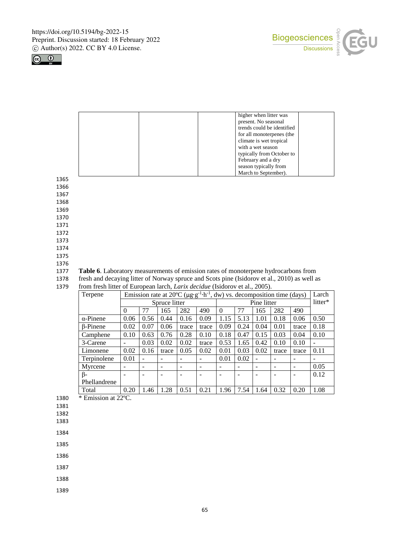



| higher when litter was     |
|----------------------------|
| present. No seasonal       |
| trends could be identified |
| for all monoterpenes (the  |
| climate is wet tropical    |
| with a wet season          |
| typically from October to  |
| February and a dry         |
| season typically from      |
| March to September).       |

1365

1366

1367 1368

1369

1370

1371

1372

1373

1374

1375 1376

## 1377 **Table 6**. Laboratory measurements of emission rates of monoterpene hydrocarbons from

1378 fresh and decaying litter of Norway spruce and Scots pine (Isidorov et al., 2010) as well as

| from fresh litter of European larch, <i>Larix decidue</i> (Isidorov et al., 2005).<br>1379 |  |
|--------------------------------------------------------------------------------------------|--|
|--------------------------------------------------------------------------------------------|--|

| Terpene          | Emission rate at 20°C ( $\mu$ g·g <sup>-1</sup> ·h <sup>-1</sup> , dw) vs. decomposition time (days) |      |       |       |       |             |      |      |       | Larch |         |
|------------------|------------------------------------------------------------------------------------------------------|------|-------|-------|-------|-------------|------|------|-------|-------|---------|
|                  | Spruce litter                                                                                        |      |       |       |       | Pine litter |      |      |       |       | litter* |
|                  | $\Omega$                                                                                             | 77   | 165   | 282   | 490   | $\Omega$    | 77   | 165  | 282   | 490   |         |
| $\alpha$ -Pinene | 0.06                                                                                                 | 0.56 | 0.44  | 0.16  | 0.09  | 1.15        | 5.13 | 1.01 | 0.18  | 0.06  | 0.50    |
| <b>B-Pinene</b>  | 0.02                                                                                                 | 0.07 | 0.06  | trace | trace | 0.09        | 0.24 | 0.04 | 0.01  | trace | 0.18    |
| Camphene         | 0.10                                                                                                 | 0.63 | 0.76  | 0.28  | 0.10  | 0.18        | 0.47 | 0.15 | 0.03  | 0.04  | 0.10    |
| 3-Carene         |                                                                                                      | 0.03 | 0.02  | 0.02  | trace | 0.53        | 1.65 | 0.42 | 0.10  | 0.10  |         |
| Limonene         | 0.02                                                                                                 | 0.16 | trace | 0.05  | 0.02  | 0.01        | 0.03 | 0.02 | trace | trace | 0.11    |
| Terpinolene      | 0.01                                                                                                 |      | ۰     |       |       | 0.01        | 0.02 |      |       |       |         |
| Myrcene          |                                                                                                      |      | -     |       |       |             |      |      |       |       | 0.05    |
| $\beta$ -        |                                                                                                      |      |       |       |       |             |      |      |       |       | 0.12    |
| Phellandrene     |                                                                                                      |      |       |       |       |             |      |      |       |       |         |
| Total            | 0.20                                                                                                 | 1.46 | 1.28  | 0.51  | 0.21  | 1.96        | 7.54 | 1.64 | 0.32  | 0.20  | 1.08    |

1380  $\overline{\ast}$  Emission at 22<sup>o</sup>C.

1381

1382

1383

1384

1385

1386

1387

1388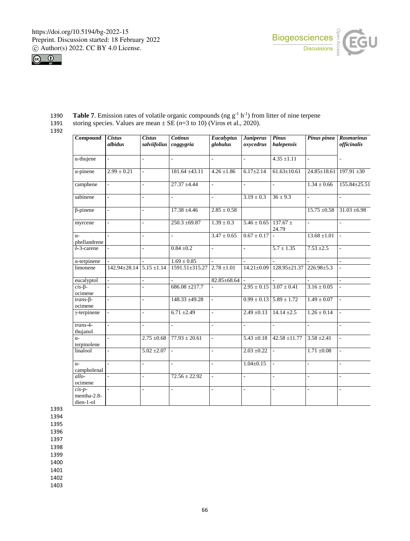



| Compound                             | <b>Cistus</b><br>albidus | <b>Cistus</b><br>salviifolius | <b>Cotinus</b><br>coggygria | Eucalyptus<br>globulus    | <b>Juniperus</b><br>oxycedrus | Pinus<br>halepensis             | Pinus pinea       | <b>Rosmarinus</b><br>officinalis |
|--------------------------------------|--------------------------|-------------------------------|-----------------------------|---------------------------|-------------------------------|---------------------------------|-------------------|----------------------------------|
| $\alpha$ -thujene                    |                          | $\overline{a}$                | $\overline{a}$              | L.                        | $\overline{a}$                | $4.35 \pm 1.11$                 | $\mathbf{r}$      |                                  |
| $\alpha$ -pinene                     | $2.99 \pm 0.21$          | $\overline{a}$                | 181.64 ±43.11               | $4.26 \pm 1.86$           | $6.17 \pm 2.14$               | $61.63 \pm 10.61$               | $24.85 \pm 18.61$ | $197.91 \pm 30$                  |
| camphene                             | $\overline{a}$           |                               | $27.37 \pm 4.44$            | $\overline{a}$            | L.                            | L.                              | $1.34 \pm 0.66$   | $155.84 \pm 25.51$               |
| sabinene                             | L.                       | L.                            | $\overline{\phantom{a}}$    | $\overline{a}$            | $3.19 \pm 0.3$                | $36 \pm 9.3$                    | $\overline{a}$    | L.                               |
| $\beta$ -pinene                      | $\overline{a}$           | $\overline{a}$                | $17.38 \pm 4.46$            | $2.85 \pm 0.58$           |                               |                                 | $15.75 \pm 0.58$  | $31.03 \pm 6.98$                 |
| myrcene                              | $\overline{a}$           |                               | $250.3 \pm 69.87$           | $1.39 \pm 0.3$            | $5.46 \pm 0.65$               | $137.67 \pm$<br>24.79           | L.                |                                  |
| $\alpha$ -<br>phellandrene           | $\overline{a}$           | $\overline{a}$                | $\frac{1}{2}$               | $\frac{3.47 \pm 0.65}{2}$ | $0.67 \pm 0.17$               | $\mathcal{L}$                   | $13.68 \pm 1.01$  | $\mathbf{r}$                     |
| $\delta$ -3-carene                   | L.                       | $\overline{a}$                | $0.84 \pm 0.2$              | $\overline{a}$            | $\overline{a}$                | $5.7 \pm 1.35$                  | $7.53 \pm 2.5$    | $\sim$                           |
| $\alpha$ -terpinene                  |                          |                               | $1.69\pm0.85$               | L.                        |                               |                                 |                   |                                  |
| limonene                             | 142.94±28.14             | $5.15 \pm 1.14$               | 1591.51±315.27              | $2.78 \pm 1.01$           | $14.21 \pm 0.09$              | $128.95 \pm 21.37$              | $226.98 \pm 5.3$  |                                  |
| eucalyptol                           |                          |                               |                             | 82.85±68.64               |                               |                                 |                   |                                  |
| $cis$ - $\beta$ -<br>ocimene         | $\overline{a}$           |                               | $686.08 \pm 217.7$          |                           |                               | $2.95 \pm 0.15$ $3.07 \pm 0.41$ | $3.16 \pm 0.05$   |                                  |
| $trans-β$<br>ocimene                 | L.                       | L.                            | $148.33 + 49.28$            | $\overline{\phantom{a}}$  | $0.99 \pm 0.13$               | $5.89 \pm 1.72$                 | $1.49 \pm 0.07$   | $\sim$                           |
| $\gamma$ -terpinene                  | ä,                       | $\overline{a}$                | $6.71 \pm 2.49$             | $\overline{a}$            | $2.49 \pm 0.13$               | $14.14 \pm 2.5$                 | $1.26 \pm 0.14$   | $\sim$                           |
| $trans-4-$<br>thujanol               | ÷.                       | L.                            | $\overline{\phantom{a}}$    | ÷                         | $\overline{\phantom{a}}$      | $\sim$                          | ÷.                | ٠                                |
| $\alpha$ -<br>terpinolene            | L.                       | $2.75 \pm 0.68$               | $77.93 \pm 20.61$           | L                         | $5.43 \pm 0.18$               | $42.58 \pm 11.77$               | $3.58 \pm 2.41$   | ÷                                |
| linalool                             | $\overline{a}$           | $5.02 \pm 2.07$               | $\overline{\phantom{a}}$    | L,                        | $2.03 \pm 0.22$               | $\mathbb{Z}^2$                  | $1.71 \pm 0.08$   | $\sim$                           |
| $\alpha$ -<br>campholenal            | L.                       | $\overline{a}$                | $\sim$                      | L.                        | $1.04 \pm 0.15$               | $\mathcal{L}$                   | $\overline{a}$    | $\overline{a}$                   |
| allo-<br>ocimene                     | $\overline{a}$           | $\overline{a}$                | $72.56 \pm 22.92$           | ÷,                        | $\overline{\phantom{a}}$      | ÷,                              | L,                | ÷,                               |
| $cis-p-$<br>mentha-2.8-<br>dien-1-ol | $\overline{a}$           | $\overline{a}$                | $\overline{\phantom{a}}$    | L,                        | $\overline{\phantom{a}}$      | ÷,                              | ÷.                | $\overline{\phantom{a}}$         |

1390 **Table 7**. Emission rates of volatile organic compounds (ng  $g^{-1} h^{-1}$ ) from litter of nine terpene

1391 storing species. Values are mean  $\pm$  SE ( $n=3$  to 10) (Viros et al., 2020).

1392

1393

1394

1395

1396

1397

1398

1399

1400

1401

1402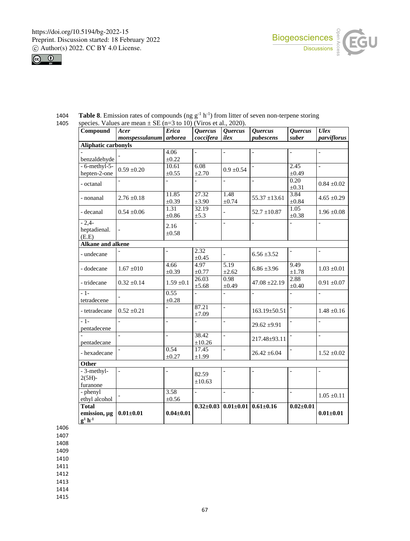



| Compound                                              | Acer            | <b>Erica</b>       | <b>Quercus</b>      | <b>Quercus</b>     | <b>Ouercus</b>           | <b>Quercus</b>     | Ulex            |  |  |  |
|-------------------------------------------------------|-----------------|--------------------|---------------------|--------------------|--------------------------|--------------------|-----------------|--|--|--|
|                                                       | monspessulanum  | arborea            | coccifera           | ilex               | pubescens                | suber              | parviflorus     |  |  |  |
| <b>Aliphatic carbonyls</b>                            |                 |                    |                     |                    |                          |                    |                 |  |  |  |
|                                                       |                 | 4.06               | $\overline{a}$      |                    |                          |                    |                 |  |  |  |
| benzaldehyde                                          |                 | $\pm 0.22$         |                     |                    |                          |                    |                 |  |  |  |
| $-6$ -methyl-5-                                       | $0.59 \pm 0.20$ | 10.61              | 6.08                | $0.9 \pm 0.54$     |                          | 2.45               |                 |  |  |  |
| hepten-2-one                                          |                 | $\pm 0.55$         | ±2.70               |                    |                          | ±0.49              |                 |  |  |  |
| - octanal                                             |                 |                    |                     | $\overline{a}$     |                          | 0.20<br>$\pm 0.31$ | $0.84 \pm 0.02$ |  |  |  |
| - nonanal                                             | $2.76 \pm 0.18$ | 11.85<br>±0.39     | 27.32<br>$\pm 3.90$ | 1.48<br>$\pm 0.74$ | $55.37 \pm 13.61$        | 3.84<br>±0.84      | $4.65 \pm 0.29$ |  |  |  |
| - decanal                                             | $0.54 \pm 0.06$ | 1.31<br>$\pm 0.86$ | 32.19<br>$\pm$ 5.3  | $\overline{a}$     | $52.7 \pm 10.87$         | 1.05<br>$\pm 0.38$ | $1.96 \pm 0.08$ |  |  |  |
| $-2,4-$<br>heptadienal.<br>(E.E)                      |                 | 2.16<br>±0.58      | $\overline{a}$      | $\overline{a}$     | $\overline{\phantom{a}}$ |                    | $\overline{a}$  |  |  |  |
| <b>Alkane and alkene</b>                              |                 |                    |                     |                    |                          |                    |                 |  |  |  |
| - undecane                                            |                 |                    | 2.32<br>$\pm 0.45$  |                    | $6.56 \pm 3.52$          |                    |                 |  |  |  |
| - dodecane                                            | $1.67 \pm 010$  | 4.66<br>±0.39      | 4.97<br>$\pm 0.77$  | 5.19<br>$\pm 2.62$ | $6.86 \pm 3.96$          | 9.49<br>±1.78      | $1.03 \pm 0.01$ |  |  |  |
| - tridecane                                           | $0.32 \pm 0.14$ | $1.59 \pm 0.1$     | 26.03<br>±5.68      | 0.98<br>$\pm 0.49$ | $47.08 \pm 22.19$        | 2.88<br>$\pm 0.40$ | $0.91 \pm 0.07$ |  |  |  |
| $-1-$<br>tetradecene                                  |                 | 0.55<br>$\pm 0.28$ |                     |                    |                          |                    |                 |  |  |  |
| - tetradecane                                         | $0.52 + 0.21$   |                    | 87.21<br>±7.09      | $\overline{a}$     | $163.19 \pm 50.51$       | $\overline{a}$     | $1.48 \pm 0.16$ |  |  |  |
| $-1-$<br>pentadecene                                  |                 | $\overline{a}$     | $\overline{a}$      | $\overline{a}$     | $29.62 \pm 9.91$         |                    |                 |  |  |  |
| pentadecane                                           |                 |                    | 38.42<br>±10.26     | $\overline{a}$     | 217.48±93.11             |                    | $\overline{a}$  |  |  |  |
| - hexadecane                                          |                 | 0.54<br>±0.27      | 17.45<br>±1.99      | $\overline{a}$     | $26.42 \pm 6.04$         |                    | $1.52 \pm 0.02$ |  |  |  |
| Other                                                 |                 |                    |                     |                    |                          |                    |                 |  |  |  |
| - 3-methyl-                                           |                 |                    | 82.59               |                    |                          |                    |                 |  |  |  |
| $2(5H)$ -<br>furanone                                 |                 |                    | ±10.63              |                    |                          |                    |                 |  |  |  |
| - phenyl                                              |                 | 3.58               | $\overline{a}$      | $\overline{a}$     |                          |                    |                 |  |  |  |
| ethyl alcohol                                         |                 | $\pm 0.56$         |                     |                    |                          |                    | $1.05 \pm 0.11$ |  |  |  |
| <b>Total</b><br>emission, µg<br>$g^1$ h <sup>-1</sup> | $0.01 + 0.01$   | $0.04 \pm 0.01$    | $0.32 \pm 0.03$     | $0.01 \pm 0.01$    | $0.61 \pm 0.16$          | $0.02 \pm 0.01$    | $0.01 \pm 0.01$ |  |  |  |

1404 **Table 8**. Emission rates of compounds (ng  $g^{-1} h^{-1}$ ) from litter of seven non-terpene storing 1405 species. Values are mean  $\pm$  SE (n=3 to 10) (Viros et al., 2020).

1406

1407

1408

1409

1410

1411

1412

1413

1414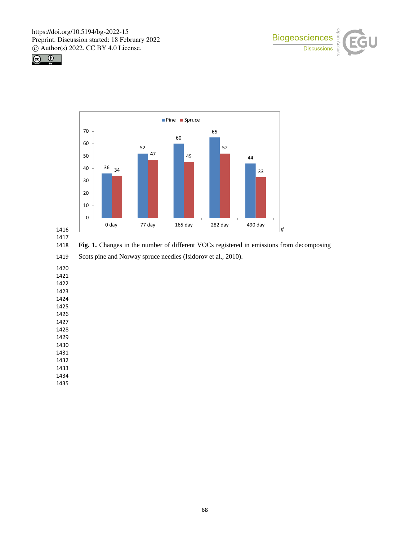





**Fig. 1.** Changes in the number of different VOCs registered in emissions from decomposing

Scots pine and Norway spruce needles (Isidorov et al., 2010).